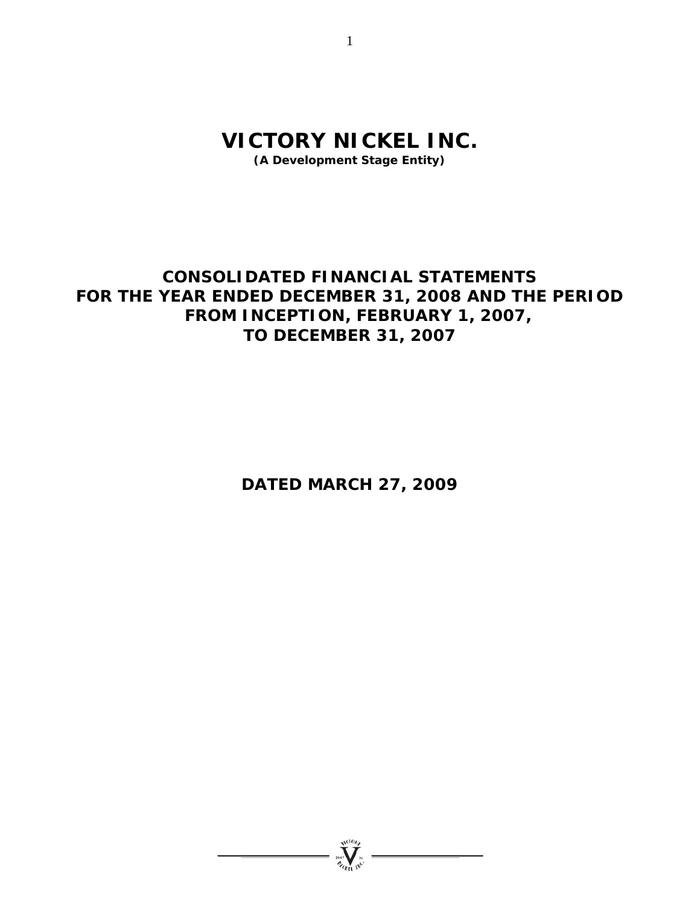# **VICTORY NICKEL INC.**

**(A Development Stage Entity)** 

# **CONSOLIDATED FINANCIAL STATEMENTS FOR THE YEAR ENDED DECEMBER 31, 2008 AND THE PERIOD FROM INCEPTION, FEBRUARY 1, 2007, TO DECEMBER 31, 2007**

**DATED MARCH 27, 2009** 



1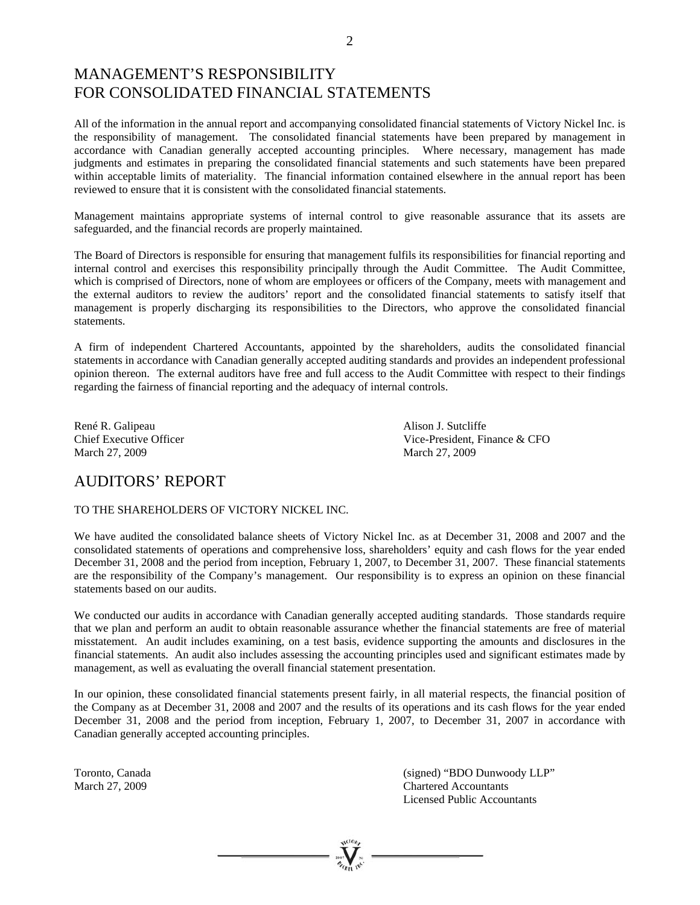# MANAGEMENT'S RESPONSIBILITY FOR CONSOLIDATED FINANCIAL STATEMENTS

All of the information in the annual report and accompanying consolidated financial statements of Victory Nickel Inc. is the responsibility of management. The consolidated financial statements have been prepared by management in accordance with Canadian generally accepted accounting principles. Where necessary, management has made judgments and estimates in preparing the consolidated financial statements and such statements have been prepared within acceptable limits of materiality. The financial information contained elsewhere in the annual report has been reviewed to ensure that it is consistent with the consolidated financial statements.

Management maintains appropriate systems of internal control to give reasonable assurance that its assets are safeguarded, and the financial records are properly maintained.

The Board of Directors is responsible for ensuring that management fulfils its responsibilities for financial reporting and internal control and exercises this responsibility principally through the Audit Committee. The Audit Committee, which is comprised of Directors, none of whom are employees or officers of the Company, meets with management and the external auditors to review the auditors' report and the consolidated financial statements to satisfy itself that management is properly discharging its responsibilities to the Directors, who approve the consolidated financial statements.

A firm of independent Chartered Accountants, appointed by the shareholders, audits the consolidated financial statements in accordance with Canadian generally accepted auditing standards and provides an independent professional opinion thereon. The external auditors have free and full access to the Audit Committee with respect to their findings regarding the fairness of financial reporting and the adequacy of internal controls.

René R. Galipeau **Alison J. Sutcliffe** March 27, 2009 March 27, 2009

Chief Executive Officer Vice-President, Finance & CFO

# AUDITORS' REPORT

### TO THE SHAREHOLDERS OF VICTORY NICKEL INC.

We have audited the consolidated balance sheets of Victory Nickel Inc. as at December 31, 2008 and 2007 and the consolidated statements of operations and comprehensive loss, shareholders' equity and cash flows for the year ended December 31, 2008 and the period from inception, February 1, 2007, to December 31, 2007. These financial statements are the responsibility of the Company's management. Our responsibility is to express an opinion on these financial statements based on our audits.

We conducted our audits in accordance with Canadian generally accepted auditing standards. Those standards require that we plan and perform an audit to obtain reasonable assurance whether the financial statements are free of material misstatement. An audit includes examining, on a test basis, evidence supporting the amounts and disclosures in the financial statements. An audit also includes assessing the accounting principles used and significant estimates made by management, as well as evaluating the overall financial statement presentation.

In our opinion, these consolidated financial statements present fairly, in all material respects, the financial position of the Company as at December 31, 2008 and 2007 and the results of its operations and its cash flows for the year ended December 31, 2008 and the period from inception, February 1, 2007, to December 31, 2007 in accordance with Canadian generally accepted accounting principles.

Toronto, Canada (signed) "BDO Dunwoody LLP" March 27, 2009 Chartered Accountants Licensed Public Accountants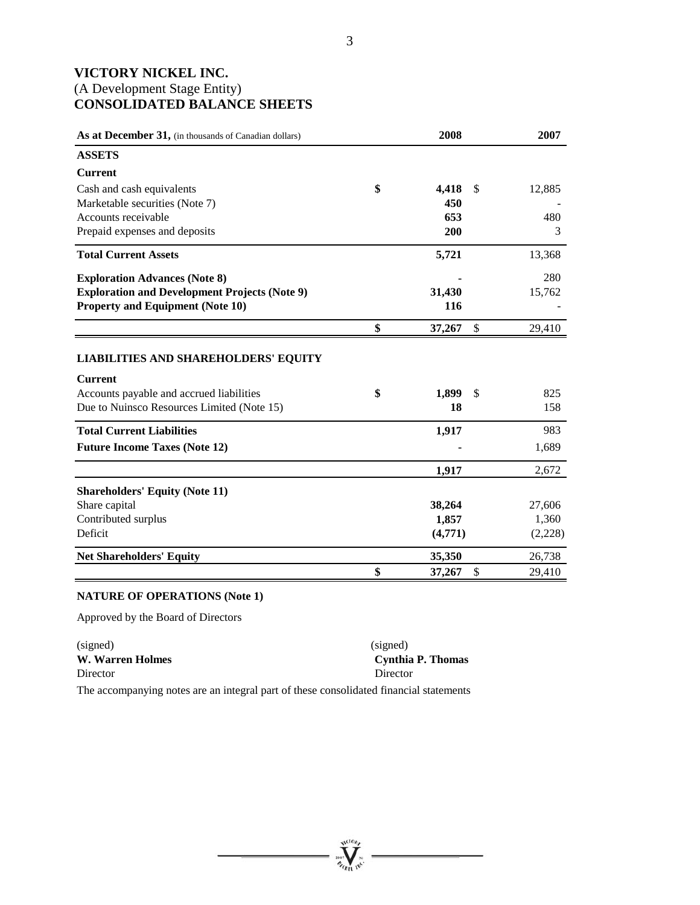# **VICTORY NICKEL INC.**  (A Development Stage Entity) **CONSOLIDATED BALANCE SHEETS**

| As at December 31, (in thousands of Canadian dollars)                                                                                                   | 2008              |               | 2007       |
|---------------------------------------------------------------------------------------------------------------------------------------------------------|-------------------|---------------|------------|
| <b>ASSETS</b>                                                                                                                                           |                   |               |            |
| <b>Current</b>                                                                                                                                          |                   |               |            |
| Cash and cash equivalents                                                                                                                               | \$<br>4,418       | <sup>\$</sup> | 12,885     |
| Marketable securities (Note 7)                                                                                                                          | 450               |               |            |
| Accounts receivable                                                                                                                                     | 653               |               | 480        |
| Prepaid expenses and deposits                                                                                                                           | 200               |               | 3          |
| <b>Total Current Assets</b>                                                                                                                             | 5,721             |               | 13,368     |
| <b>Exploration Advances (Note 8)</b>                                                                                                                    |                   |               | 280        |
| <b>Exploration and Development Projects (Note 9)</b>                                                                                                    | 31,430            |               | 15,762     |
| <b>Property and Equipment (Note 10)</b>                                                                                                                 | <b>116</b>        |               |            |
|                                                                                                                                                         | \$<br>37,267      | \$            | 29,410     |
| <b>LIABILITIES AND SHAREHOLDERS' EQUITY</b><br><b>Current</b><br>Accounts payable and accrued liabilities<br>Due to Nuinsco Resources Limited (Note 15) | \$<br>1,899<br>18 | $\mathbb{S}$  | 825<br>158 |
| <b>Total Current Liabilities</b>                                                                                                                        | 1,917             |               | 983        |
| <b>Future Income Taxes (Note 12)</b>                                                                                                                    |                   |               | 1,689      |
|                                                                                                                                                         | 1,917             |               | 2,672      |
| <b>Shareholders' Equity (Note 11)</b>                                                                                                                   |                   |               |            |
| Share capital                                                                                                                                           | 38,264            |               | 27,606     |
| Contributed surplus                                                                                                                                     | 1,857             |               | 1,360      |
| Deficit                                                                                                                                                 | (4,771)           |               | (2,228)    |
| <b>Net Shareholders' Equity</b>                                                                                                                         | 35,350            |               | 26,738     |
|                                                                                                                                                         | \$<br>37,267      | \$            | 29,410     |

# **NATURE OF OPERATIONS (Note 1)**

Approved by the Board of Directors

| (signed)         | (signed)          |
|------------------|-------------------|
| W. Warren Holmes | Cynthia P. Thomas |
| Director         | Director          |

The accompanying notes are an integral part of these consolidated financial statements

**William**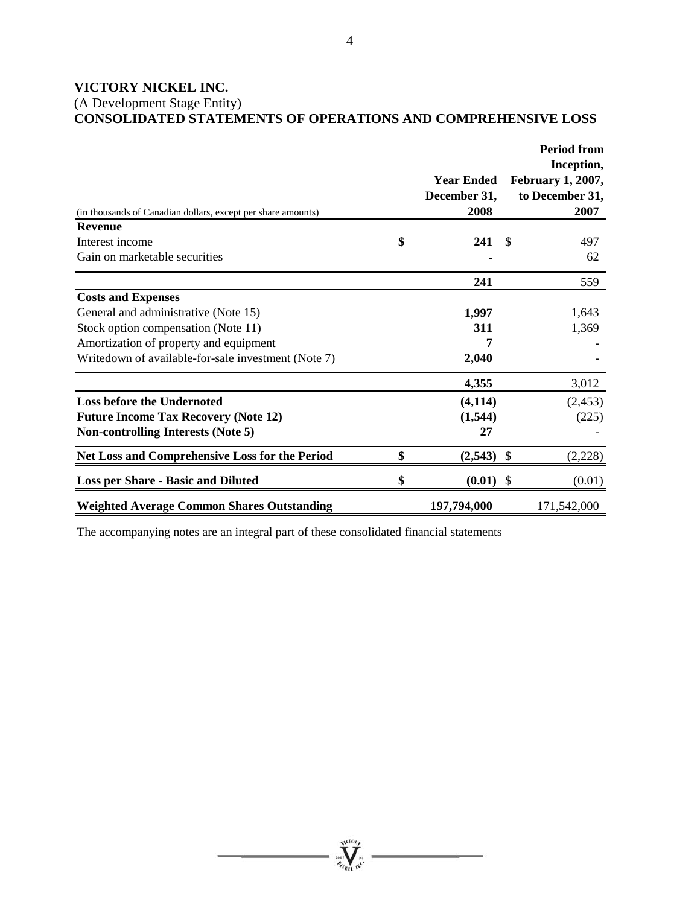# **VICTORY NICKEL INC.**

(A Development Stage Entity) **CONSOLIDATED STATEMENTS OF OPERATIONS AND COMPREHENSIVE LOSS** 

|                                                              |                                           |               | <b>Period from</b>                                                |
|--------------------------------------------------------------|-------------------------------------------|---------------|-------------------------------------------------------------------|
| (in thousands of Canadian dollars, except per share amounts) | <b>Year Ended</b><br>December 31,<br>2008 |               | Inception,<br><b>February 1, 2007,</b><br>to December 31,<br>2007 |
| <b>Revenue</b>                                               |                                           |               |                                                                   |
| Interest income                                              | \$<br>241                                 | <sup>\$</sup> | 497                                                               |
| Gain on marketable securities                                |                                           |               | 62                                                                |
|                                                              | 241                                       |               | 559                                                               |
| <b>Costs and Expenses</b>                                    |                                           |               |                                                                   |
| General and administrative (Note 15)                         | 1,997                                     |               | 1,643                                                             |
| Stock option compensation (Note 11)                          | 311                                       |               | 1,369                                                             |
| Amortization of property and equipment                       | 7                                         |               |                                                                   |
| Writedown of available-for-sale investment (Note 7)          | 2,040                                     |               |                                                                   |
|                                                              | 4,355                                     |               | 3,012                                                             |
| <b>Loss before the Undernoted</b>                            | (4, 114)                                  |               | (2, 453)                                                          |
| <b>Future Income Tax Recovery (Note 12)</b>                  | (1,544)                                   |               | (225)                                                             |
| <b>Non-controlling Interests (Note 5)</b>                    | 27                                        |               |                                                                   |
| Net Loss and Comprehensive Loss for the Period               | \$<br>(2,543)                             | \$            | (2,228)                                                           |
| <b>Loss per Share - Basic and Diluted</b>                    | \$<br>$(0.01)$ \$                         |               | (0.01)                                                            |
| <b>Weighted Average Common Shares Outstanding</b>            | 197,794,000                               |               | 171,542,000                                                       |

The accompanying notes are an integral part of these consolidated financial statements

**William**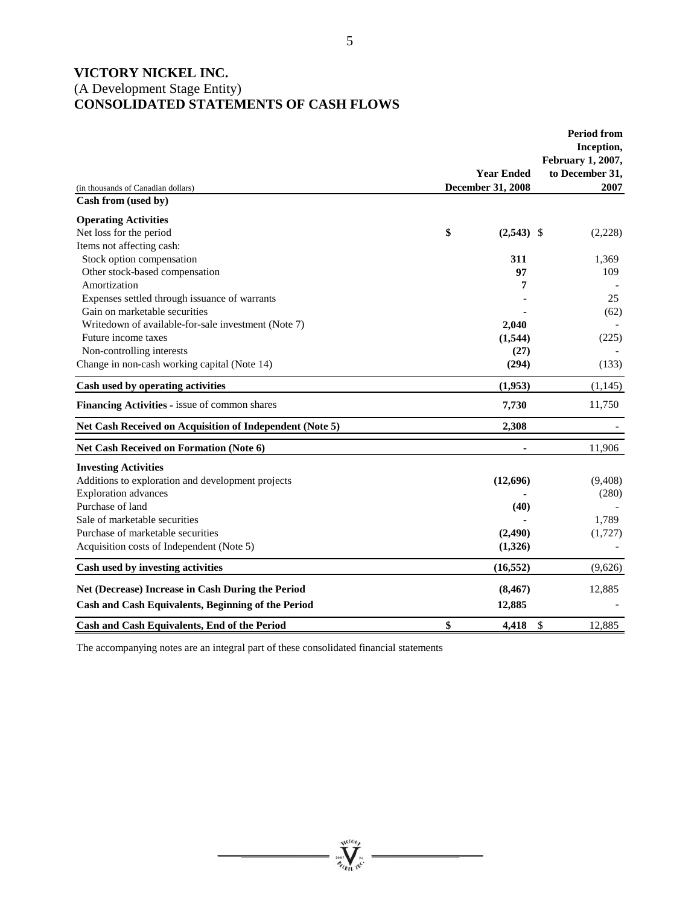# **VICTORY NICKEL INC.**  (A Development Stage Entity) **CONSOLIDATED STATEMENTS OF CASH FLOWS**

|                                                          | <b>Year Ended</b>  | <b>Period from</b><br>Inception,<br>February 1, 2007,<br>to December 31, |
|----------------------------------------------------------|--------------------|--------------------------------------------------------------------------|
| (in thousands of Canadian dollars)                       | December 31, 2008  | 2007                                                                     |
| Cash from (used by)                                      |                    |                                                                          |
| <b>Operating Activities</b>                              |                    |                                                                          |
| Net loss for the period                                  | \$<br>$(2,543)$ \$ | (2,228)                                                                  |
| Items not affecting cash:                                |                    |                                                                          |
| Stock option compensation                                | 311                | 1,369                                                                    |
| Other stock-based compensation                           | 97                 | 109                                                                      |
| Amortization                                             | 7                  |                                                                          |
| Expenses settled through issuance of warrants            |                    | 25                                                                       |
| Gain on marketable securities                            |                    | (62)                                                                     |
| Writedown of available-for-sale investment (Note 7)      | 2,040              |                                                                          |
| Future income taxes                                      | (1,544)            | (225)                                                                    |
| Non-controlling interests                                | (27)               |                                                                          |
| Change in non-cash working capital (Note 14)             | (294)              | (133)                                                                    |
| Cash used by operating activities                        | (1,953)            | (1, 145)                                                                 |
| Financing Activities - issue of common shares            | 7,730              | 11,750                                                                   |
| Net Cash Received on Acquisition of Independent (Note 5) | 2.308              |                                                                          |
| <b>Net Cash Received on Formation (Note 6)</b>           |                    | 11,906                                                                   |
| <b>Investing Activities</b>                              |                    |                                                                          |
| Additions to exploration and development projects        | (12,696)           | (9,408)                                                                  |
| <b>Exploration</b> advances                              |                    | (280)                                                                    |
| Purchase of land                                         | (40)               |                                                                          |
| Sale of marketable securities                            |                    | 1,789                                                                    |
| Purchase of marketable securities                        | (2,490)            | (1,727)                                                                  |
| Acquisition costs of Independent (Note 5)                | (1,326)            |                                                                          |
| Cash used by investing activities                        | (16, 552)          | (9,626)                                                                  |
| Net (Decrease) Increase in Cash During the Period        | (8, 467)           | 12,885                                                                   |
| Cash and Cash Equivalents, Beginning of the Period       | 12,885             |                                                                          |
| Cash and Cash Equivalents, End of the Period             | \$<br>4.418        | \$<br>12,885                                                             |

**Wellow** 

The accompanying notes are an integral part of these consolidated financial statements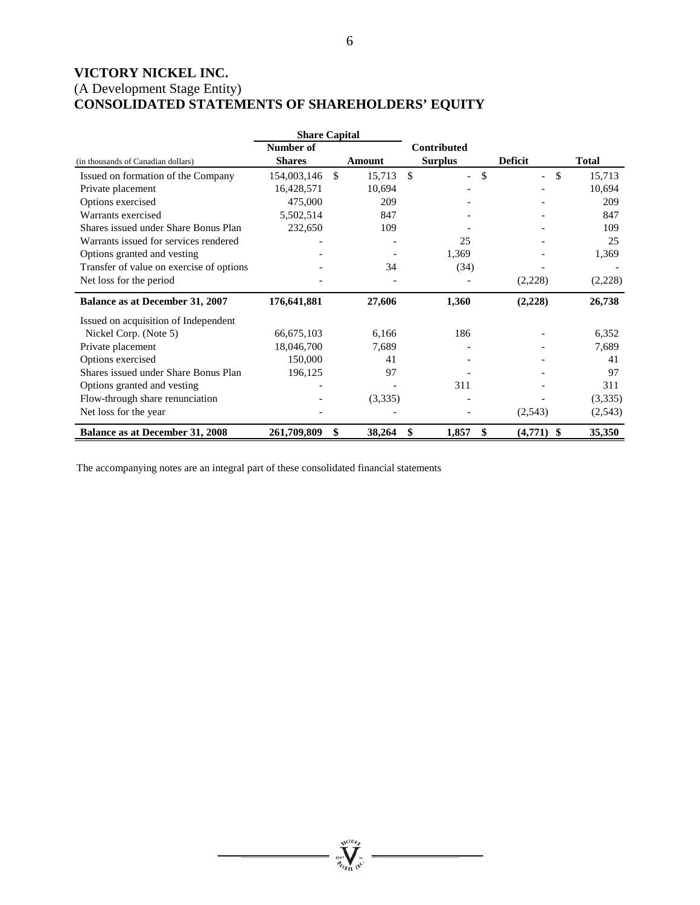# **VICTORY NICKEL INC.**  (A Development Stage Entity) **CONSOLIDATED STATEMENTS OF SHAREHOLDERS' EQUITY**

|                                          | <b>Share Capital</b> |        |         |                    |                                |                          |              |
|------------------------------------------|----------------------|--------|---------|--------------------|--------------------------------|--------------------------|--------------|
|                                          | Number of            |        |         | <b>Contributed</b> |                                |                          |              |
| (in thousands of Canadian dollars)       | <b>Shares</b>        | Amount |         | <b>Surplus</b>     |                                | <b>Deficit</b>           | <b>Total</b> |
| Issued on formation of the Company       | 154,003,146          | -\$    | 15,713  | \$                 | \$<br>$\overline{\phantom{a}}$ | $\overline{\phantom{a}}$ | \$<br>15,713 |
| Private placement                        | 16,428,571           |        | 10,694  |                    |                                |                          | 10,694       |
| Options exercised                        | 475,000              |        | 209     |                    |                                |                          | 209          |
| Warrants exercised                       | 5,502,514            |        | 847     |                    |                                |                          | 847          |
| Shares issued under Share Bonus Plan     | 232,650              |        | 109     |                    |                                |                          | 109          |
| Warrants issued for services rendered    |                      |        |         |                    | 25                             |                          | 25           |
| Options granted and vesting              |                      |        |         | 1,369              |                                |                          | 1,369        |
| Transfer of value on exercise of options |                      |        | 34      |                    | (34)                           |                          |              |
| Net loss for the period                  |                      |        |         |                    |                                | (2,228)                  | (2,228)      |
| Balance as at December 31, 2007          | 176,641,881          |        | 27,606  | 1,360              |                                | (2,228)                  | 26,738       |
| Issued on acquisition of Independent     |                      |        |         |                    |                                |                          |              |
| Nickel Corp. (Note 5)                    | 66,675,103           |        | 6,166   | 186                |                                |                          | 6,352        |
| Private placement                        | 18,046,700           |        | 7,689   |                    |                                |                          | 7,689        |
| Options exercised                        | 150,000              |        | 41      |                    |                                |                          | 41           |
| Shares issued under Share Bonus Plan     | 196,125              |        | 97      |                    |                                |                          | 97           |
| Options granted and vesting              |                      |        |         | 311                |                                |                          | 311          |
| Flow-through share renunciation          |                      |        | (3,335) |                    |                                |                          | (3,335)      |
| Net loss for the year                    |                      |        |         |                    |                                | (2,543)                  | (2,543)      |
| <b>Balance as at December 31, 2008</b>   | 261,709,809          | \$     | 38,264  | \$<br>1,857        | \$                             | $(4,771)$ \$             | 35,350       |

The accompanying notes are an integral part of these consolidated financial statements

**William**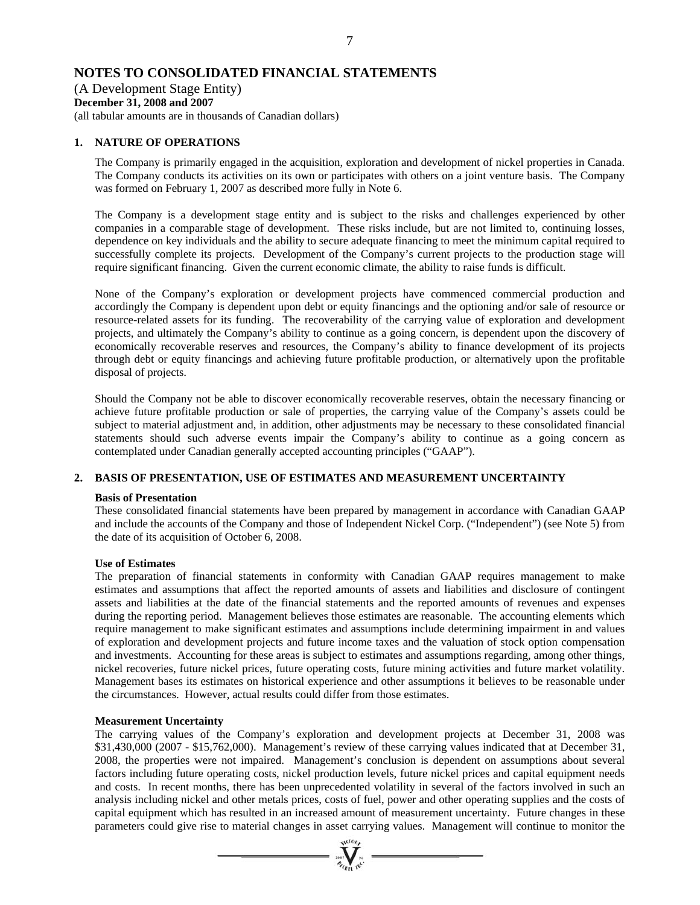# **NOTES TO CONSOLIDATED FINANCIAL STATEMENTS**

(A Development Stage Entity) **December 31, 2008 and 2007** 

(all tabular amounts are in thousands of Canadian dollars)

# **1. NATURE OF OPERATIONS**

The Company is primarily engaged in the acquisition, exploration and development of nickel properties in Canada. The Company conducts its activities on its own or participates with others on a joint venture basis. The Company was formed on February 1, 2007 as described more fully in Note 6.

The Company is a development stage entity and is subject to the risks and challenges experienced by other companies in a comparable stage of development. These risks include, but are not limited to, continuing losses, dependence on key individuals and the ability to secure adequate financing to meet the minimum capital required to successfully complete its projects. Development of the Company's current projects to the production stage will require significant financing. Given the current economic climate, the ability to raise funds is difficult.

None of the Company's exploration or development projects have commenced commercial production and accordingly the Company is dependent upon debt or equity financings and the optioning and/or sale of resource or resource-related assets for its funding. The recoverability of the carrying value of exploration and development projects, and ultimately the Company's ability to continue as a going concern, is dependent upon the discovery of economically recoverable reserves and resources, the Company's ability to finance development of its projects through debt or equity financings and achieving future profitable production, or alternatively upon the profitable disposal of projects.

Should the Company not be able to discover economically recoverable reserves, obtain the necessary financing or achieve future profitable production or sale of properties, the carrying value of the Company's assets could be subject to material adjustment and, in addition, other adjustments may be necessary to these consolidated financial statements should such adverse events impair the Company's ability to continue as a going concern as contemplated under Canadian generally accepted accounting principles ("GAAP").

# **2. BASIS OF PRESENTATION, USE OF ESTIMATES AND MEASUREMENT UNCERTAINTY**

# **Basis of Presentation**

These consolidated financial statements have been prepared by management in accordance with Canadian GAAP and include the accounts of the Company and those of Independent Nickel Corp. ("Independent") (see Note 5) from the date of its acquisition of October 6, 2008.

# **Use of Estimates**

The preparation of financial statements in conformity with Canadian GAAP requires management to make estimates and assumptions that affect the reported amounts of assets and liabilities and disclosure of contingent assets and liabilities at the date of the financial statements and the reported amounts of revenues and expenses during the reporting period. Management believes those estimates are reasonable. The accounting elements which require management to make significant estimates and assumptions include determining impairment in and values of exploration and development projects and future income taxes and the valuation of stock option compensation and investments. Accounting for these areas is subject to estimates and assumptions regarding, among other things, nickel recoveries, future nickel prices, future operating costs, future mining activities and future market volatility. Management bases its estimates on historical experience and other assumptions it believes to be reasonable under the circumstances. However, actual results could differ from those estimates.

# **Measurement Uncertainty**

The carrying values of the Company's exploration and development projects at December 31, 2008 was \$31,430,000 (2007 - \$15,762,000). Management's review of these carrying values indicated that at December 31, 2008, the properties were not impaired. Management's conclusion is dependent on assumptions about several factors including future operating costs, nickel production levels, future nickel prices and capital equipment needs and costs. In recent months, there has been unprecedented volatility in several of the factors involved in such an analysis including nickel and other metals prices, costs of fuel, power and other operating supplies and the costs of capital equipment which has resulted in an increased amount of measurement uncertainty. Future changes in these parameters could give rise to material changes in asset carrying values. Management will continue to monitor the

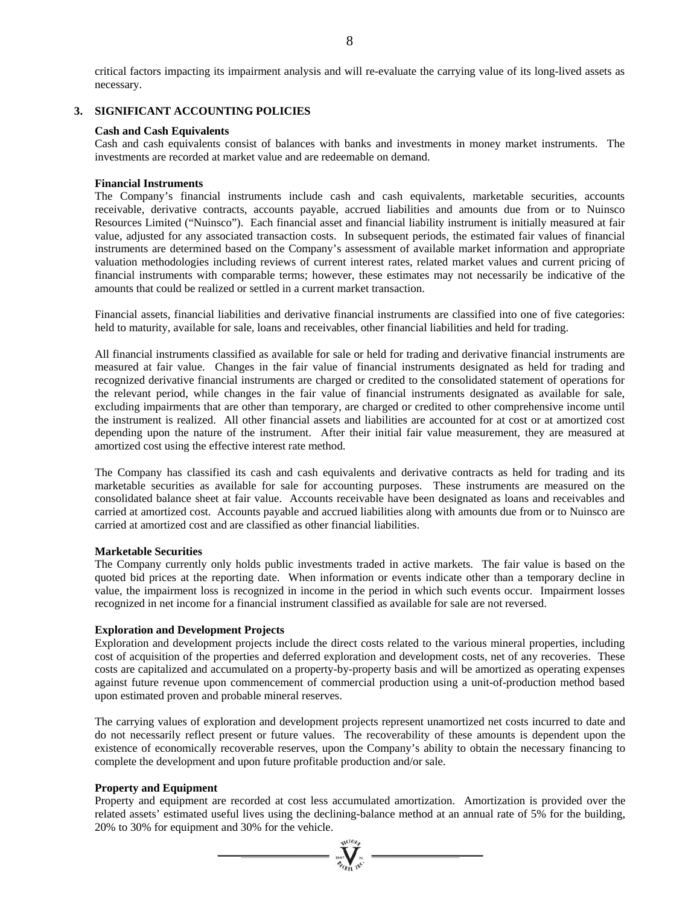critical factors impacting its impairment analysis and will re-evaluate the carrying value of its long-lived assets as necessary.

### **3. SIGNIFICANT ACCOUNTING POLICIES**

### **Cash and Cash Equivalents**

Cash and cash equivalents consist of balances with banks and investments in money market instruments. The investments are recorded at market value and are redeemable on demand.

### **Financial Instruments**

The Company's financial instruments include cash and cash equivalents, marketable securities, accounts receivable, derivative contracts, accounts payable, accrued liabilities and amounts due from or to Nuinsco Resources Limited ("Nuinsco"). Each financial asset and financial liability instrument is initially measured at fair value, adjusted for any associated transaction costs. In subsequent periods, the estimated fair values of financial instruments are determined based on the Company's assessment of available market information and appropriate valuation methodologies including reviews of current interest rates, related market values and current pricing of financial instruments with comparable terms; however, these estimates may not necessarily be indicative of the amounts that could be realized or settled in a current market transaction.

Financial assets, financial liabilities and derivative financial instruments are classified into one of five categories: held to maturity, available for sale, loans and receivables, other financial liabilities and held for trading.

All financial instruments classified as available for sale or held for trading and derivative financial instruments are measured at fair value. Changes in the fair value of financial instruments designated as held for trading and recognized derivative financial instruments are charged or credited to the consolidated statement of operations for the relevant period, while changes in the fair value of financial instruments designated as available for sale, excluding impairments that are other than temporary, are charged or credited to other comprehensive income until the instrument is realized. All other financial assets and liabilities are accounted for at cost or at amortized cost depending upon the nature of the instrument. After their initial fair value measurement, they are measured at amortized cost using the effective interest rate method.

The Company has classified its cash and cash equivalents and derivative contracts as held for trading and its marketable securities as available for sale for accounting purposes. These instruments are measured on the consolidated balance sheet at fair value. Accounts receivable have been designated as loans and receivables and carried at amortized cost. Accounts payable and accrued liabilities along with amounts due from or to Nuinsco are carried at amortized cost and are classified as other financial liabilities.

### **Marketable Securities**

The Company currently only holds public investments traded in active markets. The fair value is based on the quoted bid prices at the reporting date. When information or events indicate other than a temporary decline in value, the impairment loss is recognized in income in the period in which such events occur. Impairment losses recognized in net income for a financial instrument classified as available for sale are not reversed.

### **Exploration and Development Projects**

Exploration and development projects include the direct costs related to the various mineral properties, including cost of acquisition of the properties and deferred exploration and development costs, net of any recoveries. These costs are capitalized and accumulated on a property-by-property basis and will be amortized as operating expenses against future revenue upon commencement of commercial production using a unit-of-production method based upon estimated proven and probable mineral reserves.

The carrying values of exploration and development projects represent unamortized net costs incurred to date and do not necessarily reflect present or future values. The recoverability of these amounts is dependent upon the existence of economically recoverable reserves, upon the Company's ability to obtain the necessary financing to complete the development and upon future profitable production and/or sale.

### **Property and Equipment**

Property and equipment are recorded at cost less accumulated amortization. Amortization is provided over the related assets' estimated useful lives using the declining-balance method at an annual rate of 5% for the building, 20% to 30% for equipment and 30% for the vehicle.

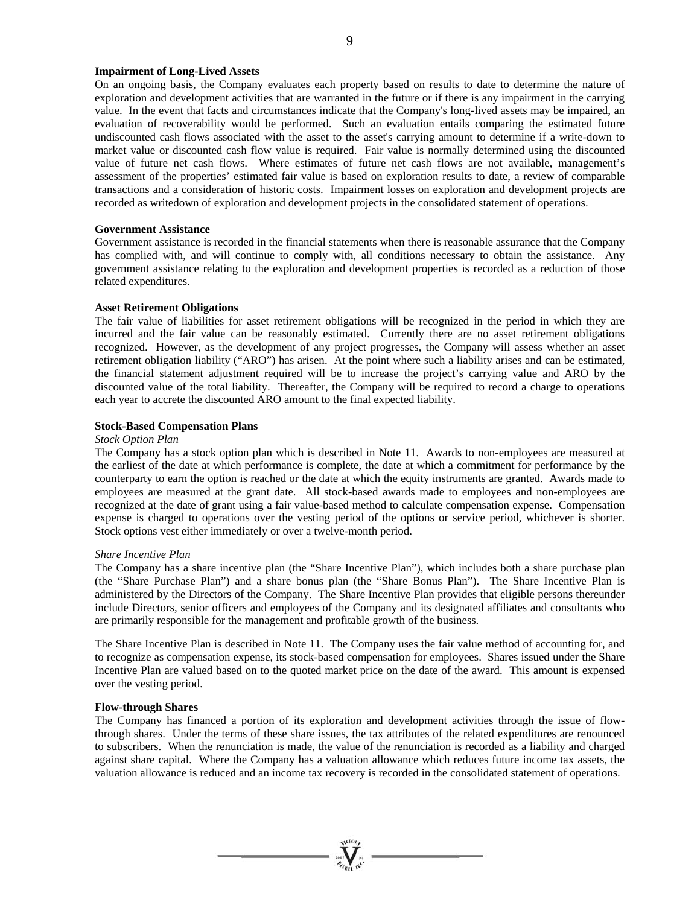### **Impairment of Long-Lived Assets**

On an ongoing basis, the Company evaluates each property based on results to date to determine the nature of exploration and development activities that are warranted in the future or if there is any impairment in the carrying value. In the event that facts and circumstances indicate that the Company's long-lived assets may be impaired, an evaluation of recoverability would be performed. Such an evaluation entails comparing the estimated future undiscounted cash flows associated with the asset to the asset's carrying amount to determine if a write-down to market value or discounted cash flow value is required. Fair value is normally determined using the discounted value of future net cash flows. Where estimates of future net cash flows are not available, management's assessment of the properties' estimated fair value is based on exploration results to date, a review of comparable transactions and a consideration of historic costs. Impairment losses on exploration and development projects are recorded as writedown of exploration and development projects in the consolidated statement of operations.

### **Government Assistance**

Government assistance is recorded in the financial statements when there is reasonable assurance that the Company has complied with, and will continue to comply with, all conditions necessary to obtain the assistance. Any government assistance relating to the exploration and development properties is recorded as a reduction of those related expenditures.

### **Asset Retirement Obligations**

The fair value of liabilities for asset retirement obligations will be recognized in the period in which they are incurred and the fair value can be reasonably estimated. Currently there are no asset retirement obligations recognized. However, as the development of any project progresses, the Company will assess whether an asset retirement obligation liability ("ARO") has arisen. At the point where such a liability arises and can be estimated, the financial statement adjustment required will be to increase the project's carrying value and ARO by the discounted value of the total liability. Thereafter, the Company will be required to record a charge to operations each year to accrete the discounted ARO amount to the final expected liability.

### **Stock-Based Compensation Plans**

### *Stock Option Plan*

The Company has a stock option plan which is described in Note 11. Awards to non-employees are measured at the earliest of the date at which performance is complete, the date at which a commitment for performance by the counterparty to earn the option is reached or the date at which the equity instruments are granted. Awards made to employees are measured at the grant date. All stock-based awards made to employees and non-employees are recognized at the date of grant using a fair value-based method to calculate compensation expense. Compensation expense is charged to operations over the vesting period of the options or service period, whichever is shorter. Stock options vest either immediately or over a twelve-month period.

### *Share Incentive Plan*

The Company has a share incentive plan (the "Share Incentive Plan"), which includes both a share purchase plan (the "Share Purchase Plan") and a share bonus plan (the "Share Bonus Plan"). The Share Incentive Plan is administered by the Directors of the Company. The Share Incentive Plan provides that eligible persons thereunder include Directors, senior officers and employees of the Company and its designated affiliates and consultants who are primarily responsible for the management and profitable growth of the business.

The Share Incentive Plan is described in Note 11. The Company uses the fair value method of accounting for, and to recognize as compensation expense, its stock-based compensation for employees. Shares issued under the Share Incentive Plan are valued based on to the quoted market price on the date of the award. This amount is expensed over the vesting period.

### **Flow-through Shares**

The Company has financed a portion of its exploration and development activities through the issue of flowthrough shares. Under the terms of these share issues, the tax attributes of the related expenditures are renounced to subscribers. When the renunciation is made, the value of the renunciation is recorded as a liability and charged against share capital. Where the Company has a valuation allowance which reduces future income tax assets, the valuation allowance is reduced and an income tax recovery is recorded in the consolidated statement of operations.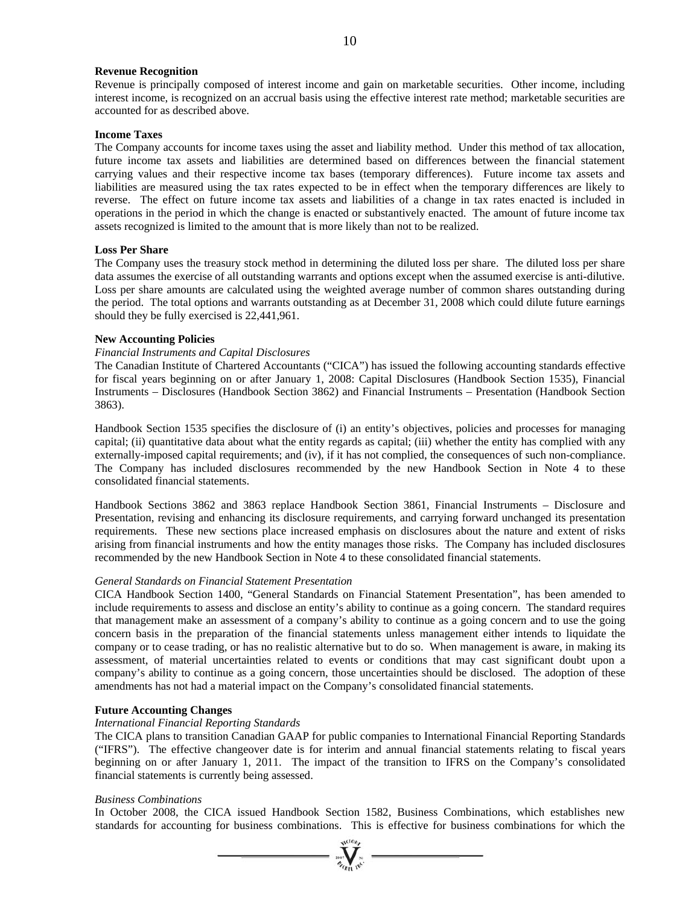### **Revenue Recognition**

Revenue is principally composed of interest income and gain on marketable securities. Other income, including interest income, is recognized on an accrual basis using the effective interest rate method; marketable securities are accounted for as described above.

### **Income Taxes**

The Company accounts for income taxes using the asset and liability method. Under this method of tax allocation, future income tax assets and liabilities are determined based on differences between the financial statement carrying values and their respective income tax bases (temporary differences). Future income tax assets and liabilities are measured using the tax rates expected to be in effect when the temporary differences are likely to reverse. The effect on future income tax assets and liabilities of a change in tax rates enacted is included in operations in the period in which the change is enacted or substantively enacted. The amount of future income tax assets recognized is limited to the amount that is more likely than not to be realized.

### **Loss Per Share**

The Company uses the treasury stock method in determining the diluted loss per share. The diluted loss per share data assumes the exercise of all outstanding warrants and options except when the assumed exercise is anti-dilutive. Loss per share amounts are calculated using the weighted average number of common shares outstanding during the period. The total options and warrants outstanding as at December 31, 2008 which could dilute future earnings should they be fully exercised is 22,441,961.

### **New Accounting Policies**

### *Financial Instruments and Capital Disclosures*

The Canadian Institute of Chartered Accountants ("CICA") has issued the following accounting standards effective for fiscal years beginning on or after January 1, 2008: Capital Disclosures (Handbook Section 1535), Financial Instruments – Disclosures (Handbook Section 3862) and Financial Instruments – Presentation (Handbook Section 3863).

Handbook Section 1535 specifies the disclosure of (i) an entity's objectives, policies and processes for managing capital; (ii) quantitative data about what the entity regards as capital; (iii) whether the entity has complied with any externally-imposed capital requirements; and (iv), if it has not complied, the consequences of such non-compliance. The Company has included disclosures recommended by the new Handbook Section in Note 4 to these consolidated financial statements.

Handbook Sections 3862 and 3863 replace Handbook Section 3861, Financial Instruments – Disclosure and Presentation, revising and enhancing its disclosure requirements, and carrying forward unchanged its presentation requirements. These new sections place increased emphasis on disclosures about the nature and extent of risks arising from financial instruments and how the entity manages those risks. The Company has included disclosures recommended by the new Handbook Section in Note 4 to these consolidated financial statements.

### *General Standards on Financial Statement Presentation*

CICA Handbook Section 1400, "General Standards on Financial Statement Presentation", has been amended to include requirements to assess and disclose an entity's ability to continue as a going concern. The standard requires that management make an assessment of a company's ability to continue as a going concern and to use the going concern basis in the preparation of the financial statements unless management either intends to liquidate the company or to cease trading, or has no realistic alternative but to do so. When management is aware, in making its assessment, of material uncertainties related to events or conditions that may cast significant doubt upon a company's ability to continue as a going concern, those uncertainties should be disclosed. The adoption of these amendments has not had a material impact on the Company's consolidated financial statements.

### **Future Accounting Changes**

### *International Financial Reporting Standards*

The CICA plans to transition Canadian GAAP for public companies to International Financial Reporting Standards ("IFRS"). The effective changeover date is for interim and annual financial statements relating to fiscal years beginning on or after January 1, 2011. The impact of the transition to IFRS on the Company's consolidated financial statements is currently being assessed.

### *Business Combinations*

In October 2008, the CICA issued Handbook Section 1582, Business Combinations, which establishes new standards for accounting for business combinations. This is effective for business combinations for which the

 $\sum_{\alpha}$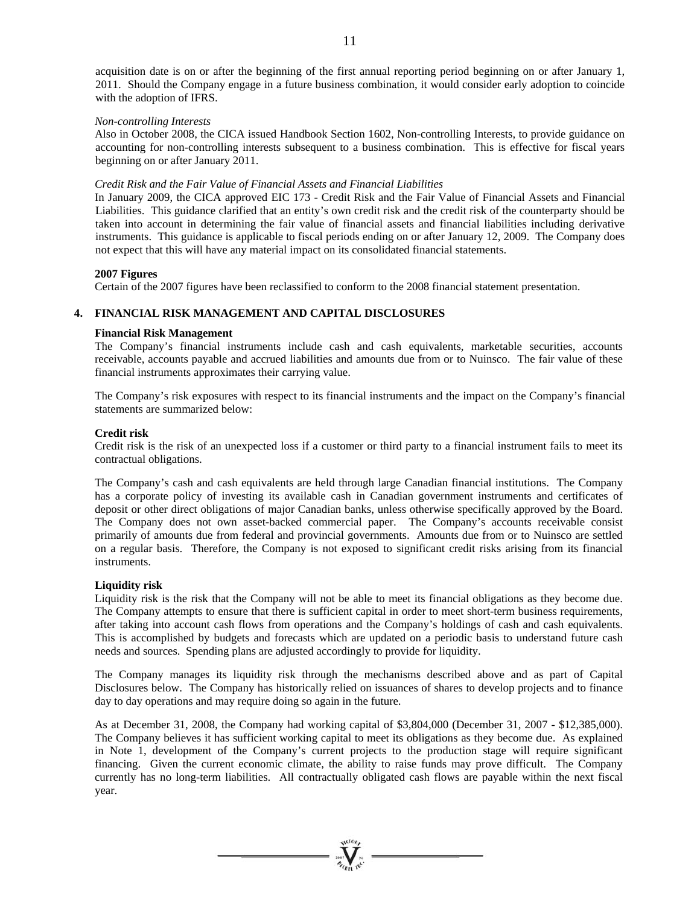acquisition date is on or after the beginning of the first annual reporting period beginning on or after January 1, 2011. Should the Company engage in a future business combination, it would consider early adoption to coincide with the adoption of IFRS.

### *Non-controlling Interests*

Also in October 2008, the CICA issued Handbook Section 1602, Non-controlling Interests, to provide guidance on accounting for non-controlling interests subsequent to a business combination. This is effective for fiscal years beginning on or after January 2011.

### *Credit Risk and the Fair Value of Financial Assets and Financial Liabilities*

In January 2009, the CICA approved EIC 173 - Credit Risk and the Fair Value of Financial Assets and Financial Liabilities. This guidance clarified that an entity's own credit risk and the credit risk of the counterparty should be taken into account in determining the fair value of financial assets and financial liabilities including derivative instruments. This guidance is applicable to fiscal periods ending on or after January 12, 2009. The Company does not expect that this will have any material impact on its consolidated financial statements.

### **2007 Figures**

Certain of the 2007 figures have been reclassified to conform to the 2008 financial statement presentation.

### **4. FINANCIAL RISK MANAGEMENT AND CAPITAL DISCLOSURES**

### **Financial Risk Management**

The Company's financial instruments include cash and cash equivalents, marketable securities, accounts receivable, accounts payable and accrued liabilities and amounts due from or to Nuinsco. The fair value of these financial instruments approximates their carrying value.

The Company's risk exposures with respect to its financial instruments and the impact on the Company's financial statements are summarized below:

### **Credit risk**

Credit risk is the risk of an unexpected loss if a customer or third party to a financial instrument fails to meet its contractual obligations.

The Company's cash and cash equivalents are held through large Canadian financial institutions. The Company has a corporate policy of investing its available cash in Canadian government instruments and certificates of deposit or other direct obligations of major Canadian banks, unless otherwise specifically approved by the Board. The Company does not own asset-backed commercial paper. The Company's accounts receivable consist primarily of amounts due from federal and provincial governments. Amounts due from or to Nuinsco are settled on a regular basis. Therefore, the Company is not exposed to significant credit risks arising from its financial instruments.

### **Liquidity risk**

Liquidity risk is the risk that the Company will not be able to meet its financial obligations as they become due. The Company attempts to ensure that there is sufficient capital in order to meet short-term business requirements, after taking into account cash flows from operations and the Company's holdings of cash and cash equivalents. This is accomplished by budgets and forecasts which are updated on a periodic basis to understand future cash needs and sources. Spending plans are adjusted accordingly to provide for liquidity.

The Company manages its liquidity risk through the mechanisms described above and as part of Capital Disclosures below. The Company has historically relied on issuances of shares to develop projects and to finance day to day operations and may require doing so again in the future.

As at December 31, 2008, the Company had working capital of \$3,804,000 (December 31, 2007 - \$12,385,000). The Company believes it has sufficient working capital to meet its obligations as they become due. As explained in Note 1, development of the Company's current projects to the production stage will require significant financing. Given the current economic climate, the ability to raise funds may prove difficult. The Company currently has no long-term liabilities. All contractually obligated cash flows are payable within the next fiscal year.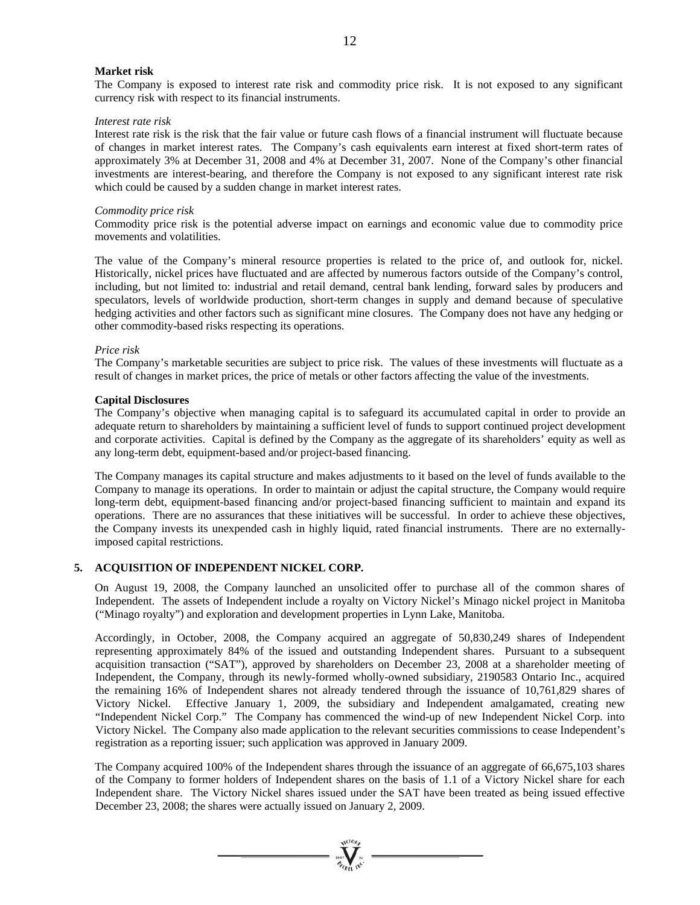### **Market risk**

The Company is exposed to interest rate risk and commodity price risk. It is not exposed to any significant currency risk with respect to its financial instruments.

### *Interest rate risk*

Interest rate risk is the risk that the fair value or future cash flows of a financial instrument will fluctuate because of changes in market interest rates. The Company's cash equivalents earn interest at fixed short-term rates of approximately 3% at December 31, 2008 and 4% at December 31, 2007. None of the Company's other financial investments are interest-bearing, and therefore the Company is not exposed to any significant interest rate risk which could be caused by a sudden change in market interest rates.

#### *Commodity price risk*

Commodity price risk is the potential adverse impact on earnings and economic value due to commodity price movements and volatilities.

The value of the Company's mineral resource properties is related to the price of, and outlook for, nickel. Historically, nickel prices have fluctuated and are affected by numerous factors outside of the Company's control, including, but not limited to: industrial and retail demand, central bank lending, forward sales by producers and speculators, levels of worldwide production, short-term changes in supply and demand because of speculative hedging activities and other factors such as significant mine closures. The Company does not have any hedging or other commodity-based risks respecting its operations.

### *Price risk*

The Company's marketable securities are subject to price risk. The values of these investments will fluctuate as a result of changes in market prices, the price of metals or other factors affecting the value of the investments.

#### **Capital Disclosures**

The Company's objective when managing capital is to safeguard its accumulated capital in order to provide an adequate return to shareholders by maintaining a sufficient level of funds to support continued project development and corporate activities. Capital is defined by the Company as the aggregate of its shareholders' equity as well as any long-term debt, equipment-based and/or project-based financing.

The Company manages its capital structure and makes adjustments to it based on the level of funds available to the Company to manage its operations. In order to maintain or adjust the capital structure, the Company would require long-term debt, equipment-based financing and/or project-based financing sufficient to maintain and expand its operations. There are no assurances that these initiatives will be successful. In order to achieve these objectives, the Company invests its unexpended cash in highly liquid, rated financial instruments. There are no externallyimposed capital restrictions.

### **5. ACQUISITION OF INDEPENDENT NICKEL CORP.**

On August 19, 2008, the Company launched an unsolicited offer to purchase all of the common shares of Independent. The assets of Independent include a royalty on Victory Nickel's Minago nickel project in Manitoba ("Minago royalty") and exploration and development properties in Lynn Lake, Manitoba.

Accordingly, in October, 2008, the Company acquired an aggregate of 50,830,249 shares of Independent representing approximately 84% of the issued and outstanding Independent shares. Pursuant to a subsequent acquisition transaction ("SAT"), approved by shareholders on December 23, 2008 at a shareholder meeting of Independent, the Company, through its newly-formed wholly-owned subsidiary, 2190583 Ontario Inc., acquired the remaining 16% of Independent shares not already tendered through the issuance of 10,761,829 shares of Victory Nickel. Effective January 1, 2009, the subsidiary and Independent amalgamated, creating new "Independent Nickel Corp." The Company has commenced the wind-up of new Independent Nickel Corp. into Victory Nickel. The Company also made application to the relevant securities commissions to cease Independent's registration as a reporting issuer; such application was approved in January 2009.

The Company acquired 100% of the Independent shares through the issuance of an aggregate of 66,675,103 shares of the Company to former holders of Independent shares on the basis of 1.1 of a Victory Nickel share for each Independent share. The Victory Nickel shares issued under the SAT have been treated as being issued effective December 23, 2008; the shares were actually issued on January 2, 2009.



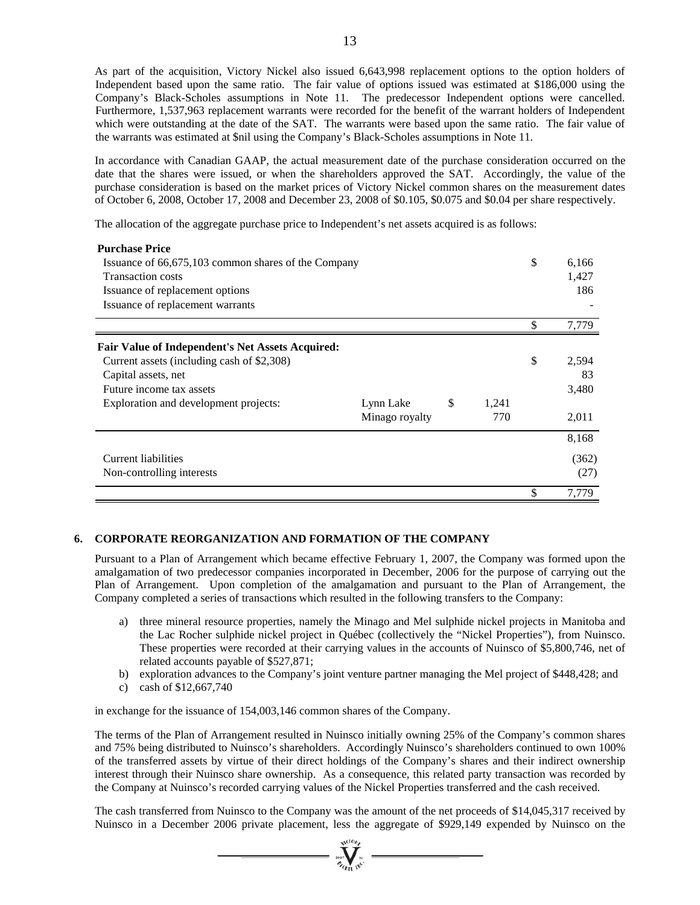As part of the acquisition, Victory Nickel also issued 6,643,998 replacement options to the option holders of Independent based upon the same ratio. The fair value of options issued was estimated at \$186,000 using the Company's Black-Scholes assumptions in Note 11. The predecessor Independent options were cancelled. Furthermore, 1,537,963 replacement warrants were recorded for the benefit of the warrant holders of Independent which were outstanding at the date of the SAT. The warrants were based upon the same ratio. The fair value of the warrants was estimated at \$nil using the Company's Black-Scholes assumptions in Note 11.

In accordance with Canadian GAAP, the actual measurement date of the purchase consideration occurred on the date that the shares were issued, or when the shareholders approved the SAT. Accordingly, the value of the purchase consideration is based on the market prices of Victory Nickel common shares on the measurement dates of October 6, 2008, October 17, 2008 and December 23, 2008 of \$0.105, \$0.075 and \$0.04 per share respectively.

The allocation of the aggregate purchase price to Independent's net assets acquired is as follows:

| <b>Purchase Price</b>                                   |                |       |       |    |       |  |  |  |
|---------------------------------------------------------|----------------|-------|-------|----|-------|--|--|--|
| Issuance of 66,675,103 common shares of the Company     | \$             | 6,166 |       |    |       |  |  |  |
| <b>Transaction costs</b>                                |                | 1,427 |       |    |       |  |  |  |
| Issuance of replacement options                         |                |       |       |    | 186   |  |  |  |
| Issuance of replacement warrants                        |                |       |       |    |       |  |  |  |
|                                                         |                |       |       | \$ | 7,779 |  |  |  |
| <b>Fair Value of Independent's Net Assets Acquired:</b> |                |       |       |    |       |  |  |  |
| Current assets (including cash of \$2,308)              |                |       |       | \$ | 2,594 |  |  |  |
| Capital assets, net                                     |                |       |       |    | 83    |  |  |  |
| Future income tax assets                                |                |       |       |    | 3,480 |  |  |  |
| Exploration and development projects:                   | Lynn Lake      | \$    | 1,241 |    |       |  |  |  |
|                                                         | Minago royalty |       | 770   |    | 2,011 |  |  |  |
|                                                         |                |       |       |    | 8,168 |  |  |  |
| Current liabilities                                     |                |       |       |    | (362) |  |  |  |
| Non-controlling interests                               |                |       |       |    | (27)  |  |  |  |
|                                                         |                |       |       | \$ | 7,779 |  |  |  |

# **6. CORPORATE REORGANIZATION AND FORMATION OF THE COMPANY**

Pursuant to a Plan of Arrangement which became effective February 1, 2007, the Company was formed upon the amalgamation of two predecessor companies incorporated in December, 2006 for the purpose of carrying out the Plan of Arrangement. Upon completion of the amalgamation and pursuant to the Plan of Arrangement, the Company completed a series of transactions which resulted in the following transfers to the Company:

- a) three mineral resource properties, namely the Minago and Mel sulphide nickel projects in Manitoba and the Lac Rocher sulphide nickel project in Québec (collectively the "Nickel Properties"), from Nuinsco. These properties were recorded at their carrying values in the accounts of Nuinsco of \$5,800,746, net of related accounts payable of \$527,871;
- b) exploration advances to the Company's joint venture partner managing the Mel project of \$448,428; and
- c) cash of \$12,667,740

in exchange for the issuance of 154,003,146 common shares of the Company.

The terms of the Plan of Arrangement resulted in Nuinsco initially owning 25% of the Company's common shares and 75% being distributed to Nuinsco's shareholders. Accordingly Nuinsco's shareholders continued to own 100% of the transferred assets by virtue of their direct holdings of the Company's shares and their indirect ownership interest through their Nuinsco share ownership. As a consequence, this related party transaction was recorded by the Company at Nuinsco's recorded carrying values of the Nickel Properties transferred and the cash received.

The cash transferred from Nuinsco to the Company was the amount of the net proceeds of \$14,045,317 received by Nuinsco in a December 2006 private placement, less the aggregate of \$929,149 expended by Nuinsco on the

 $\sum_{\alpha}$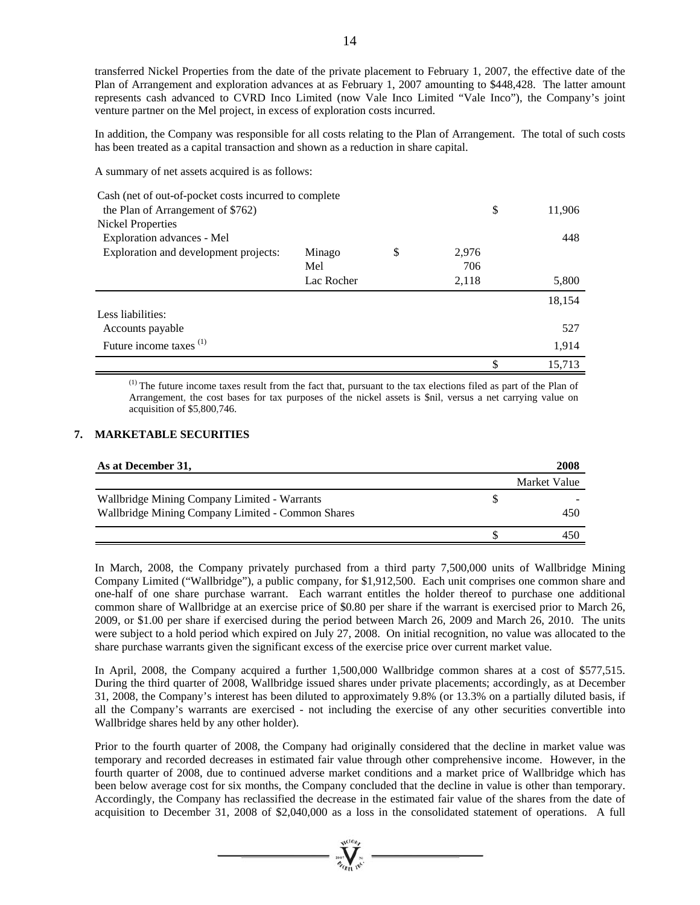transferred Nickel Properties from the date of the private placement to February 1, 2007, the effective date of the Plan of Arrangement and exploration advances at as February 1, 2007 amounting to \$448,428. The latter amount represents cash advanced to CVRD Inco Limited (now Vale Inco Limited "Vale Inco"), the Company's joint venture partner on the Mel project, in excess of exploration costs incurred.

In addition, the Company was responsible for all costs relating to the Plan of Arrangement. The total of such costs has been treated as a capital transaction and shown as a reduction in share capital.

A summary of net assets acquired is as follows:

| Cash (net of out-of-pocket costs incurred to complete |            |        |       |        |
|-------------------------------------------------------|------------|--------|-------|--------|
| the Plan of Arrangement of \$762)                     | \$         | 11,906 |       |        |
| <b>Nickel Properties</b>                              |            |        |       |        |
| Exploration advances - Mel                            |            |        |       | 448    |
| Exploration and development projects:                 | Minago     | \$     | 2,976 |        |
|                                                       | Mel        |        | 706   |        |
|                                                       | Lac Rocher |        | 2,118 | 5,800  |
|                                                       |            |        |       | 18,154 |
| Less liabilities:                                     |            |        |       |        |
| Accounts payable                                      |            |        |       | 527    |
| Future income taxes <sup>(1)</sup>                    |            |        |       | 1,914  |
|                                                       |            |        |       | 15.713 |

(1) The future income taxes result from the fact that, pursuant to the tax elections filed as part of the Plan of Arrangement, the cost bases for tax purposes of the nickel assets is \$nil, versus a net carrying value on acquisition of \$5,800,746.

## **7. MARKETABLE SECURITIES**

| As at December 31,                                | 2008         |
|---------------------------------------------------|--------------|
|                                                   | Market Value |
| Wallbridge Mining Company Limited - Warrants      |              |
| Wallbridge Mining Company Limited - Common Shares | 450          |
|                                                   |              |

In March, 2008, the Company privately purchased from a third party 7,500,000 units of Wallbridge Mining Company Limited ("Wallbridge"), a public company, for \$1,912,500. Each unit comprises one common share and one-half of one share purchase warrant. Each warrant entitles the holder thereof to purchase one additional common share of Wallbridge at an exercise price of \$0.80 per share if the warrant is exercised prior to March 26, 2009, or \$1.00 per share if exercised during the period between March 26, 2009 and March 26, 2010. The units were subject to a hold period which expired on July 27, 2008. On initial recognition, no value was allocated to the share purchase warrants given the significant excess of the exercise price over current market value.

In April, 2008, the Company acquired a further 1,500,000 Wallbridge common shares at a cost of \$577,515. During the third quarter of 2008, Wallbridge issued shares under private placements; accordingly, as at December 31, 2008, the Company's interest has been diluted to approximately 9.8% (or 13.3% on a partially diluted basis, if all the Company's warrants are exercised - not including the exercise of any other securities convertible into Wallbridge shares held by any other holder).

Prior to the fourth quarter of 2008, the Company had originally considered that the decline in market value was temporary and recorded decreases in estimated fair value through other comprehensive income. However, in the fourth quarter of 2008, due to continued adverse market conditions and a market price of Wallbridge which has been below average cost for six months, the Company concluded that the decline in value is other than temporary. Accordingly, the Company has reclassified the decrease in the estimated fair value of the shares from the date of acquisition to December 31, 2008 of \$2,040,000 as a loss in the consolidated statement of operations. A full

 $\sum_{\alpha}$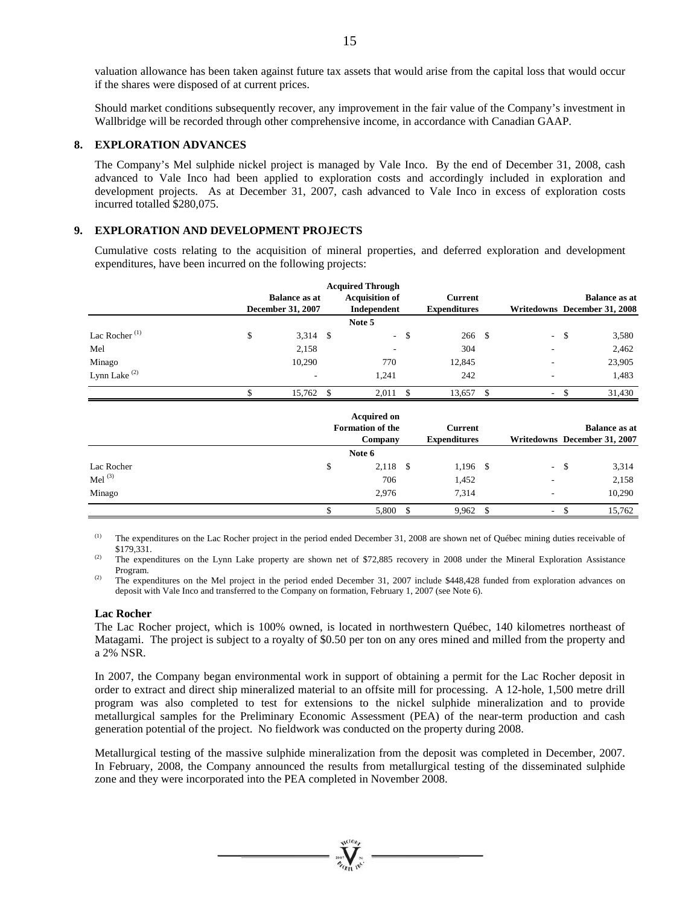valuation allowance has been taken against future tax assets that would arise from the capital loss that would occur if the shares were disposed of at current prices.

Should market conditions subsequently recover, any improvement in the fair value of the Company's investment in Wallbridge will be recorded through other comprehensive income, in accordance with Canadian GAAP.

## **8. EXPLORATION ADVANCES**

The Company's Mel sulphide nickel project is managed by Vale Inco. By the end of December 31, 2008, cash advanced to Vale Inco had been applied to exploration costs and accordingly included in exploration and development projects. As at December 31, 2007, cash advanced to Vale Inco in excess of exploration costs incurred totalled \$280,075.

### **9. EXPLORATION AND DEVELOPMENT PROJECTS**

Cumulative costs relating to the acquisition of mineral properties, and deferred exploration and development expenditures, have been incurred on the following projects:

|                           |                          | <b>Acquired Through</b> |               |                     |                                |      |                              |
|---------------------------|--------------------------|-------------------------|---------------|---------------------|--------------------------------|------|------------------------------|
|                           | <b>Balance as at</b>     | <b>Acquisition of</b>   |               | <b>Current</b>      |                                |      | <b>Balance</b> as at         |
|                           | December 31, 2007        | Independent             |               | <b>Expenditures</b> |                                |      | Writedowns December 31, 2008 |
|                           |                          | Note 5                  |               |                     |                                |      |                              |
| Lac Rocher <sup>(1)</sup> | \$<br>$3,314$ \$         | $\sim$                  | $\mathcal{S}$ | 266 \$              | $\sim$                         | - \$ | 3,580                        |
| Mel                       | 2,158                    |                         |               | 304                 |                                |      | 2,462                        |
| Minago                    | 10,290                   | 770                     |               | 12,845              |                                |      | 23,905                       |
| Lynn Lake <sup>(2)</sup>  | $\overline{\phantom{a}}$ | 1,241                   |               | 242                 |                                |      | 1,483                        |
|                           | 15,762 \$                | 2,011                   | -S            | 13,657 \$           | ۰                              | \$   | 31,430                       |
|                           |                          | <b>Acquired on</b>      |               |                     |                                |      |                              |
|                           |                          | <b>Formation of the</b> |               | <b>Current</b>      |                                |      | <b>Balance as at</b>         |
|                           |                          | Company                 |               | <b>Expenditures</b> |                                |      | Writedowns December 31, 2007 |
|                           |                          | Note 6                  |               |                     |                                |      |                              |
| Lac Rocher                |                          | \$<br>$2,118$ \$        |               | $1,196$ \$          | $\sim$                         | -\$  | 3,314                        |
| Mel $^{(3)}$              |                          | 706                     |               | 1,452               |                                |      | 2,158                        |
| Minago                    |                          | 2,976                   |               | 7,314               |                                |      | 10,290                       |
|                           |                          | \$<br>5,800             | $\mathbf{\$}$ | 9,962               | \$<br>$\overline{\phantom{a}}$ | \$   | 15,762                       |

<sup>(1)</sup> The expenditures on the Lac Rocher project in the period ended December 31, 2008 are shown net of Québec mining duties receivable of \$179,331. (2) The expenditures on the Lynn Lake property are shown net of \$72,885 recovery in 2008 under the Mineral Exploration Assistance

Program.<br>
<sup>(2)</sup> The expenditures on the Mel project in the period ended December 31, 2007 include \$448,428 funded from exploration advances on

deposit with Vale Inco and transferred to the Company on formation, February 1, 2007 (see Note 6).

### **Lac Rocher**

The Lac Rocher project, which is 100% owned, is located in northwestern Québec, 140 kilometres northeast of Matagami. The project is subject to a royalty of \$0.50 per ton on any ores mined and milled from the property and a 2% NSR.

In 2007, the Company began environmental work in support of obtaining a permit for the Lac Rocher deposit in order to extract and direct ship mineralized material to an offsite mill for processing. A 12-hole, 1,500 metre drill program was also completed to test for extensions to the nickel sulphide mineralization and to provide metallurgical samples for the Preliminary Economic Assessment (PEA) of the near-term production and cash generation potential of the project. No fieldwork was conducted on the property during 2008.

Metallurgical testing of the massive sulphide mineralization from the deposit was completed in December, 2007. In February, 2008, the Company announced the results from metallurgical testing of the disseminated sulphide zone and they were incorporated into the PEA completed in November 2008.

 $\sum_{\gamma_{\alpha}}$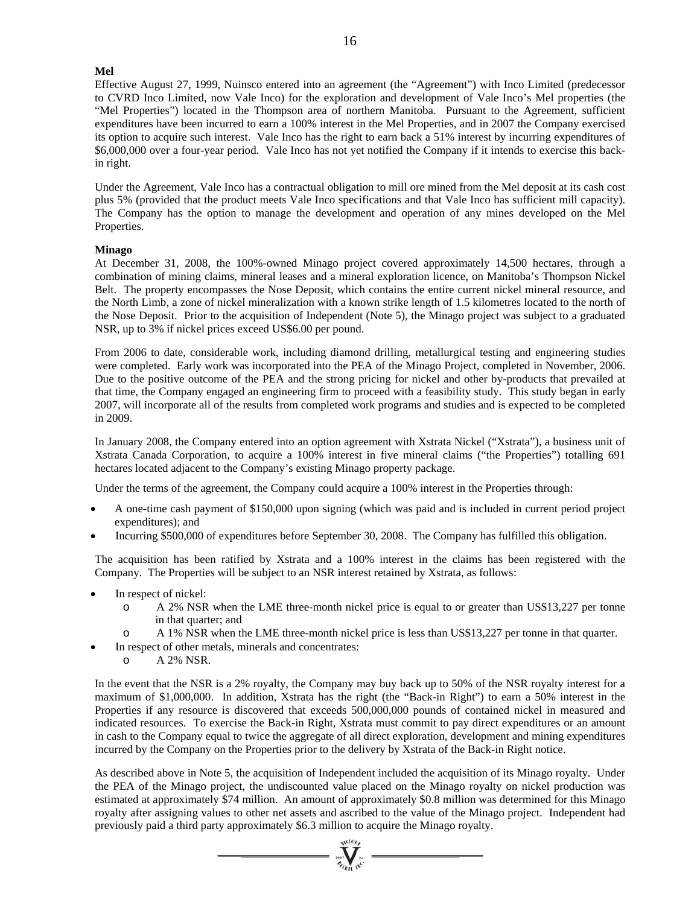## **Mel**

Effective August 27, 1999, Nuinsco entered into an agreement (the "Agreement") with Inco Limited (predecessor to CVRD Inco Limited, now Vale Inco) for the exploration and development of Vale Inco's Mel properties (the "Mel Properties") located in the Thompson area of northern Manitoba. Pursuant to the Agreement, sufficient expenditures have been incurred to earn a 100% interest in the Mel Properties, and in 2007 the Company exercised its option to acquire such interest. Vale Inco has the right to earn back a 51% interest by incurring expenditures of \$6,000,000 over a four-year period. Vale Inco has not yet notified the Company if it intends to exercise this backin right.

Under the Agreement, Vale Inco has a contractual obligation to mill ore mined from the Mel deposit at its cash cost plus 5% (provided that the product meets Vale Inco specifications and that Vale Inco has sufficient mill capacity). The Company has the option to manage the development and operation of any mines developed on the Mel Properties.

### **Minago**

At December 31, 2008, the 100%-owned Minago project covered approximately 14,500 hectares, through a combination of mining claims, mineral leases and a mineral exploration licence, on Manitoba's Thompson Nickel Belt. The property encompasses the Nose Deposit, which contains the entire current nickel mineral resource, and the North Limb, a zone of nickel mineralization with a known strike length of 1.5 kilometres located to the north of the Nose Deposit. Prior to the acquisition of Independent (Note 5), the Minago project was subject to a graduated NSR, up to 3% if nickel prices exceed US\$6.00 per pound.

From 2006 to date, considerable work, including diamond drilling, metallurgical testing and engineering studies were completed. Early work was incorporated into the PEA of the Minago Project, completed in November, 2006. Due to the positive outcome of the PEA and the strong pricing for nickel and other by-products that prevailed at that time, the Company engaged an engineering firm to proceed with a feasibility study. This study began in early 2007, will incorporate all of the results from completed work programs and studies and is expected to be completed in 2009.

In January 2008, the Company entered into an option agreement with Xstrata Nickel ("Xstrata"), a business unit of Xstrata Canada Corporation, to acquire a 100% interest in five mineral claims ("the Properties") totalling 691 hectares located adjacent to the Company's existing Minago property package.

Under the terms of the agreement, the Company could acquire a 100% interest in the Properties through:

- A one-time cash payment of \$150,000 upon signing (which was paid and is included in current period project expenditures); and
- Incurring \$500,000 of expenditures before September 30, 2008. The Company has fulfilled this obligation.

The acquisition has been ratified by Xstrata and a 100% interest in the claims has been registered with the Company. The Properties will be subject to an NSR interest retained by Xstrata, as follows:

- In respect of nickel:
	- o A 2% NSR when the LME three-month nickel price is equal to or greater than US\$13,227 per tonne in that quarter; and
	- o A 1% NSR when the LME three-month nickel price is less than US\$13,227 per tonne in that quarter.
- In respect of other metals, minerals and concentrates:
	- o A 2% NSR.

In the event that the NSR is a 2% royalty, the Company may buy back up to 50% of the NSR royalty interest for a maximum of \$1,000,000. In addition, Xstrata has the right (the "Back-in Right") to earn a 50% interest in the Properties if any resource is discovered that exceeds 500,000,000 pounds of contained nickel in measured and indicated resources. To exercise the Back-in Right, Xstrata must commit to pay direct expenditures or an amount in cash to the Company equal to twice the aggregate of all direct exploration, development and mining expenditures incurred by the Company on the Properties prior to the delivery by Xstrata of the Back-in Right notice.

As described above in Note 5, the acquisition of Independent included the acquisition of its Minago royalty. Under the PEA of the Minago project, the undiscounted value placed on the Minago royalty on nickel production was estimated at approximately \$74 million. An amount of approximately \$0.8 million was determined for this Minago royalty after assigning values to other net assets and ascribed to the value of the Minago project. Independent had previously paid a third party approximately \$6.3 million to acquire the Minago royalty.

 $=\prod_{\substack{m=1\\ \text{odd }n}}^{\text{data}}$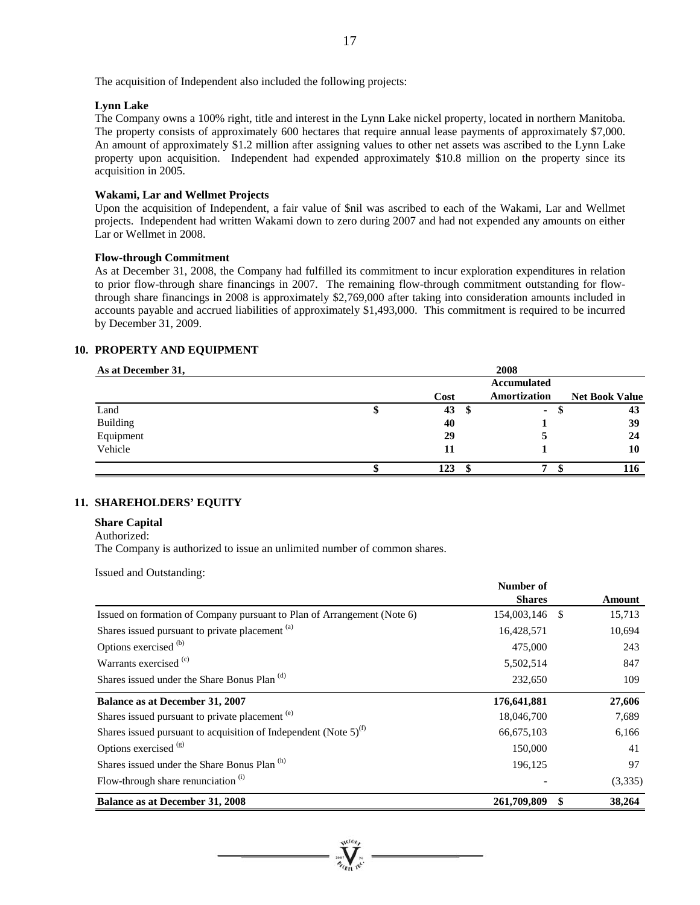The acquisition of Independent also included the following projects:

## **Lynn Lake**

The Company owns a 100% right, title and interest in the Lynn Lake nickel property, located in northern Manitoba. The property consists of approximately 600 hectares that require annual lease payments of approximately \$7,000. An amount of approximately \$1.2 million after assigning values to other net assets was ascribed to the Lynn Lake property upon acquisition. Independent had expended approximately \$10.8 million on the property since its acquisition in 2005.

### **Wakami, Lar and Wellmet Projects**

Upon the acquisition of Independent, a fair value of \$nil was ascribed to each of the Wakami, Lar and Wellmet projects. Independent had written Wakami down to zero during 2007 and had not expended any amounts on either Lar or Wellmet in 2008.

## **Flow-through Commitment**

As at December 31, 2008, the Company had fulfilled its commitment to incur exploration expenditures in relation to prior flow-through share financings in 2007. The remaining flow-through commitment outstanding for flowthrough share financings in 2008 is approximately \$2,769,000 after taking into consideration amounts included in accounts payable and accrued liabilities of approximately \$1,493,000. This commitment is required to be incurred by December 31, 2009.

### **10. PROPERTY AND EQUIPMENT**

| As at December 31, |      | 2008               |                       |
|--------------------|------|--------------------|-----------------------|
|                    |      | <b>Accumulated</b> |                       |
|                    | Cost | Amortization       | <b>Net Book Value</b> |
| Land               | 43   | ۰.                 | 43                    |
| <b>Building</b>    | 40   |                    | 39                    |
| Equipment          | 29   |                    | 24                    |
| Vehicle            | 11   |                    | 10                    |
|                    | 123  |                    | 116                   |

# **11. SHAREHOLDERS' EQUITY**

# **Share Capital**

#### Authorized:

The Company is authorized to issue an unlimited number of common shares.

Issued and Outstanding:

|                                                                         | Number of     |    |               |
|-------------------------------------------------------------------------|---------------|----|---------------|
|                                                                         | <b>Shares</b> |    | <b>Amount</b> |
| Issued on formation of Company pursuant to Plan of Arrangement (Note 6) | 154,003,146   | -S | 15,713        |
| Shares issued pursuant to private placement <sup>(a)</sup>              | 16,428,571    |    | 10,694        |
| Options exercised <sup>(b)</sup>                                        | 475,000       |    | 243           |
| Warrants exercised <sup>(c)</sup>                                       | 5,502,514     |    | 847           |
| Shares issued under the Share Bonus Plan <sup>(d)</sup>                 | 232,650       |    | 109           |
| Balance as at December 31, 2007                                         | 176,641,881   |    | 27,606        |
| Shares issued pursuant to private placement <sup>(e)</sup>              | 18,046,700    |    | 7,689         |
| Shares issued pursuant to acquisition of Independent (Note $5)^{(f)}$   | 66,675,103    |    | 6,166         |
| Options exercised (g)                                                   | 150,000       |    | 41            |
| Shares issued under the Share Bonus Plan (h)                            | 196,125       |    | 97            |
| Flow-through share renunciation $(i)$                                   |               |    | (3,335)       |
| <b>Balance as at December 31, 2008</b>                                  | 261,709,809   | \$ | 38,264        |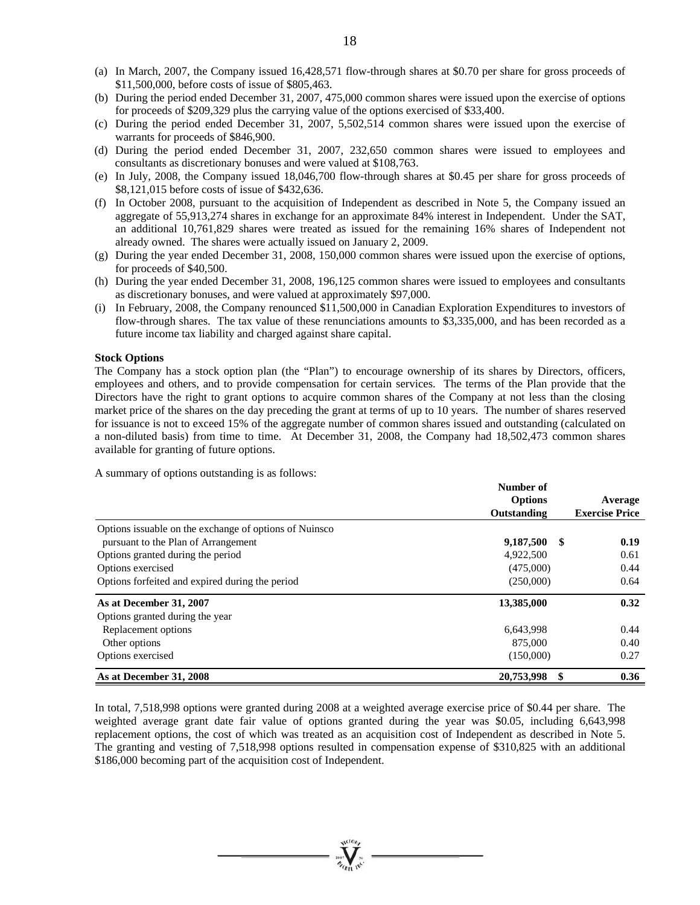- (a) In March, 2007, the Company issued 16,428,571 flow-through shares at \$0.70 per share for gross proceeds of \$11,500,000, before costs of issue of \$805,463.
- (b) During the period ended December 31, 2007, 475,000 common shares were issued upon the exercise of options for proceeds of \$209,329 plus the carrying value of the options exercised of \$33,400.
- (c) During the period ended December 31, 2007, 5,502,514 common shares were issued upon the exercise of warrants for proceeds of \$846,900.
- (d) During the period ended December 31, 2007, 232,650 common shares were issued to employees and consultants as discretionary bonuses and were valued at \$108,763.
- (e) In July, 2008, the Company issued 18,046,700 flow-through shares at \$0.45 per share for gross proceeds of \$8,121,015 before costs of issue of \$432,636.
- (f) In October 2008, pursuant to the acquisition of Independent as described in Note 5, the Company issued an aggregate of 55,913,274 shares in exchange for an approximate 84% interest in Independent. Under the SAT, an additional 10,761,829 shares were treated as issued for the remaining 16% shares of Independent not already owned. The shares were actually issued on January 2, 2009.
- (g) During the year ended December 31, 2008, 150,000 common shares were issued upon the exercise of options, for proceeds of \$40,500.
- (h) During the year ended December 31, 2008, 196,125 common shares were issued to employees and consultants as discretionary bonuses, and were valued at approximately \$97,000.
- (i) In February, 2008, the Company renounced \$11,500,000 in Canadian Exploration Expenditures to investors of flow-through shares. The tax value of these renunciations amounts to \$3,335,000, and has been recorded as a future income tax liability and charged against share capital.

### **Stock Options**

The Company has a stock option plan (the "Plan") to encourage ownership of its shares by Directors, officers, employees and others, and to provide compensation for certain services. The terms of the Plan provide that the Directors have the right to grant options to acquire common shares of the Company at not less than the closing market price of the shares on the day preceding the grant at terms of up to 10 years. The number of shares reserved for issuance is not to exceed 15% of the aggregate number of common shares issued and outstanding (calculated on a non-diluted basis) from time to time. At December 31, 2008, the Company had 18,502,473 common shares available for granting of future options.

A summary of options outstanding is as follows:

|                                                         | Number of<br><b>Options</b> | Average               |
|---------------------------------------------------------|-----------------------------|-----------------------|
|                                                         | Outstanding                 | <b>Exercise Price</b> |
| Options is suable on the exchange of options of Nuinsco |                             |                       |
| pursuant to the Plan of Arrangement                     | 9,187,500                   | -S<br>0.19            |
| Options granted during the period                       | 4,922,500                   | 0.61                  |
| Options exercised                                       | (475,000)                   | 0.44                  |
| Options forfeited and expired during the period         | (250,000)                   | 0.64                  |
| As at December 31, 2007                                 | 13,385,000                  | 0.32                  |
| Options granted during the year                         |                             |                       |
| Replacement options                                     | 6,643,998                   | 0.44                  |
| Other options                                           | 875,000                     | 0.40                  |
| Options exercised                                       | (150,000)                   | 0.27                  |
| As at December 31, 2008                                 | 20,753,998                  | 0.36                  |

In total, 7,518,998 options were granted during 2008 at a weighted average exercise price of \$0.44 per share. The weighted average grant date fair value of options granted during the year was \$0.05, including 6,643,998 replacement options, the cost of which was treated as an acquisition cost of Independent as described in Note 5. The granting and vesting of 7,518,998 options resulted in compensation expense of \$310,825 with an additional \$186,000 becoming part of the acquisition cost of Independent.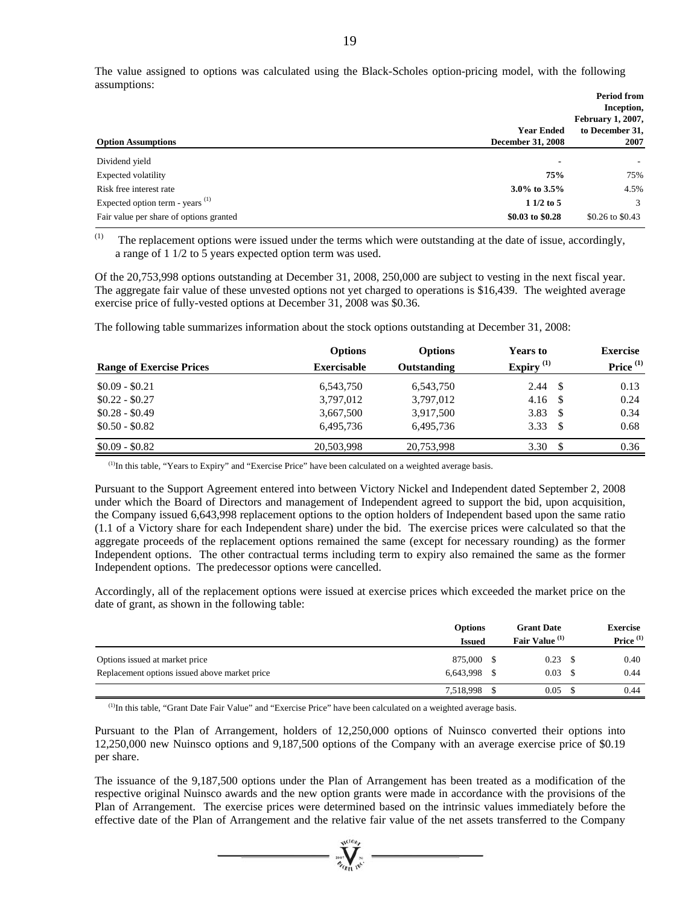The value assigned to options was calculated using the Black-Scholes option-pricing model, with the following assumptions:

|                                             |                                               | <b>Period from</b><br>Inception,<br><b>February 1, 2007,</b> |
|---------------------------------------------|-----------------------------------------------|--------------------------------------------------------------|
| <b>Option Assumptions</b>                   | <b>Year Ended</b><br><b>December 31, 2008</b> | to December 31,<br>2007                                      |
| Dividend yield                              | -                                             |                                                              |
| Expected volatility                         | 75%                                           | 75%                                                          |
| Risk free interest rate                     | $3.0\%$ to $3.5\%$                            | 4.5%                                                         |
| Expected option term - years <sup>(1)</sup> | $11/2$ to 5                                   | 3                                                            |
| Fair value per share of options granted     | \$0.03 to \$0.28                              | \$0.26 to \$0.43                                             |

(1) The replacement options were issued under the terms which were outstanding at the date of issue, accordingly, a range of 1 1/2 to 5 years expected option term was used.

Of the 20,753,998 options outstanding at December 31, 2008, 250,000 are subject to vesting in the next fiscal year. The aggregate fair value of these unvested options not yet charged to operations is \$16,439. The weighted average exercise price of fully-vested options at December 31, 2008 was \$0.36.

The following table summarizes information about the stock options outstanding at December 31, 2008:

|                                 | <b>Options</b>     | <b>Options</b> | <b>Years to</b> | <b>Exercise</b> |
|---------------------------------|--------------------|----------------|-----------------|-----------------|
| <b>Range of Exercise Prices</b> | <b>Exercisable</b> | Outstanding    | Expiry $(1)$    | Price $(1)$     |
| $$0.09 - $0.21$                 | 6,543,750          | 6,543,750      | 2.44            | 0.13            |
| $$0.22 - $0.27$                 | 3,797,012          | 3,797,012      | 4.16<br>- \$    | 0.24            |
| $$0.28 - $0.49$                 | 3,667,500          | 3,917,500      | 3.83<br>-S      | 0.34            |
| $$0.50 - $0.82$$                | 6.495.736          | 6,495,736      | 3.33<br>-S      | 0.68            |
| $$0.09 - $0.82$$                | 20,503,998         | 20,753,998     | 3.30<br>\$.     | 0.36            |

(1)In this table, "Years to Expiry" and "Exercise Price" have been calculated on a weighted average basis.

Pursuant to the Support Agreement entered into between Victory Nickel and Independent dated September 2, 2008 under which the Board of Directors and management of Independent agreed to support the bid, upon acquisition, the Company issued 6,643,998 replacement options to the option holders of Independent based upon the same ratio (1.1 of a Victory share for each Independent share) under the bid. The exercise prices were calculated so that the aggregate proceeds of the replacement options remained the same (except for necessary rounding) as the former Independent options. The other contractual terms including term to expiry also remained the same as the former Independent options. The predecessor options were cancelled.

Accordingly, all of the replacement options were issued at exercise prices which exceeded the market price on the date of grant, as shown in the following table:

|                                               | <b>Options</b><br><b>Issued</b> | <b>Grant Date</b><br>Fair Value <sup>(1)</sup> |      | <b>Exercise</b><br>Price <sup>(1)</sup> |
|-----------------------------------------------|---------------------------------|------------------------------------------------|------|-----------------------------------------|
| Options issued at market price                | 875.000                         | 0.23                                           |      | 0.40                                    |
| Replacement options issued above market price | 6,643,998                       | 0.03                                           | - \$ | 0.44                                    |
|                                               | 7,518,998                       | 0.05                                           |      | 0.44                                    |

(1)In this table, "Grant Date Fair Value" and "Exercise Price" have been calculated on a weighted average basis.

Pursuant to the Plan of Arrangement, holders of 12,250,000 options of Nuinsco converted their options into 12,250,000 new Nuinsco options and 9,187,500 options of the Company with an average exercise price of \$0.19 per share.

The issuance of the 9,187,500 options under the Plan of Arrangement has been treated as a modification of the respective original Nuinsco awards and the new option grants were made in accordance with the provisions of the Plan of Arrangement. The exercise prices were determined based on the intrinsic values immediately before the effective date of the Plan of Arrangement and the relative fair value of the net assets transferred to the Company

 $=\prod_{\alpha,\beta}^{\text{wtob}}$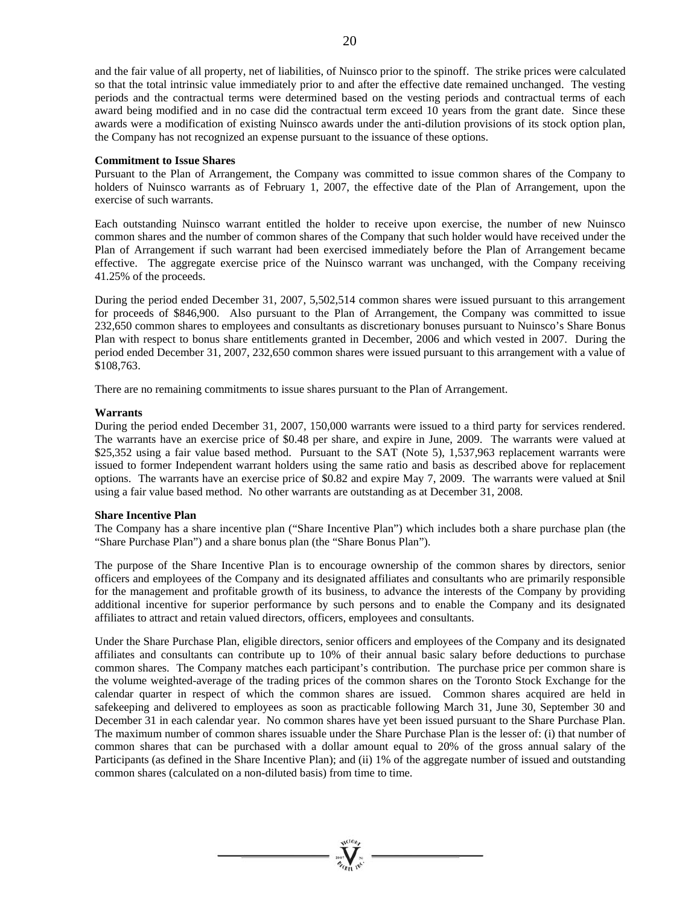and the fair value of all property, net of liabilities, of Nuinsco prior to the spinoff. The strike prices were calculated so that the total intrinsic value immediately prior to and after the effective date remained unchanged. The vesting periods and the contractual terms were determined based on the vesting periods and contractual terms of each award being modified and in no case did the contractual term exceed 10 years from the grant date. Since these awards were a modification of existing Nuinsco awards under the anti-dilution provisions of its stock option plan, the Company has not recognized an expense pursuant to the issuance of these options.

### **Commitment to Issue Shares**

Pursuant to the Plan of Arrangement, the Company was committed to issue common shares of the Company to holders of Nuinsco warrants as of February 1, 2007, the effective date of the Plan of Arrangement, upon the exercise of such warrants.

Each outstanding Nuinsco warrant entitled the holder to receive upon exercise, the number of new Nuinsco common shares and the number of common shares of the Company that such holder would have received under the Plan of Arrangement if such warrant had been exercised immediately before the Plan of Arrangement became effective. The aggregate exercise price of the Nuinsco warrant was unchanged, with the Company receiving 41.25% of the proceeds.

During the period ended December 31, 2007, 5,502,514 common shares were issued pursuant to this arrangement for proceeds of \$846,900. Also pursuant to the Plan of Arrangement, the Company was committed to issue 232,650 common shares to employees and consultants as discretionary bonuses pursuant to Nuinsco's Share Bonus Plan with respect to bonus share entitlements granted in December, 2006 and which vested in 2007. During the period ended December 31, 2007, 232,650 common shares were issued pursuant to this arrangement with a value of \$108,763.

There are no remaining commitments to issue shares pursuant to the Plan of Arrangement.

### **Warrants**

During the period ended December 31, 2007, 150,000 warrants were issued to a third party for services rendered. The warrants have an exercise price of \$0.48 per share, and expire in June, 2009. The warrants were valued at \$25,352 using a fair value based method. Pursuant to the SAT (Note 5), 1,537,963 replacement warrants were issued to former Independent warrant holders using the same ratio and basis as described above for replacement options. The warrants have an exercise price of \$0.82 and expire May 7, 2009. The warrants were valued at \$nil using a fair value based method. No other warrants are outstanding as at December 31, 2008.

### **Share Incentive Plan**

The Company has a share incentive plan ("Share Incentive Plan") which includes both a share purchase plan (the "Share Purchase Plan") and a share bonus plan (the "Share Bonus Plan").

The purpose of the Share Incentive Plan is to encourage ownership of the common shares by directors, senior officers and employees of the Company and its designated affiliates and consultants who are primarily responsible for the management and profitable growth of its business, to advance the interests of the Company by providing additional incentive for superior performance by such persons and to enable the Company and its designated affiliates to attract and retain valued directors, officers, employees and consultants.

Under the Share Purchase Plan, eligible directors, senior officers and employees of the Company and its designated affiliates and consultants can contribute up to 10% of their annual basic salary before deductions to purchase common shares. The Company matches each participant's contribution. The purchase price per common share is the volume weighted-average of the trading prices of the common shares on the Toronto Stock Exchange for the calendar quarter in respect of which the common shares are issued. Common shares acquired are held in safekeeping and delivered to employees as soon as practicable following March 31, June 30, September 30 and December 31 in each calendar year. No common shares have yet been issued pursuant to the Share Purchase Plan. The maximum number of common shares issuable under the Share Purchase Plan is the lesser of: (i) that number of common shares that can be purchased with a dollar amount equal to 20% of the gross annual salary of the Participants (as defined in the Share Incentive Plan); and (ii) 1% of the aggregate number of issued and outstanding common shares (calculated on a non-diluted basis) from time to time.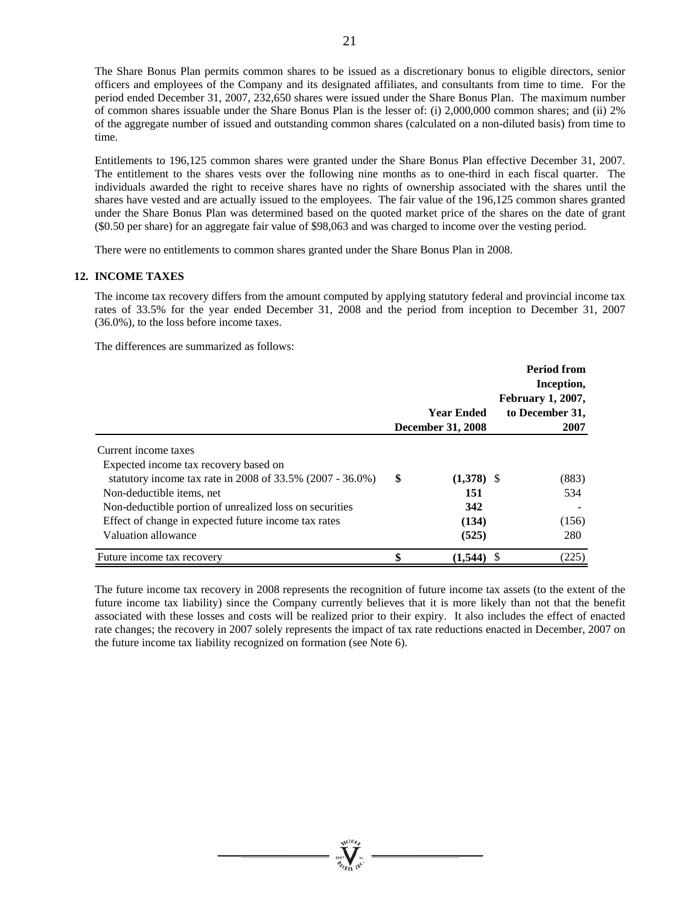The Share Bonus Plan permits common shares to be issued as a discretionary bonus to eligible directors, senior officers and employees of the Company and its designated affiliates, and consultants from time to time. For the period ended December 31, 2007, 232,650 shares were issued under the Share Bonus Plan. The maximum number of common shares issuable under the Share Bonus Plan is the lesser of: (i) 2,000,000 common shares; and (ii) 2% of the aggregate number of issued and outstanding common shares (calculated on a non-diluted basis) from time to time.

Entitlements to 196,125 common shares were granted under the Share Bonus Plan effective December 31, 2007. The entitlement to the shares vests over the following nine months as to one-third in each fiscal quarter. The individuals awarded the right to receive shares have no rights of ownership associated with the shares until the shares have vested and are actually issued to the employees. The fair value of the 196,125 common shares granted under the Share Bonus Plan was determined based on the quoted market price of the shares on the date of grant (\$0.50 per share) for an aggregate fair value of \$98,063 and was charged to income over the vesting period.

There were no entitlements to common shares granted under the Share Bonus Plan in 2008.

### **12. INCOME TAXES**

The income tax recovery differs from the amount computed by applying statutory federal and provincial income tax rates of 33.5% for the year ended December 31, 2008 and the period from inception to December 31, 2007 (36.0%), to the loss before income taxes.

The differences are summarized as follows:

|                                                              |   |                   | <b>Period from</b><br>Inception,<br><b>February 1, 2007,</b> |
|--------------------------------------------------------------|---|-------------------|--------------------------------------------------------------|
|                                                              |   | <b>Year Ended</b> | to December 31,                                              |
|                                                              |   | December 31, 2008 | 2007                                                         |
| Current income taxes                                         |   |                   |                                                              |
| Expected income tax recovery based on                        |   |                   |                                                              |
| statutory income tax rate in 2008 of $33.5\%$ (2007 - 36.0%) | S | $(1,378)$ \$      | (883)                                                        |
| Non-deductible items, net                                    |   | 151               | 534                                                          |
| Non-deductible portion of unrealized loss on securities      |   | 342               |                                                              |
| Effect of change in expected future income tax rates         |   | (134)             | (156)                                                        |
| Valuation allowance                                          |   | (525)             | 280                                                          |
| Future income tax recovery                                   |   | (1, 544)          | (225)                                                        |

The future income tax recovery in 2008 represents the recognition of future income tax assets (to the extent of the future income tax liability) since the Company currently believes that it is more likely than not that the benefit associated with these losses and costs will be realized prior to their expiry. It also includes the effect of enacted rate changes; the recovery in 2007 solely represents the impact of tax rate reductions enacted in December, 2007 on the future income tax liability recognized on formation (see Note 6).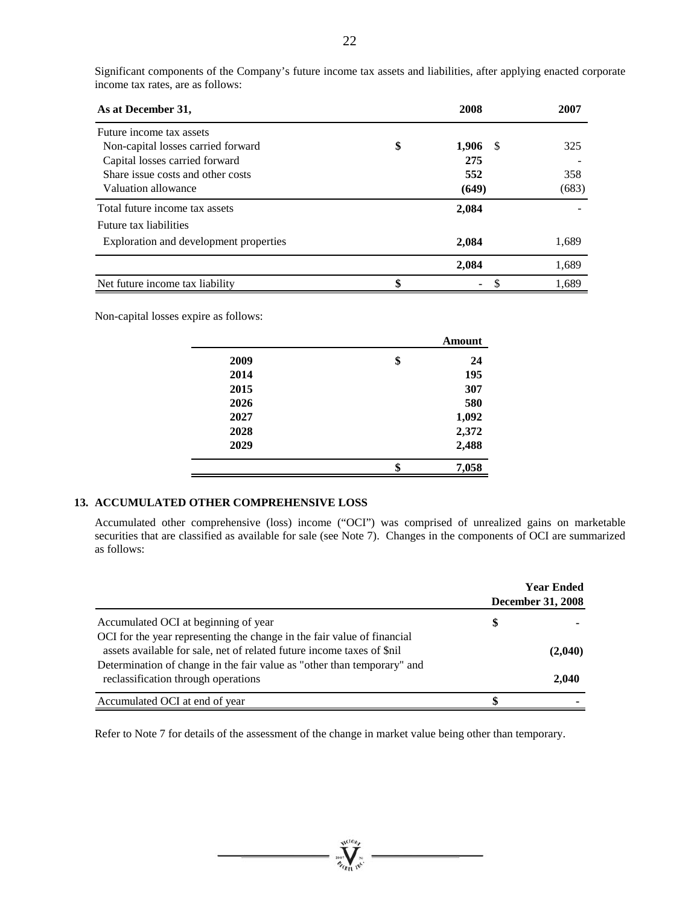| As at December 31,                     | 2008              | 2007  |
|----------------------------------------|-------------------|-------|
| Future income tax assets               |                   |       |
| Non-capital losses carried forward     | \$<br>1,906<br>-S | 325   |
| Capital losses carried forward         | 275               |       |
| Share issue costs and other costs      | 552               | 358   |
| Valuation allowance                    | (649)             | (683) |
| Total future income tax assets         | 2,084             |       |
| Future tax liabilities                 |                   |       |
| Exploration and development properties | 2,084             | 1,689 |
|                                        | 2,084             | 1,689 |
| Net future income tax liability        | \$<br>۰           | 1.689 |

Significant components of the Company's future income tax assets and liabilities, after applying enacted corporate income tax rates, are as follows:

Non-capital losses expire as follows:

|      | Amount      |
|------|-------------|
| 2009 | \$<br>24    |
| 2014 | 195         |
| 2015 | 307         |
| 2026 | 580         |
| 2027 | 1,092       |
| 2028 | 2,372       |
| 2029 | 2,488       |
|      | \$<br>7,058 |

# **13. ACCUMULATED OTHER COMPREHENSIVE LOSS**

Accumulated other comprehensive (loss) income ("OCI") was comprised of unrealized gains on marketable securities that are classified as available for sale (see Note 7). Changes in the components of OCI are summarized as follows:

|                                                                         | <b>Year Ended</b><br><b>December 31, 2008</b> |         |  |
|-------------------------------------------------------------------------|-----------------------------------------------|---------|--|
| Accumulated OCI at beginning of year                                    | S                                             |         |  |
| OCI for the year representing the change in the fair value of financial |                                               |         |  |
| assets available for sale, net of related future income taxes of \$nil  |                                               | (2,040) |  |
| Determination of change in the fair value as "other than temporary" and |                                               |         |  |
| reclassification through operations                                     |                                               | 2,040   |  |
| Accumulated OCI at end of year                                          |                                               |         |  |

Refer to Note 7 for details of the assessment of the change in market value being other than temporary.

suction,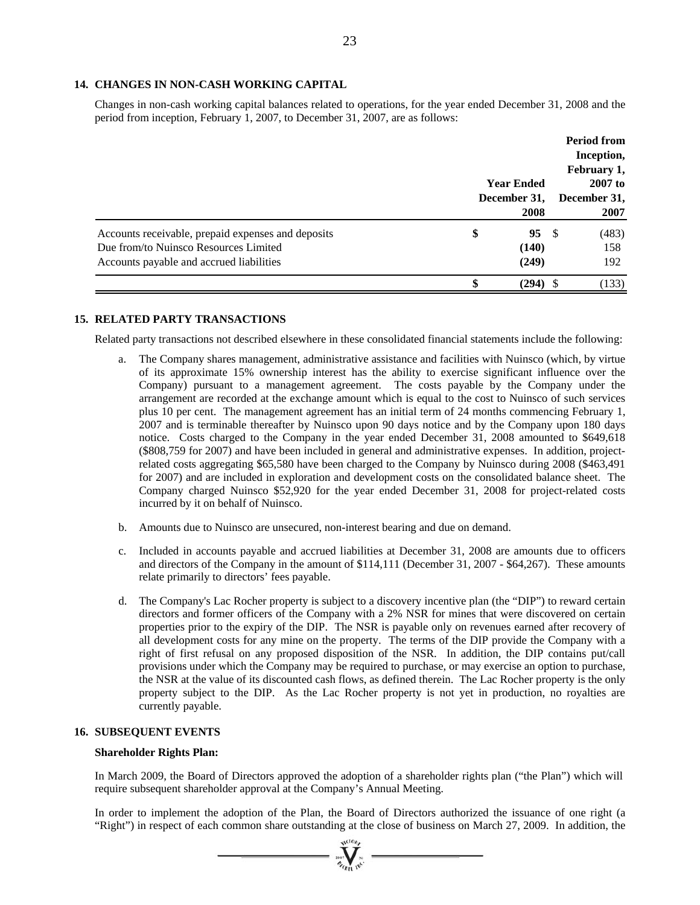### **14. CHANGES IN NON-CASH WORKING CAPITAL**

Changes in non-cash working capital balances related to operations, for the year ended December 31, 2008 and the period from inception, February 1, 2007, to December 31, 2007, are as follows:

|                                                    |    |                   |                           | <b>Period from</b><br>Inception, |  |
|----------------------------------------------------|----|-------------------|---------------------------|----------------------------------|--|
|                                                    |    |                   |                           | February 1,                      |  |
|                                                    |    | <b>Year Ended</b> | $2007$ to<br>December 31, |                                  |  |
|                                                    |    | December 31,      |                           |                                  |  |
|                                                    |    | 2008              |                           | 2007                             |  |
| Accounts receivable, prepaid expenses and deposits | \$ | 95S               |                           | (483)                            |  |
| Due from/to Nuinsco Resources Limited              |    | (140)             |                           | 158                              |  |
| Accounts payable and accrued liabilities           |    | (249)             |                           | 192                              |  |
|                                                    |    | (294)             |                           | (133)                            |  |

### **15. RELATED PARTY TRANSACTIONS**

Related party transactions not described elsewhere in these consolidated financial statements include the following:

- The Company shares management, administrative assistance and facilities with Nuinsco (which, by virtue of its approximate 15% ownership interest has the ability to exercise significant influence over the Company) pursuant to a management agreement. The costs payable by the Company under the arrangement are recorded at the exchange amount which is equal to the cost to Nuinsco of such services plus 10 per cent. The management agreement has an initial term of 24 months commencing February 1, 2007 and is terminable thereafter by Nuinsco upon 90 days notice and by the Company upon 180 days notice. Costs charged to the Company in the year ended December 31, 2008 amounted to \$649,618 (\$808,759 for 2007) and have been included in general and administrative expenses. In addition, projectrelated costs aggregating \$65,580 have been charged to the Company by Nuinsco during 2008 (\$463,491 for 2007) and are included in exploration and development costs on the consolidated balance sheet. The Company charged Nuinsco \$52,920 for the year ended December 31, 2008 for project-related costs incurred by it on behalf of Nuinsco.
- b. Amounts due to Nuinsco are unsecured, non-interest bearing and due on demand.
- c. Included in accounts payable and accrued liabilities at December 31, 2008 are amounts due to officers and directors of the Company in the amount of \$114,111 (December 31, 2007 - \$64,267). These amounts relate primarily to directors' fees payable.
- d. The Company's Lac Rocher property is subject to a discovery incentive plan (the "DIP") to reward certain directors and former officers of the Company with a 2% NSR for mines that were discovered on certain properties prior to the expiry of the DIP. The NSR is payable only on revenues earned after recovery of all development costs for any mine on the property. The terms of the DIP provide the Company with a right of first refusal on any proposed disposition of the NSR. In addition, the DIP contains put/call provisions under which the Company may be required to purchase, or may exercise an option to purchase, the NSR at the value of its discounted cash flows, as defined therein. The Lac Rocher property is the only property subject to the DIP. As the Lac Rocher property is not yet in production, no royalties are currently payable.

### **16. SUBSEQUENT EVENTS**

### **Shareholder Rights Plan:**

In March 2009, the Board of Directors approved the adoption of a shareholder rights plan ("the Plan") which will require subsequent shareholder approval at the Company's Annual Meeting.

In order to implement the adoption of the Plan, the Board of Directors authorized the issuance of one right (a "Right") in respect of each common share outstanding at the close of business on March 27, 2009. In addition, the

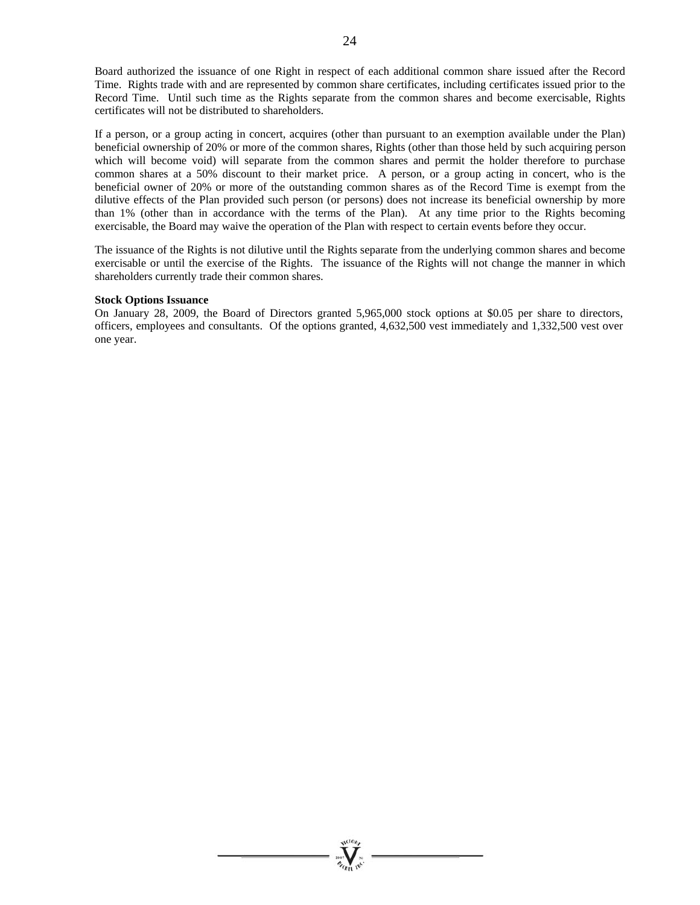Board authorized the issuance of one Right in respect of each additional common share issued after the Record Time. Rights trade with and are represented by common share certificates, including certificates issued prior to the Record Time. Until such time as the Rights separate from the common shares and become exercisable, Rights certificates will not be distributed to shareholders.

If a person, or a group acting in concert, acquires (other than pursuant to an exemption available under the Plan) beneficial ownership of 20% or more of the common shares, Rights (other than those held by such acquiring person which will become void) will separate from the common shares and permit the holder therefore to purchase common shares at a 50% discount to their market price. A person, or a group acting in concert, who is the beneficial owner of 20% or more of the outstanding common shares as of the Record Time is exempt from the dilutive effects of the Plan provided such person (or persons) does not increase its beneficial ownership by more than 1% (other than in accordance with the terms of the Plan). At any time prior to the Rights becoming exercisable, the Board may waive the operation of the Plan with respect to certain events before they occur.

The issuance of the Rights is not dilutive until the Rights separate from the underlying common shares and become exercisable or until the exercise of the Rights. The issuance of the Rights will not change the manner in which shareholders currently trade their common shares.

### **Stock Options Issuance**

On January 28, 2009, the Board of Directors granted 5,965,000 stock options at \$0.05 per share to directors, officers, employees and consultants. Of the options granted, 4,632,500 vest immediately and 1,332,500 vest over one year.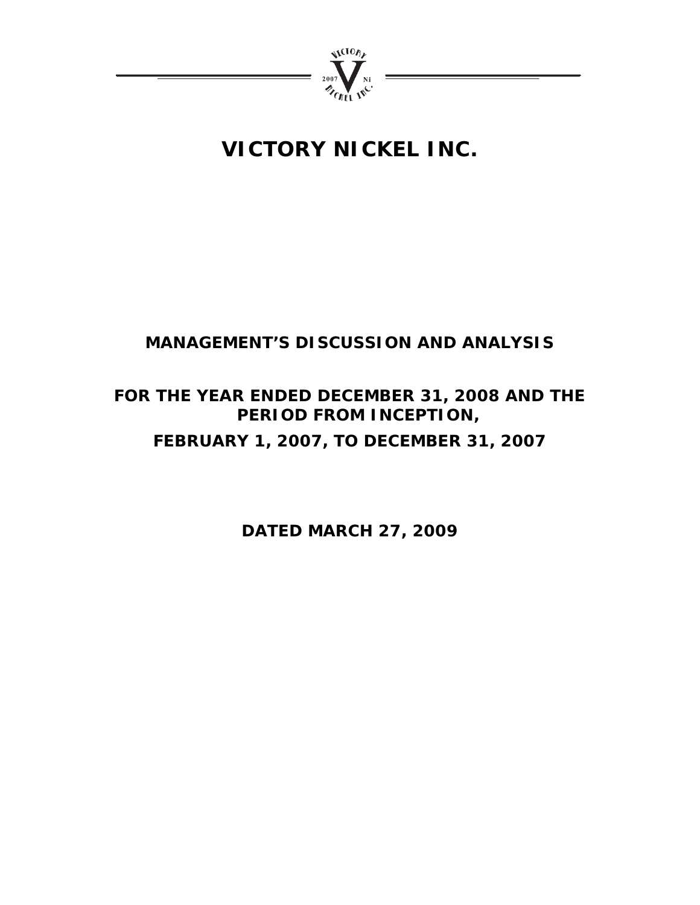

# **VICTORY NICKEL INC.**

# **MANAGEMENT'S DISCUSSION AND ANALYSIS**

# **FOR THE YEAR ENDED DECEMBER 31, 2008 AND THE PERIOD FROM INCEPTION, FEBRUARY 1, 2007, TO DECEMBER 31, 2007**

**DATED MARCH 27, 2009**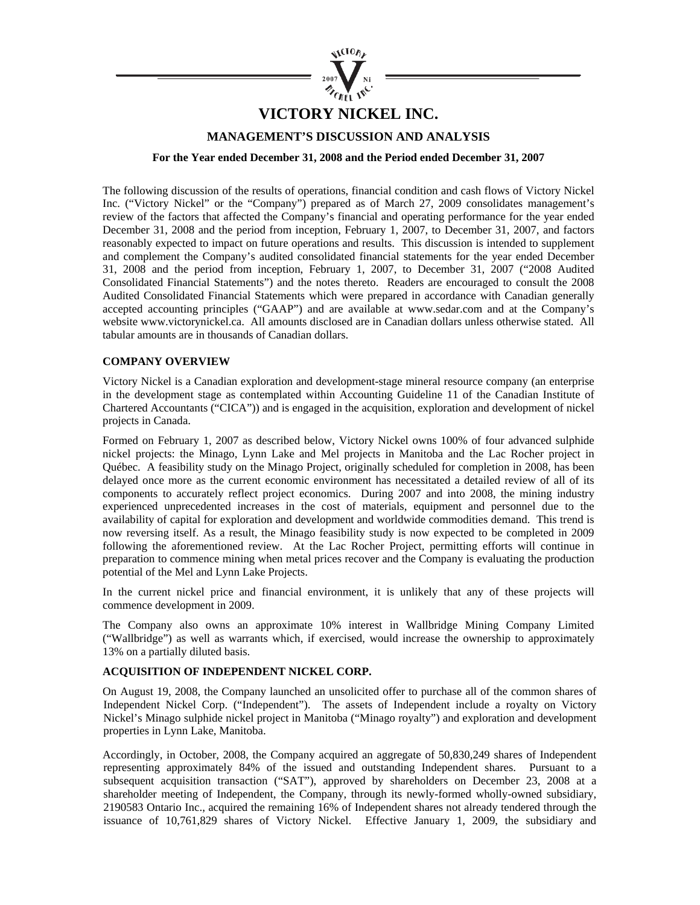

# **VICTORY NICKEL INC.**

## **MANAGEMENT'S DISCUSSION AND ANALYSIS**

**For the Year ended December 31, 2008 and the Period ended December 31, 2007** 

The following discussion of the results of operations, financial condition and cash flows of Victory Nickel Inc. ("Victory Nickel" or the "Company") prepared as of March 27, 2009 consolidates management's review of the factors that affected the Company's financial and operating performance for the year ended December 31, 2008 and the period from inception, February 1, 2007, to December 31, 2007, and factors reasonably expected to impact on future operations and results. This discussion is intended to supplement and complement the Company's audited consolidated financial statements for the year ended December 31, 2008 and the period from inception, February 1, 2007, to December 31, 2007 ("2008 Audited Consolidated Financial Statements") and the notes thereto. Readers are encouraged to consult the 2008 Audited Consolidated Financial Statements which were prepared in accordance with Canadian generally accepted accounting principles ("GAAP") and are available at www.sedar.com and at the Company's website www.victorynickel.ca. All amounts disclosed are in Canadian dollars unless otherwise stated. All tabular amounts are in thousands of Canadian dollars.

## **COMPANY OVERVIEW**

Victory Nickel is a Canadian exploration and development-stage mineral resource company (an enterprise in the development stage as contemplated within Accounting Guideline 11 of the Canadian Institute of Chartered Accountants ("CICA")) and is engaged in the acquisition, exploration and development of nickel projects in Canada.

Formed on February 1, 2007 as described below, Victory Nickel owns 100% of four advanced sulphide nickel projects: the Minago, Lynn Lake and Mel projects in Manitoba and the Lac Rocher project in Québec. A feasibility study on the Minago Project, originally scheduled for completion in 2008, has been delayed once more as the current economic environment has necessitated a detailed review of all of its components to accurately reflect project economics. During 2007 and into 2008, the mining industry experienced unprecedented increases in the cost of materials, equipment and personnel due to the availability of capital for exploration and development and worldwide commodities demand. This trend is now reversing itself. As a result, the Minago feasibility study is now expected to be completed in 2009 following the aforementioned review. At the Lac Rocher Project, permitting efforts will continue in preparation to commence mining when metal prices recover and the Company is evaluating the production potential of the Mel and Lynn Lake Projects.

In the current nickel price and financial environment, it is unlikely that any of these projects will commence development in 2009.

The Company also owns an approximate 10% interest in Wallbridge Mining Company Limited ("Wallbridge") as well as warrants which, if exercised, would increase the ownership to approximately 13% on a partially diluted basis.

### **ACQUISITION OF INDEPENDENT NICKEL CORP.**

On August 19, 2008, the Company launched an unsolicited offer to purchase all of the common shares of Independent Nickel Corp. ("Independent"). The assets of Independent include a royalty on Victory Nickel's Minago sulphide nickel project in Manitoba ("Minago royalty") and exploration and development properties in Lynn Lake, Manitoba.

Accordingly, in October, 2008, the Company acquired an aggregate of 50,830,249 shares of Independent representing approximately 84% of the issued and outstanding Independent shares. Pursuant to a subsequent acquisition transaction ("SAT"), approved by shareholders on December 23, 2008 at a shareholder meeting of Independent, the Company, through its newly-formed wholly-owned subsidiary, 2190583 Ontario Inc., acquired the remaining 16% of Independent shares not already tendered through the issuance of 10,761,829 shares of Victory Nickel. Effective January 1, 2009, the subsidiary and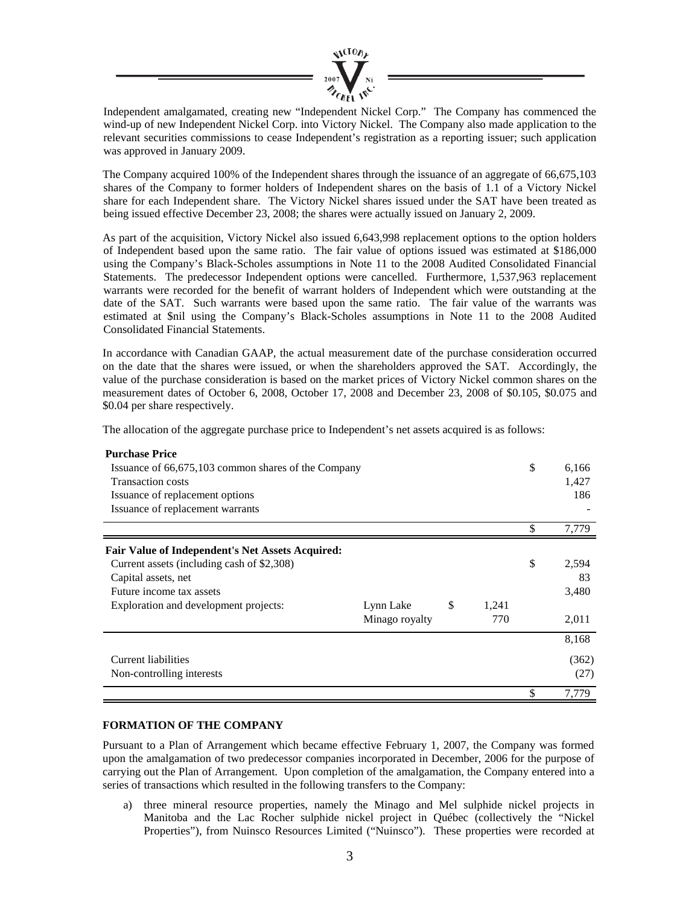

Independent amalgamated, creating new "Independent Nickel Corp." The Company has commenced the wind-up of new Independent Nickel Corp. into Victory Nickel. The Company also made application to the relevant securities commissions to cease Independent's registration as a reporting issuer; such application was approved in January 2009.

The Company acquired 100% of the Independent shares through the issuance of an aggregate of 66,675,103 shares of the Company to former holders of Independent shares on the basis of 1.1 of a Victory Nickel share for each Independent share. The Victory Nickel shares issued under the SAT have been treated as being issued effective December 23, 2008; the shares were actually issued on January 2, 2009.

As part of the acquisition, Victory Nickel also issued 6,643,998 replacement options to the option holders of Independent based upon the same ratio. The fair value of options issued was estimated at \$186,000 using the Company's Black-Scholes assumptions in Note 11 to the 2008 Audited Consolidated Financial Statements. The predecessor Independent options were cancelled. Furthermore, 1,537,963 replacement warrants were recorded for the benefit of warrant holders of Independent which were outstanding at the date of the SAT. Such warrants were based upon the same ratio. The fair value of the warrants was estimated at \$nil using the Company's Black-Scholes assumptions in Note 11 to the 2008 Audited Consolidated Financial Statements.

In accordance with Canadian GAAP, the actual measurement date of the purchase consideration occurred on the date that the shares were issued, or when the shareholders approved the SAT. Accordingly, the value of the purchase consideration is based on the market prices of Victory Nickel common shares on the measurement dates of October 6, 2008, October 17, 2008 and December 23, 2008 of \$0.105, \$0.075 and \$0.04 per share respectively.

The allocation of the aggregate purchase price to Independent's net assets acquired is as follows:

| <b>Purchase Price</b>                                   |                |             |             |
|---------------------------------------------------------|----------------|-------------|-------------|
| Issuance of 66,675,103 common shares of the Company     |                |             | \$<br>6,166 |
| <b>Transaction costs</b>                                |                |             | 1,427       |
| Issuance of replacement options                         |                |             | 186         |
| Issuance of replacement warrants                        |                |             |             |
|                                                         |                |             | \$<br>7,779 |
| <b>Fair Value of Independent's Net Assets Acquired:</b> |                |             |             |
| Current assets (including cash of \$2,308)              |                |             | \$<br>2,594 |
| Capital assets, net                                     |                |             | 83          |
| Future income tax assets                                |                |             | 3,480       |
| Exploration and development projects:                   | Lynn Lake      | \$<br>1,241 |             |
|                                                         | Minago royalty | 770         | 2,011       |
|                                                         |                |             | 8,168       |
| Current liabilities                                     |                |             | (362)       |
| Non-controlling interests                               |                |             | (27)        |
|                                                         |                |             | 7,779       |

# **FORMATION OF THE COMPANY**

Pursuant to a Plan of Arrangement which became effective February 1, 2007, the Company was formed upon the amalgamation of two predecessor companies incorporated in December, 2006 for the purpose of carrying out the Plan of Arrangement. Upon completion of the amalgamation, the Company entered into a series of transactions which resulted in the following transfers to the Company:

a) three mineral resource properties, namely the Minago and Mel sulphide nickel projects in Manitoba and the Lac Rocher sulphide nickel project in Québec (collectively the "Nickel Properties"), from Nuinsco Resources Limited ("Nuinsco"). These properties were recorded at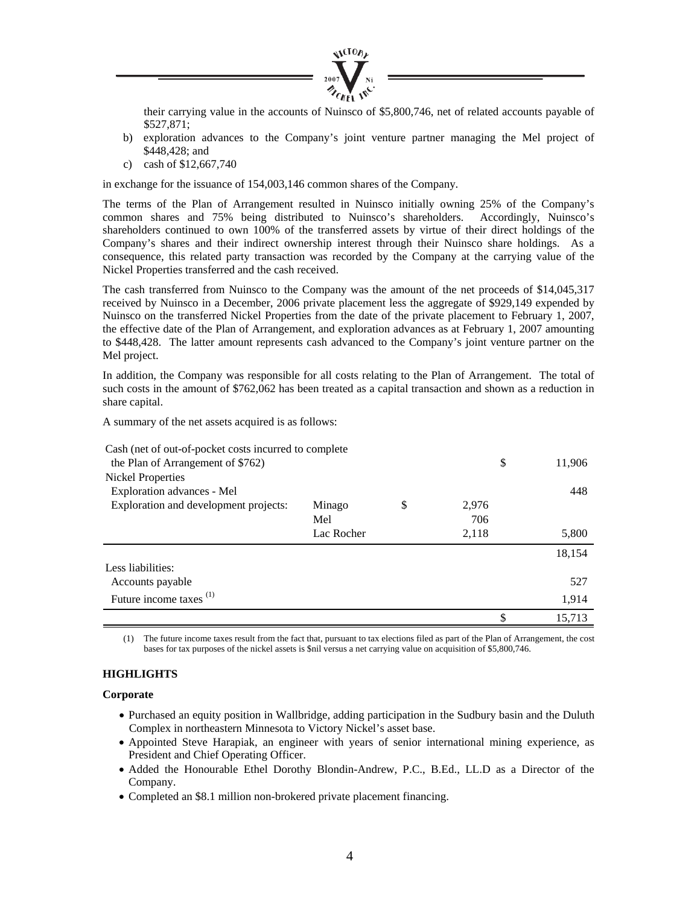

their carrying value in the accounts of Nuinsco of \$5,800,746, net of related accounts payable of \$527,871;

- b) exploration advances to the Company's joint venture partner managing the Mel project of \$448,428; and
- c) cash of \$12,667,740

in exchange for the issuance of 154,003,146 common shares of the Company.

The terms of the Plan of Arrangement resulted in Nuinsco initially owning 25% of the Company's common shares and 75% being distributed to Nuinsco's shareholders. Accordingly, Nuinsco's shareholders continued to own 100% of the transferred assets by virtue of their direct holdings of the Company's shares and their indirect ownership interest through their Nuinsco share holdings. As a consequence, this related party transaction was recorded by the Company at the carrying value of the Nickel Properties transferred and the cash received.

The cash transferred from Nuinsco to the Company was the amount of the net proceeds of \$14,045,317 received by Nuinsco in a December, 2006 private placement less the aggregate of \$929,149 expended by Nuinsco on the transferred Nickel Properties from the date of the private placement to February 1, 2007, the effective date of the Plan of Arrangement, and exploration advances as at February 1, 2007 amounting to \$448,428. The latter amount represents cash advanced to the Company's joint venture partner on the Mel project.

In addition, the Company was responsible for all costs relating to the Plan of Arrangement. The total of such costs in the amount of \$762,062 has been treated as a capital transaction and shown as a reduction in share capital.

A summary of the net assets acquired is as follows:

| Cash (net of out-of-pocket costs incurred to complete) |            |             |        |
|--------------------------------------------------------|------------|-------------|--------|
| the Plan of Arrangement of \$762)                      |            | \$          | 11,906 |
| Nickel Properties                                      |            |             |        |
| Exploration advances - Mel                             |            |             | 448    |
| Exploration and development projects:                  | Minago     | \$<br>2,976 |        |
|                                                        | Mel        | 706         |        |
|                                                        | Lac Rocher | 2,118       | 5,800  |
|                                                        |            |             | 18,154 |
| Less liabilities:                                      |            |             |        |
| Accounts payable                                       |            |             | 527    |
| Future income taxes <sup>(1)</sup>                     |            |             | 1,914  |
|                                                        |            |             | 15,713 |

The future income taxes result from the fact that, pursuant to tax elections filed as part of the Plan of Arrangement, the cost bases for tax purposes of the nickel assets is \$nil versus a net carrying value on acquisition of \$5,800,746.

## **HIGHLIGHTS**

**Corporate** 

- Purchased an equity position in Wallbridge, adding participation in the Sudbury basin and the Duluth Complex in northeastern Minnesota to Victory Nickel's asset base.
- Appointed Steve Harapiak, an engineer with years of senior international mining experience, as President and Chief Operating Officer.
- Added the Honourable Ethel Dorothy Blondin-Andrew, P.C., B.Ed., LL.D as a Director of the Company.
- Completed an \$8.1 million non-brokered private placement financing.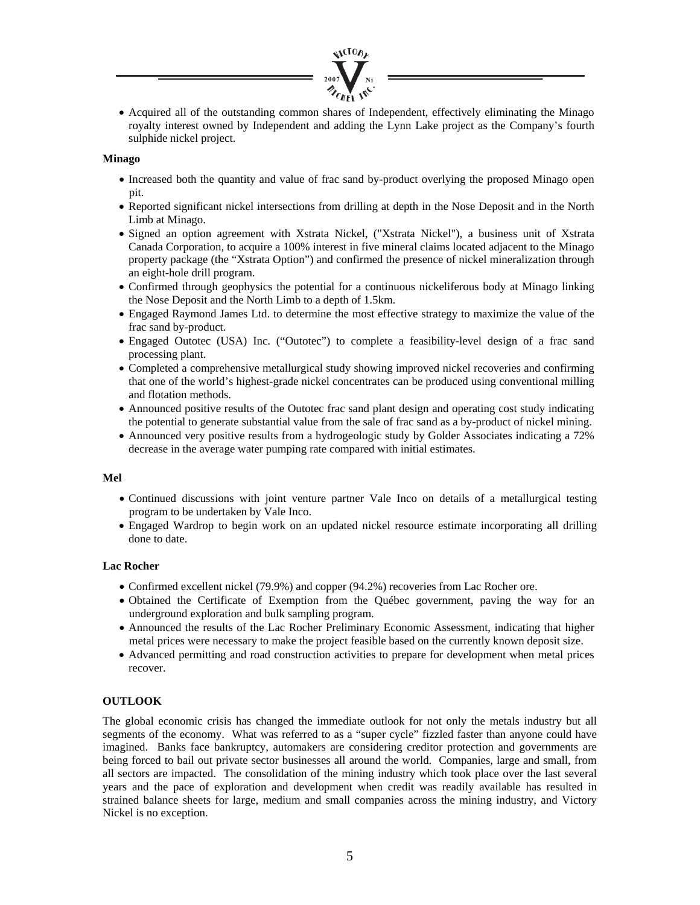

• Acquired all of the outstanding common shares of Independent, effectively eliminating the Minago royalty interest owned by Independent and adding the Lynn Lake project as the Company's fourth sulphide nickel project.

## **Minago**

- Increased both the quantity and value of frac sand by-product overlying the proposed Minago open pit.
- Reported significant nickel intersections from drilling at depth in the Nose Deposit and in the North Limb at Minago.
- Signed an option agreement with Xstrata Nickel, ("Xstrata Nickel"), a business unit of Xstrata Canada Corporation, to acquire a 100% interest in five mineral claims located adjacent to the Minago property package (the "Xstrata Option") and confirmed the presence of nickel mineralization through an eight-hole drill program.
- Confirmed through geophysics the potential for a continuous nickeliferous body at Minago linking the Nose Deposit and the North Limb to a depth of 1.5km.
- Engaged Raymond James Ltd. to determine the most effective strategy to maximize the value of the frac sand by-product.
- Engaged Outotec (USA) Inc. ("Outotec") to complete a feasibility-level design of a frac sand processing plant.
- Completed a comprehensive metallurgical study showing improved nickel recoveries and confirming that one of the world's highest-grade nickel concentrates can be produced using conventional milling and flotation methods.
- Announced positive results of the Outotec frac sand plant design and operating cost study indicating the potential to generate substantial value from the sale of frac sand as a by-product of nickel mining.
- Announced very positive results from a hydrogeologic study by Golder Associates indicating a 72% decrease in the average water pumping rate compared with initial estimates.

### **Mel**

- Continued discussions with joint venture partner Vale Inco on details of a metallurgical testing program to be undertaken by Vale Inco.
- Engaged Wardrop to begin work on an updated nickel resource estimate incorporating all drilling done to date.

### **Lac Rocher**

- Confirmed excellent nickel (79.9%) and copper (94.2%) recoveries from Lac Rocher ore.
- Obtained the Certificate of Exemption from the Québec government, paving the way for an underground exploration and bulk sampling program.
- Announced the results of the Lac Rocher Preliminary Economic Assessment, indicating that higher metal prices were necessary to make the project feasible based on the currently known deposit size.
- Advanced permitting and road construction activities to prepare for development when metal prices recover.

# **OUTLOOK**

The global economic crisis has changed the immediate outlook for not only the metals industry but all segments of the economy. What was referred to as a "super cycle" fizzled faster than anyone could have imagined. Banks face bankruptcy, automakers are considering creditor protection and governments are being forced to bail out private sector businesses all around the world. Companies, large and small, from all sectors are impacted. The consolidation of the mining industry which took place over the last several years and the pace of exploration and development when credit was readily available has resulted in strained balance sheets for large, medium and small companies across the mining industry, and Victory Nickel is no exception.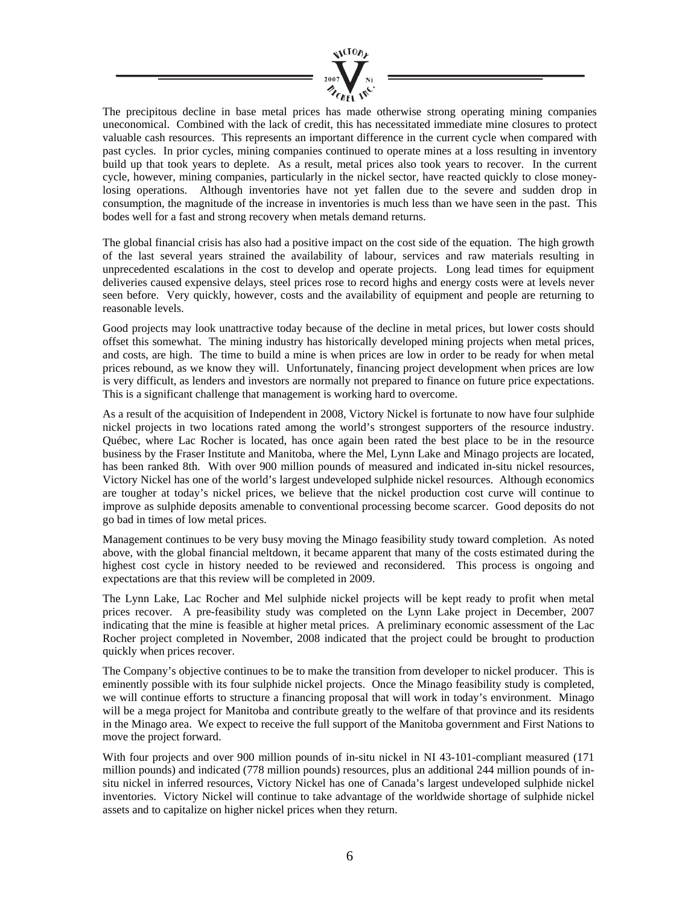

The precipitous decline in base metal prices has made otherwise strong operating mining companies uneconomical. Combined with the lack of credit, this has necessitated immediate mine closures to protect valuable cash resources. This represents an important difference in the current cycle when compared with past cycles. In prior cycles, mining companies continued to operate mines at a loss resulting in inventory build up that took years to deplete. As a result, metal prices also took years to recover. In the current cycle, however, mining companies, particularly in the nickel sector, have reacted quickly to close moneylosing operations. Although inventories have not yet fallen due to the severe and sudden drop in consumption, the magnitude of the increase in inventories is much less than we have seen in the past. This bodes well for a fast and strong recovery when metals demand returns.

The global financial crisis has also had a positive impact on the cost side of the equation. The high growth of the last several years strained the availability of labour, services and raw materials resulting in unprecedented escalations in the cost to develop and operate projects. Long lead times for equipment deliveries caused expensive delays, steel prices rose to record highs and energy costs were at levels never seen before. Very quickly, however, costs and the availability of equipment and people are returning to reasonable levels.

Good projects may look unattractive today because of the decline in metal prices, but lower costs should offset this somewhat. The mining industry has historically developed mining projects when metal prices, and costs, are high. The time to build a mine is when prices are low in order to be ready for when metal prices rebound, as we know they will. Unfortunately, financing project development when prices are low is very difficult, as lenders and investors are normally not prepared to finance on future price expectations. This is a significant challenge that management is working hard to overcome.

As a result of the acquisition of Independent in 2008, Victory Nickel is fortunate to now have four sulphide nickel projects in two locations rated among the world's strongest supporters of the resource industry. Québec, where Lac Rocher is located, has once again been rated the best place to be in the resource business by the Fraser Institute and Manitoba, where the Mel, Lynn Lake and Minago projects are located, has been ranked 8th. With over 900 million pounds of measured and indicated in-situ nickel resources, Victory Nickel has one of the world's largest undeveloped sulphide nickel resources. Although economics are tougher at today's nickel prices, we believe that the nickel production cost curve will continue to improve as sulphide deposits amenable to conventional processing become scarcer. Good deposits do not go bad in times of low metal prices.

Management continues to be very busy moving the Minago feasibility study toward completion. As noted above, with the global financial meltdown, it became apparent that many of the costs estimated during the highest cost cycle in history needed to be reviewed and reconsidered. This process is ongoing and expectations are that this review will be completed in 2009.

The Lynn Lake, Lac Rocher and Mel sulphide nickel projects will be kept ready to profit when metal prices recover. A pre-feasibility study was completed on the Lynn Lake project in December, 2007 indicating that the mine is feasible at higher metal prices. A preliminary economic assessment of the Lac Rocher project completed in November, 2008 indicated that the project could be brought to production quickly when prices recover.

The Company's objective continues to be to make the transition from developer to nickel producer. This is eminently possible with its four sulphide nickel projects. Once the Minago feasibility study is completed, we will continue efforts to structure a financing proposal that will work in today's environment. Minago will be a mega project for Manitoba and contribute greatly to the welfare of that province and its residents in the Minago area. We expect to receive the full support of the Manitoba government and First Nations to move the project forward.

With four projects and over 900 million pounds of in-situ nickel in NI 43-101-compliant measured (171 million pounds) and indicated (778 million pounds) resources, plus an additional 244 million pounds of insitu nickel in inferred resources, Victory Nickel has one of Canada's largest undeveloped sulphide nickel inventories. Victory Nickel will continue to take advantage of the worldwide shortage of sulphide nickel assets and to capitalize on higher nickel prices when they return.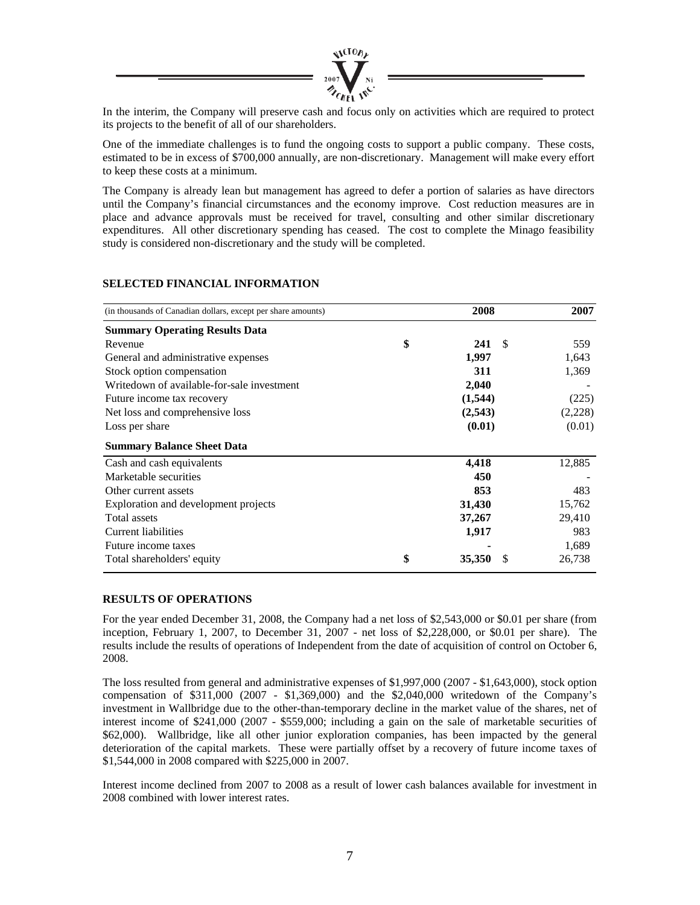

In the interim, the Company will preserve cash and focus only on activities which are required to protect its projects to the benefit of all of our shareholders.

One of the immediate challenges is to fund the ongoing costs to support a public company. These costs, estimated to be in excess of \$700,000 annually, are non-discretionary. Management will make every effort to keep these costs at a minimum.

The Company is already lean but management has agreed to defer a portion of salaries as have directors until the Company's financial circumstances and the economy improve. Cost reduction measures are in place and advance approvals must be received for travel, consulting and other similar discretionary expenditures. All other discretionary spending has ceased. The cost to complete the Minago feasibility study is considered non-discretionary and the study will be completed.

| (in thousands of Canadian dollars, except per share amounts) | 2008            | 2007    |
|--------------------------------------------------------------|-----------------|---------|
| <b>Summary Operating Results Data</b>                        |                 |         |
| Revenue                                                      | \$<br>241<br>-S | 559     |
| General and administrative expenses                          | 1,997           | 1,643   |
| Stock option compensation                                    | 311             | 1,369   |
| Writedown of available-for-sale investment                   | 2,040           |         |
| Future income tax recovery                                   | (1, 544)        | (225)   |
| Net loss and comprehensive loss                              | (2, 543)        | (2,228) |
| Loss per share                                               | (0.01)          | (0.01)  |
| <b>Summary Balance Sheet Data</b>                            |                 |         |
| Cash and cash equivalents                                    | 4,418           | 12,885  |
| Marketable securities                                        | 450             |         |
| Other current assets                                         | 853             | 483     |
| Exploration and development projects                         | 31,430          | 15,762  |
| Total assets                                                 | 37,267          | 29,410  |
| Current liabilities                                          | 1,917           | 983     |
| Future income taxes                                          |                 | 1,689   |
| Total shareholders' equity                                   | \$<br>35,350    | 26,738  |

# **SELECTED FINANCIAL INFORMATION**

### **RESULTS OF OPERATIONS**

For the year ended December 31, 2008, the Company had a net loss of \$2,543,000 or \$0.01 per share (from inception, February 1, 2007, to December 31, 2007 - net loss of \$2,228,000, or \$0.01 per share). The results include the results of operations of Independent from the date of acquisition of control on October 6, 2008.

The loss resulted from general and administrative expenses of \$1,997,000 (2007 - \$1,643,000), stock option compensation of \$311,000 (2007 - \$1,369,000) and the \$2,040,000 writedown of the Company's investment in Wallbridge due to the other-than-temporary decline in the market value of the shares, net of interest income of \$241,000 (2007 - \$559,000; including a gain on the sale of marketable securities of \$62,000). Wallbridge, like all other junior exploration companies, has been impacted by the general deterioration of the capital markets. These were partially offset by a recovery of future income taxes of \$1,544,000 in 2008 compared with \$225,000 in 2007.

Interest income declined from 2007 to 2008 as a result of lower cash balances available for investment in 2008 combined with lower interest rates.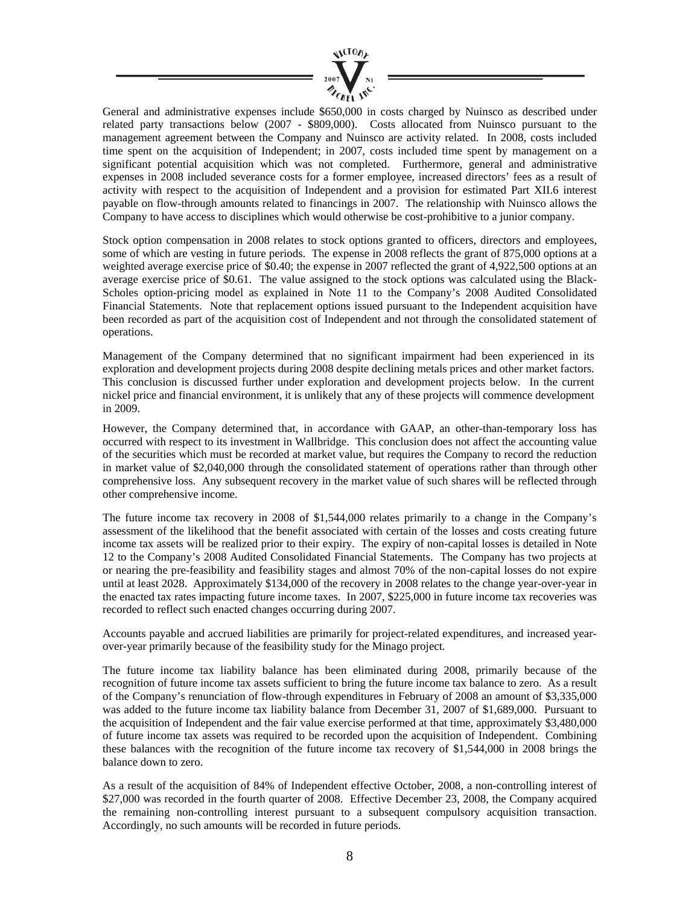

General and administrative expenses include \$650,000 in costs charged by Nuinsco as described under related party transactions below (2007 - \$809,000). Costs allocated from Nuinsco pursuant to the management agreement between the Company and Nuinsco are activity related. In 2008, costs included time spent on the acquisition of Independent; in 2007, costs included time spent by management on a significant potential acquisition which was not completed. Furthermore, general and administrative expenses in 2008 included severance costs for a former employee, increased directors' fees as a result of activity with respect to the acquisition of Independent and a provision for estimated Part XII.6 interest payable on flow-through amounts related to financings in 2007. The relationship with Nuinsco allows the Company to have access to disciplines which would otherwise be cost-prohibitive to a junior company.

Stock option compensation in 2008 relates to stock options granted to officers, directors and employees, some of which are vesting in future periods. The expense in 2008 reflects the grant of 875,000 options at a weighted average exercise price of \$0.40; the expense in 2007 reflected the grant of 4,922,500 options at an average exercise price of \$0.61. The value assigned to the stock options was calculated using the Black-Scholes option-pricing model as explained in Note 11 to the Company's 2008 Audited Consolidated Financial Statements. Note that replacement options issued pursuant to the Independent acquisition have been recorded as part of the acquisition cost of Independent and not through the consolidated statement of operations.

Management of the Company determined that no significant impairment had been experienced in its exploration and development projects during 2008 despite declining metals prices and other market factors. This conclusion is discussed further under exploration and development projects below. In the current nickel price and financial environment, it is unlikely that any of these projects will commence development in 2009.

However, the Company determined that, in accordance with GAAP, an other-than-temporary loss has occurred with respect to its investment in Wallbridge. This conclusion does not affect the accounting value of the securities which must be recorded at market value, but requires the Company to record the reduction in market value of \$2,040,000 through the consolidated statement of operations rather than through other comprehensive loss. Any subsequent recovery in the market value of such shares will be reflected through other comprehensive income.

The future income tax recovery in 2008 of \$1,544,000 relates primarily to a change in the Company's assessment of the likelihood that the benefit associated with certain of the losses and costs creating future income tax assets will be realized prior to their expiry. The expiry of non-capital losses is detailed in Note 12 to the Company's 2008 Audited Consolidated Financial Statements. The Company has two projects at or nearing the pre-feasibility and feasibility stages and almost 70% of the non-capital losses do not expire until at least 2028. Approximately \$134,000 of the recovery in 2008 relates to the change year-over-year in the enacted tax rates impacting future income taxes. In 2007, \$225,000 in future income tax recoveries was recorded to reflect such enacted changes occurring during 2007.

Accounts payable and accrued liabilities are primarily for project-related expenditures, and increased yearover-year primarily because of the feasibility study for the Minago project.

The future income tax liability balance has been eliminated during 2008, primarily because of the recognition of future income tax assets sufficient to bring the future income tax balance to zero. As a result of the Company's renunciation of flow-through expenditures in February of 2008 an amount of \$3,335,000 was added to the future income tax liability balance from December 31, 2007 of \$1,689,000. Pursuant to the acquisition of Independent and the fair value exercise performed at that time, approximately \$3,480,000 of future income tax assets was required to be recorded upon the acquisition of Independent. Combining these balances with the recognition of the future income tax recovery of \$1,544,000 in 2008 brings the balance down to zero.

As a result of the acquisition of 84% of Independent effective October, 2008, a non-controlling interest of \$27,000 was recorded in the fourth quarter of 2008. Effective December 23, 2008, the Company acquired the remaining non-controlling interest pursuant to a subsequent compulsory acquisition transaction. Accordingly, no such amounts will be recorded in future periods.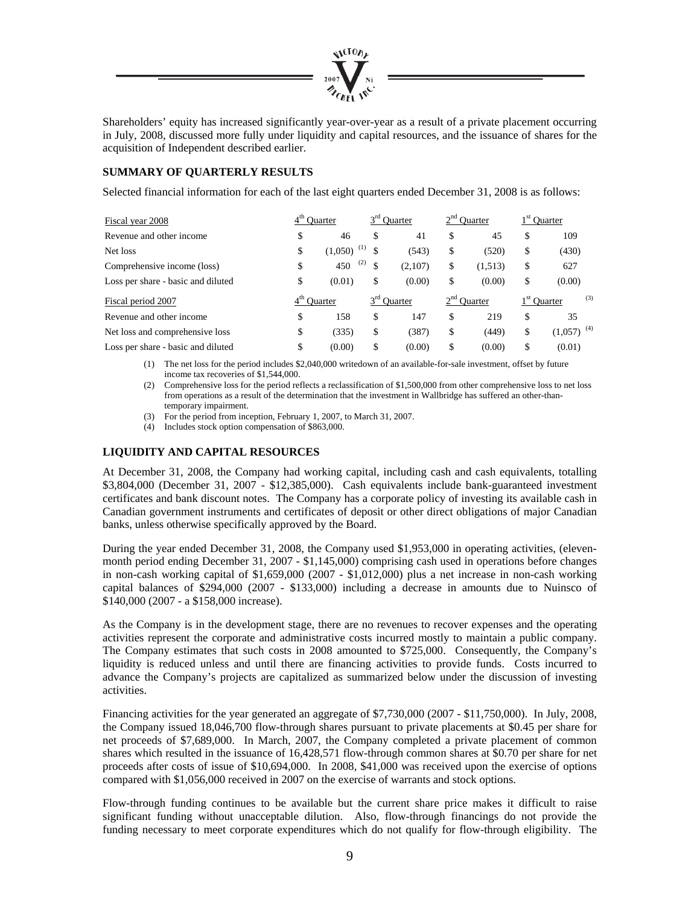

Shareholders' equity has increased significantly year-over-year as a result of a private placement occurring in July, 2008, discussed more fully under liquidity and capital resources, and the issuance of shares for the acquisition of Independent described earlier.

# **SUMMARY OF QUARTERLY RESULTS**

Selected financial information for each of the last eight quarters ended December 31, 2008 is as follows:

| Fiscal year 2008                   | <b>Ouarter</b>                        | $3rd$ Quarter |         | 2 <sup>nd</sup> Ouarter<br>$1st$ Quarter |               |    |                          |
|------------------------------------|---------------------------------------|---------------|---------|------------------------------------------|---------------|----|--------------------------|
| Revenue and other income           | \$<br>46                              | \$            | 41      | \$                                       | 45            | \$ | 109                      |
| Net loss                           | \$<br>(1)<br>(1,050)                  |               | (543)   | \$                                       | (520)         | \$ | (430)                    |
| Comprehensive income (loss)        | \$<br>(2)<br>450                      | \$            | (2,107) | \$                                       | (1,513)       | \$ | 627                      |
| Loss per share - basic and diluted | \$<br>(0.01)                          | \$            | (0.00)  | \$                                       | (0.00)        | \$ | (0.00)                   |
| Fiscal period 2007                 | $3^{\text{rd}}$<br>Ouarter<br>Ouarter |               |         |                                          | $2nd$ Quarter |    | (3)<br>$1st$ Quarter     |
| Revenue and other income           | \$<br>158                             | \$            | 147     | \$                                       | 219           | S  | 35                       |
| Net loss and comprehensive loss    | \$<br>(335)                           | \$            | (387)   | \$                                       | (449)         | \$ | $(1,057)$ <sup>(4)</sup> |
| Loss per share - basic and diluted | \$<br>(0.00)                          | \$            | (0.00)  | \$                                       | (0.00)        | \$ | (0.01)                   |

(1) The net loss for the period includes \$2,040,000 writedown of an available-for-sale investment, offset by future income tax recoveries of \$1,544,000.

- (2) Comprehensive loss for the period reflects a reclassification of \$1,500,000 from other comprehensive loss to net loss from operations as a result of the determination that the investment in Wallbridge has suffered an other-thantemporary impairment.
- (3) For the period from inception, February 1, 2007, to March 31, 2007.

(4) Includes stock option compensation of \$863,000.

# **LIQUIDITY AND CAPITAL RESOURCES**

At December 31, 2008, the Company had working capital, including cash and cash equivalents, totalling \$3,804,000 (December 31, 2007 - \$12,385,000). Cash equivalents include bank-guaranteed investment certificates and bank discount notes. The Company has a corporate policy of investing its available cash in Canadian government instruments and certificates of deposit or other direct obligations of major Canadian banks, unless otherwise specifically approved by the Board.

During the year ended December 31, 2008, the Company used \$1,953,000 in operating activities, (elevenmonth period ending December 31, 2007 - \$1,145,000) comprising cash used in operations before changes in non-cash working capital of \$1,659,000 (2007 - \$1,012,000) plus a net increase in non-cash working capital balances of \$294,000 (2007 - \$133,000) including a decrease in amounts due to Nuinsco of \$140,000 (2007 - a \$158,000 increase).

As the Company is in the development stage, there are no revenues to recover expenses and the operating activities represent the corporate and administrative costs incurred mostly to maintain a public company. The Company estimates that such costs in 2008 amounted to \$725,000. Consequently, the Company's liquidity is reduced unless and until there are financing activities to provide funds. Costs incurred to advance the Company's projects are capitalized as summarized below under the discussion of investing activities.

Financing activities for the year generated an aggregate of \$7,730,000 (2007 - \$11,750,000). In July, 2008, the Company issued 18,046,700 flow-through shares pursuant to private placements at \$0.45 per share for net proceeds of \$7,689,000. In March, 2007, the Company completed a private placement of common shares which resulted in the issuance of 16,428,571 flow-through common shares at \$0.70 per share for net proceeds after costs of issue of \$10,694,000. In 2008, \$41,000 was received upon the exercise of options compared with \$1,056,000 received in 2007 on the exercise of warrants and stock options.

Flow-through funding continues to be available but the current share price makes it difficult to raise significant funding without unacceptable dilution. Also, flow-through financings do not provide the funding necessary to meet corporate expenditures which do not qualify for flow-through eligibility. The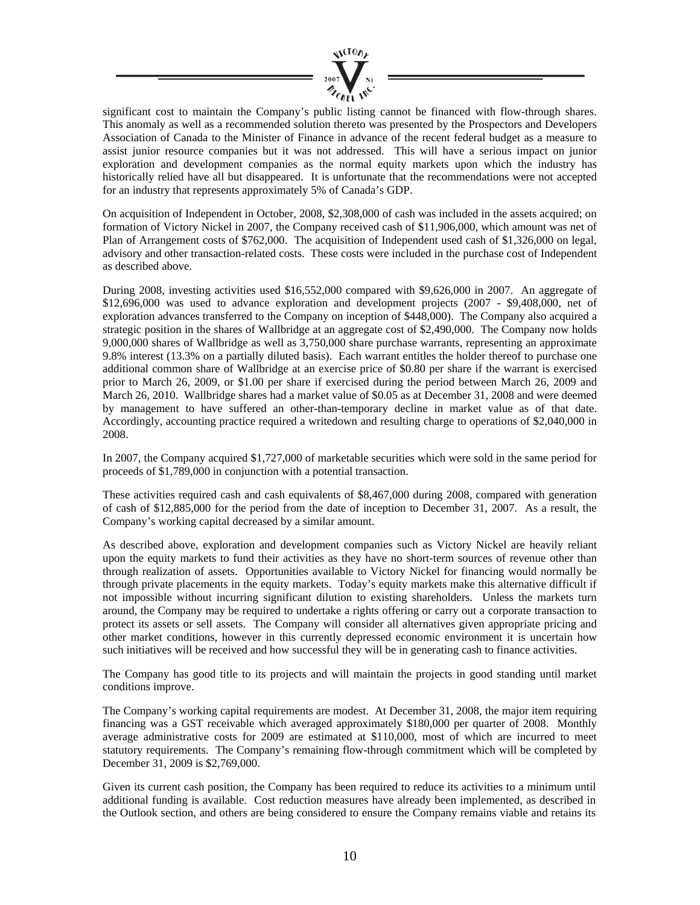

significant cost to maintain the Company's public listing cannot be financed with flow-through shares. This anomaly as well as a recommended solution thereto was presented by the Prospectors and Developers Association of Canada to the Minister of Finance in advance of the recent federal budget as a measure to assist junior resource companies but it was not addressed. This will have a serious impact on junior exploration and development companies as the normal equity markets upon which the industry has historically relied have all but disappeared. It is unfortunate that the recommendations were not accepted for an industry that represents approximately 5% of Canada's GDP.

On acquisition of Independent in October, 2008, \$2,308,000 of cash was included in the assets acquired; on formation of Victory Nickel in 2007, the Company received cash of \$11,906,000, which amount was net of Plan of Arrangement costs of \$762,000. The acquisition of Independent used cash of \$1,326,000 on legal, advisory and other transaction-related costs. These costs were included in the purchase cost of Independent as described above.

During 2008, investing activities used \$16,552,000 compared with \$9,626,000 in 2007. An aggregate of \$12,696,000 was used to advance exploration and development projects (2007 - \$9,408,000, net of exploration advances transferred to the Company on inception of \$448,000). The Company also acquired a strategic position in the shares of Wallbridge at an aggregate cost of \$2,490,000. The Company now holds 9,000,000 shares of Wallbridge as well as 3,750,000 share purchase warrants, representing an approximate 9.8% interest (13.3% on a partially diluted basis). Each warrant entitles the holder thereof to purchase one additional common share of Wallbridge at an exercise price of \$0.80 per share if the warrant is exercised prior to March 26, 2009, or \$1.00 per share if exercised during the period between March 26, 2009 and March 26, 2010. Wallbridge shares had a market value of \$0.05 as at December 31, 2008 and were deemed by management to have suffered an other-than-temporary decline in market value as of that date. Accordingly, accounting practice required a writedown and resulting charge to operations of \$2,040,000 in 2008.

In 2007, the Company acquired \$1,727,000 of marketable securities which were sold in the same period for proceeds of \$1,789,000 in conjunction with a potential transaction.

These activities required cash and cash equivalents of \$8,467,000 during 2008, compared with generation of cash of \$12,885,000 for the period from the date of inception to December 31, 2007. As a result, the Company's working capital decreased by a similar amount.

As described above, exploration and development companies such as Victory Nickel are heavily reliant upon the equity markets to fund their activities as they have no short-term sources of revenue other than through realization of assets. Opportunities available to Victory Nickel for financing would normally be through private placements in the equity markets. Today's equity markets make this alternative difficult if not impossible without incurring significant dilution to existing shareholders. Unless the markets turn around, the Company may be required to undertake a rights offering or carry out a corporate transaction to protect its assets or sell assets. The Company will consider all alternatives given appropriate pricing and other market conditions, however in this currently depressed economic environment it is uncertain how such initiatives will be received and how successful they will be in generating cash to finance activities.

The Company has good title to its projects and will maintain the projects in good standing until market conditions improve.

The Company's working capital requirements are modest. At December 31, 2008, the major item requiring financing was a GST receivable which averaged approximately \$180,000 per quarter of 2008. Monthly average administrative costs for 2009 are estimated at \$110,000, most of which are incurred to meet statutory requirements. The Company's remaining flow-through commitment which will be completed by December 31, 2009 is \$2,769,000.

Given its current cash position, the Company has been required to reduce its activities to a minimum until additional funding is available. Cost reduction measures have already been implemented, as described in the Outlook section, and others are being considered to ensure the Company remains viable and retains its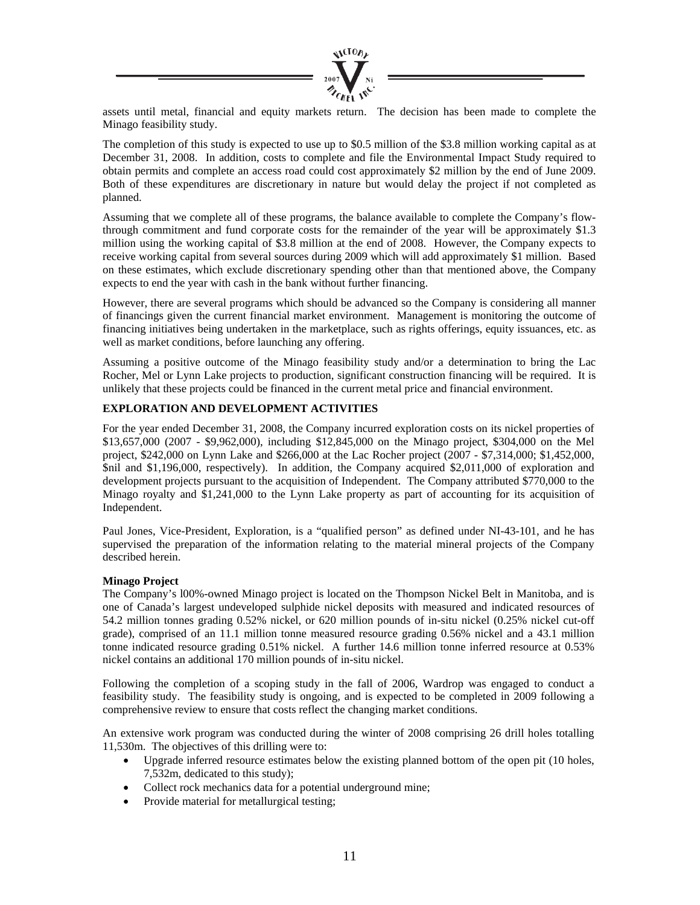

assets until metal, financial and equity markets return. The decision has been made to complete the Minago feasibility study.

The completion of this study is expected to use up to \$0.5 million of the \$3.8 million working capital as at December 31, 2008. In addition, costs to complete and file the Environmental Impact Study required to obtain permits and complete an access road could cost approximately \$2 million by the end of June 2009. Both of these expenditures are discretionary in nature but would delay the project if not completed as planned.

Assuming that we complete all of these programs, the balance available to complete the Company's flowthrough commitment and fund corporate costs for the remainder of the year will be approximately \$1.3 million using the working capital of \$3.8 million at the end of 2008. However, the Company expects to receive working capital from several sources during 2009 which will add approximately \$1 million. Based on these estimates, which exclude discretionary spending other than that mentioned above, the Company expects to end the year with cash in the bank without further financing.

However, there are several programs which should be advanced so the Company is considering all manner of financings given the current financial market environment. Management is monitoring the outcome of financing initiatives being undertaken in the marketplace, such as rights offerings, equity issuances, etc. as well as market conditions, before launching any offering.

Assuming a positive outcome of the Minago feasibility study and/or a determination to bring the Lac Rocher, Mel or Lynn Lake projects to production, significant construction financing will be required. It is unlikely that these projects could be financed in the current metal price and financial environment.

# **EXPLORATION AND DEVELOPMENT ACTIVITIES**

For the year ended December 31, 2008, the Company incurred exploration costs on its nickel properties of \$13,657,000 (2007 - \$9,962,000), including \$12,845,000 on the Minago project, \$304,000 on the Mel project, \$242,000 on Lynn Lake and \$266,000 at the Lac Rocher project (2007 - \$7,314,000; \$1,452,000, \$nil and \$1,196,000, respectively). In addition, the Company acquired \$2,011,000 of exploration and development projects pursuant to the acquisition of Independent. The Company attributed \$770,000 to the Minago royalty and \$1,241,000 to the Lynn Lake property as part of accounting for its acquisition of Independent.

Paul Jones, Vice-President, Exploration, is a "qualified person" as defined under NI-43-101, and he has supervised the preparation of the information relating to the material mineral projects of the Company described herein.

### **Minago Project**

The Company's l00%-owned Minago project is located on the Thompson Nickel Belt in Manitoba, and is one of Canada's largest undeveloped sulphide nickel deposits with measured and indicated resources of 54.2 million tonnes grading 0.52% nickel, or 620 million pounds of in-situ nickel (0.25% nickel cut-off grade), comprised of an 11.1 million tonne measured resource grading 0.56% nickel and a 43.1 million tonne indicated resource grading 0.51% nickel. A further 14.6 million tonne inferred resource at 0.53% nickel contains an additional 170 million pounds of in-situ nickel.

Following the completion of a scoping study in the fall of 2006, Wardrop was engaged to conduct a feasibility study. The feasibility study is ongoing, and is expected to be completed in 2009 following a comprehensive review to ensure that costs reflect the changing market conditions.

An extensive work program was conducted during the winter of 2008 comprising 26 drill holes totalling 11,530m. The objectives of this drilling were to:

- Upgrade inferred resource estimates below the existing planned bottom of the open pit (10 holes, 7,532m, dedicated to this study);
- Collect rock mechanics data for a potential underground mine;
- Provide material for metallurgical testing;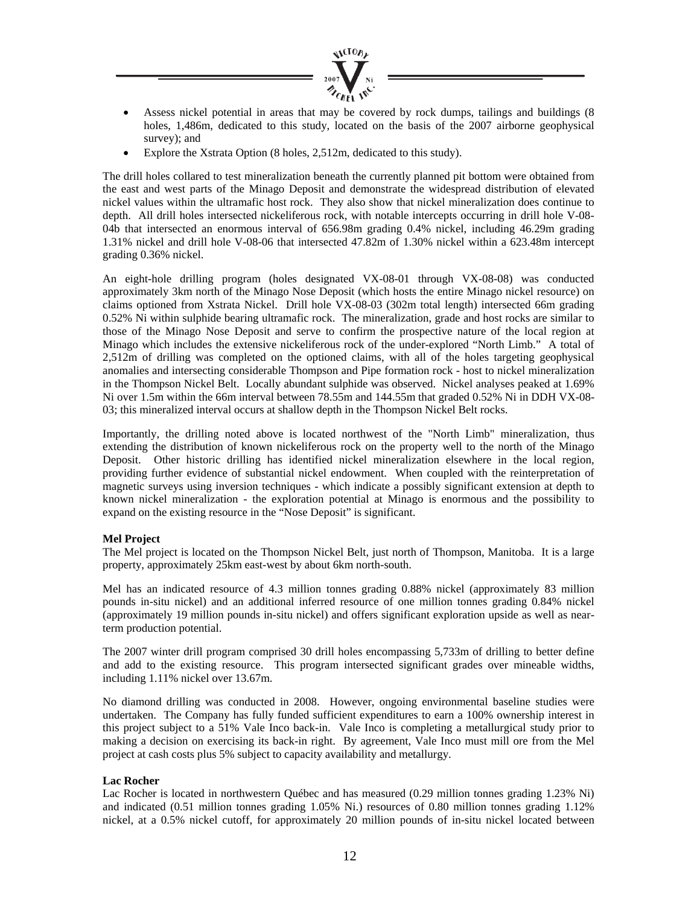

- Assess nickel potential in areas that may be covered by rock dumps, tailings and buildings (8) holes, 1,486m, dedicated to this study, located on the basis of the 2007 airborne geophysical survey); and
- Explore the Xstrata Option (8 holes, 2,512m, dedicated to this study).

The drill holes collared to test mineralization beneath the currently planned pit bottom were obtained from the east and west parts of the Minago Deposit and demonstrate the widespread distribution of elevated nickel values within the ultramafic host rock. They also show that nickel mineralization does continue to depth. All drill holes intersected nickeliferous rock, with notable intercepts occurring in drill hole V-08- 04b that intersected an enormous interval of 656.98m grading 0.4% nickel, including 46.29m grading 1.31% nickel and drill hole V-08-06 that intersected 47.82m of 1.30% nickel within a 623.48m intercept grading 0.36% nickel.

An eight-hole drilling program (holes designated VX-08-01 through VX-08-08) was conducted approximately 3km north of the Minago Nose Deposit (which hosts the entire Minago nickel resource) on claims optioned from Xstrata Nickel. Drill hole VX-08-03 (302m total length) intersected 66m grading 0.52% Ni within sulphide bearing ultramafic rock. The mineralization, grade and host rocks are similar to those of the Minago Nose Deposit and serve to confirm the prospective nature of the local region at Minago which includes the extensive nickeliferous rock of the under-explored "North Limb." A total of 2,512m of drilling was completed on the optioned claims, with all of the holes targeting geophysical anomalies and intersecting considerable Thompson and Pipe formation rock - host to nickel mineralization in the Thompson Nickel Belt. Locally abundant sulphide was observed. Nickel analyses peaked at 1.69% Ni over 1.5m within the 66m interval between 78.55m and 144.55m that graded 0.52% Ni in DDH VX-08- 03; this mineralized interval occurs at shallow depth in the Thompson Nickel Belt rocks.

Importantly, the drilling noted above is located northwest of the "North Limb" mineralization, thus extending the distribution of known nickeliferous rock on the property well to the north of the Minago Deposit. Other historic drilling has identified nickel mineralization elsewhere in the local region, providing further evidence of substantial nickel endowment. When coupled with the reinterpretation of magnetic surveys using inversion techniques - which indicate a possibly significant extension at depth to known nickel mineralization - the exploration potential at Minago is enormous and the possibility to expand on the existing resource in the "Nose Deposit" is significant.

### **Mel Project**

The Mel project is located on the Thompson Nickel Belt, just north of Thompson, Manitoba. It is a large property, approximately 25km east-west by about 6km north-south.

Mel has an indicated resource of 4.3 million tonnes grading 0.88% nickel (approximately 83 million pounds in-situ nickel) and an additional inferred resource of one million tonnes grading 0.84% nickel (approximately 19 million pounds in-situ nickel) and offers significant exploration upside as well as nearterm production potential.

The 2007 winter drill program comprised 30 drill holes encompassing 5,733m of drilling to better define and add to the existing resource. This program intersected significant grades over mineable widths, including 1.11% nickel over 13.67m.

No diamond drilling was conducted in 2008. However, ongoing environmental baseline studies were undertaken. The Company has fully funded sufficient expenditures to earn a 100% ownership interest in this project subject to a 51% Vale Inco back-in. Vale Inco is completing a metallurgical study prior to making a decision on exercising its back-in right. By agreement, Vale Inco must mill ore from the Mel project at cash costs plus 5% subject to capacity availability and metallurgy.

### **Lac Rocher**

Lac Rocher is located in northwestern Québec and has measured (0.29 million tonnes grading 1.23% Ni) and indicated (0.51 million tonnes grading 1.05% Ni.) resources of 0.80 million tonnes grading 1.12% nickel, at a 0.5% nickel cutoff, for approximately 20 million pounds of in-situ nickel located between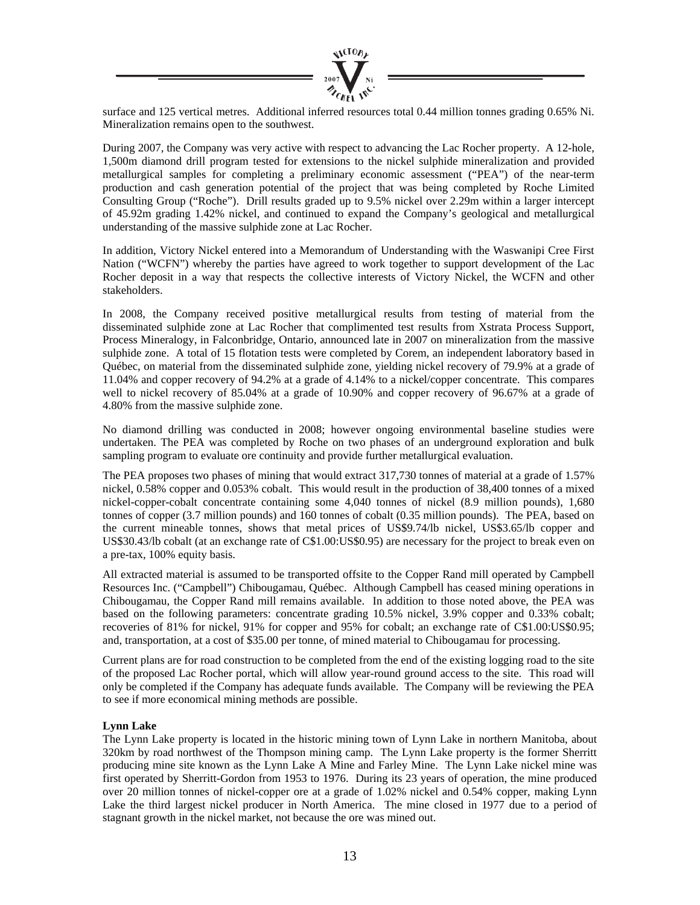

surface and 125 vertical metres. Additional inferred resources total 0.44 million tonnes grading 0.65% Ni. Mineralization remains open to the southwest.

During 2007, the Company was very active with respect to advancing the Lac Rocher property. A 12-hole, 1,500m diamond drill program tested for extensions to the nickel sulphide mineralization and provided metallurgical samples for completing a preliminary economic assessment ("PEA") of the near-term production and cash generation potential of the project that was being completed by Roche Limited Consulting Group ("Roche"). Drill results graded up to 9.5% nickel over 2.29m within a larger intercept of 45.92m grading 1.42% nickel, and continued to expand the Company's geological and metallurgical understanding of the massive sulphide zone at Lac Rocher.

In addition, Victory Nickel entered into a Memorandum of Understanding with the Waswanipi Cree First Nation ("WCFN") whereby the parties have agreed to work together to support development of the Lac Rocher deposit in a way that respects the collective interests of Victory Nickel, the WCFN and other stakeholders.

In 2008, the Company received positive metallurgical results from testing of material from the disseminated sulphide zone at Lac Rocher that complimented test results from Xstrata Process Support, Process Mineralogy, in Falconbridge, Ontario, announced late in 2007 on mineralization from the massive sulphide zone. A total of 15 flotation tests were completed by Corem, an independent laboratory based in Québec, on material from the disseminated sulphide zone, yielding nickel recovery of 79.9% at a grade of 11.04% and copper recovery of 94.2% at a grade of 4.14% to a nickel/copper concentrate. This compares well to nickel recovery of 85.04% at a grade of 10.90% and copper recovery of 96.67% at a grade of 4.80% from the massive sulphide zone.

No diamond drilling was conducted in 2008; however ongoing environmental baseline studies were undertaken. The PEA was completed by Roche on two phases of an underground exploration and bulk sampling program to evaluate ore continuity and provide further metallurgical evaluation.

The PEA proposes two phases of mining that would extract 317,730 tonnes of material at a grade of 1.57% nickel, 0.58% copper and 0.053% cobalt. This would result in the production of 38,400 tonnes of a mixed nickel-copper-cobalt concentrate containing some 4,040 tonnes of nickel (8.9 million pounds), 1,680 tonnes of copper (3.7 million pounds) and 160 tonnes of cobalt (0.35 million pounds). The PEA, based on the current mineable tonnes, shows that metal prices of US\$9.74/lb nickel, US\$3.65/lb copper and US\$30.43/lb cobalt (at an exchange rate of C\$1.00:US\$0.95) are necessary for the project to break even on a pre-tax, 100% equity basis.

All extracted material is assumed to be transported offsite to the Copper Rand mill operated by Campbell Resources Inc. ("Campbell") Chibougamau, Québec. Although Campbell has ceased mining operations in Chibougamau, the Copper Rand mill remains available. In addition to those noted above, the PEA was based on the following parameters: concentrate grading 10.5% nickel, 3.9% copper and 0.33% cobalt; recoveries of 81% for nickel, 91% for copper and 95% for cobalt; an exchange rate of C\$1.00:US\$0.95; and, transportation, at a cost of \$35.00 per tonne, of mined material to Chibougamau for processing.

Current plans are for road construction to be completed from the end of the existing logging road to the site of the proposed Lac Rocher portal, which will allow year-round ground access to the site. This road will only be completed if the Company has adequate funds available. The Company will be reviewing the PEA to see if more economical mining methods are possible.

# **Lynn Lake**

The Lynn Lake property is located in the historic mining town of Lynn Lake in northern Manitoba, about 320km by road northwest of the Thompson mining camp. The Lynn Lake property is the former Sherritt producing mine site known as the Lynn Lake A Mine and Farley Mine. The Lynn Lake nickel mine was first operated by Sherritt-Gordon from 1953 to 1976. During its 23 years of operation, the mine produced over 20 million tonnes of nickel-copper ore at a grade of 1.02% nickel and 0.54% copper, making Lynn Lake the third largest nickel producer in North America. The mine closed in 1977 due to a period of stagnant growth in the nickel market, not because the ore was mined out.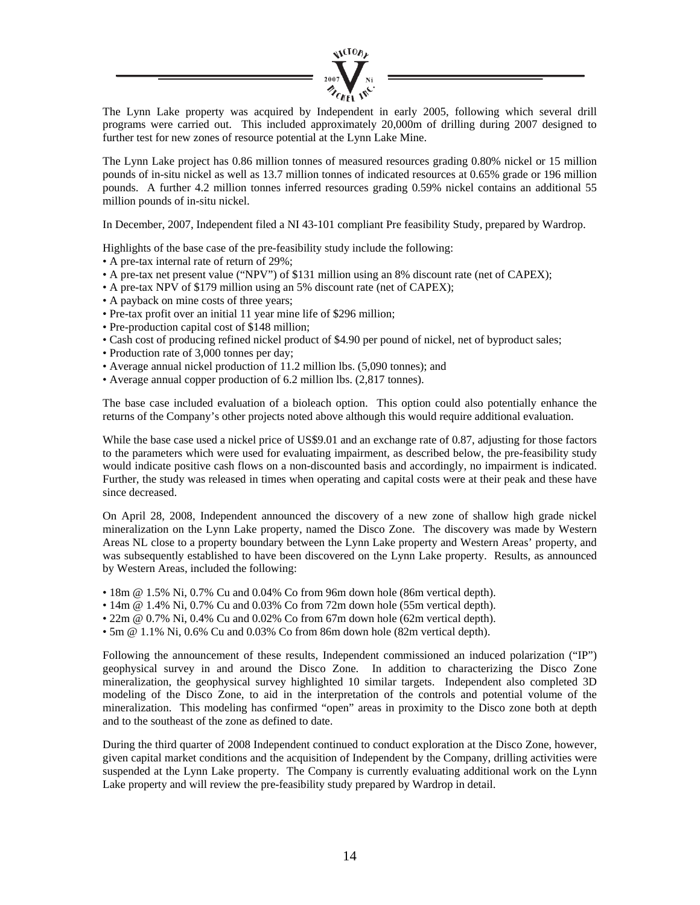

The Lynn Lake property was acquired by Independent in early 2005, following which several drill programs were carried out. This included approximately 20,000m of drilling during 2007 designed to further test for new zones of resource potential at the Lynn Lake Mine.

The Lynn Lake project has 0.86 million tonnes of measured resources grading 0.80% nickel or 15 million pounds of in-situ nickel as well as 13.7 million tonnes of indicated resources at 0.65% grade or 196 million pounds. A further 4.2 million tonnes inferred resources grading 0.59% nickel contains an additional 55 million pounds of in-situ nickel.

In December, 2007, Independent filed a NI 43-101 compliant Pre feasibility Study, prepared by Wardrop.

Highlights of the base case of the pre-feasibility study include the following:

- A pre-tax internal rate of return of 29%;
- A pre-tax net present value ("NPV") of \$131 million using an 8% discount rate (net of CAPEX);
- A pre-tax NPV of \$179 million using an 5% discount rate (net of CAPEX);
- A payback on mine costs of three years;
- Pre-tax profit over an initial 11 year mine life of \$296 million;
- Pre-production capital cost of \$148 million;
- Cash cost of producing refined nickel product of \$4.90 per pound of nickel, net of byproduct sales;
- Production rate of 3,000 tonnes per day;
- Average annual nickel production of 11.2 million lbs. (5,090 tonnes); and
- Average annual copper production of 6.2 million lbs. (2,817 tonnes).

The base case included evaluation of a bioleach option. This option could also potentially enhance the returns of the Company's other projects noted above although this would require additional evaluation.

While the base case used a nickel price of US\$9.01 and an exchange rate of 0.87, adjusting for those factors to the parameters which were used for evaluating impairment, as described below, the pre-feasibility study would indicate positive cash flows on a non-discounted basis and accordingly, no impairment is indicated. Further, the study was released in times when operating and capital costs were at their peak and these have since decreased.

On April 28, 2008, Independent announced the discovery of a new zone of shallow high grade nickel mineralization on the Lynn Lake property, named the Disco Zone. The discovery was made by Western Areas NL close to a property boundary between the Lynn Lake property and Western Areas' property, and was subsequently established to have been discovered on the Lynn Lake property. Results, as announced by Western Areas, included the following:

- 18m @ 1.5% Ni, 0.7% Cu and 0.04% Co from 96m down hole (86m vertical depth).
- 14m @ 1.4% Ni, 0.7% Cu and 0.03% Co from 72m down hole (55m vertical depth).
- 22m @ 0.7% Ni, 0.4% Cu and 0.02% Co from 67m down hole (62m vertical depth).
- 5m @ 1.1% Ni, 0.6% Cu and 0.03% Co from 86m down hole (82m vertical depth).

Following the announcement of these results, Independent commissioned an induced polarization ("IP") geophysical survey in and around the Disco Zone. In addition to characterizing the Disco Zone mineralization, the geophysical survey highlighted 10 similar targets. Independent also completed 3D modeling of the Disco Zone, to aid in the interpretation of the controls and potential volume of the mineralization. This modeling has confirmed "open" areas in proximity to the Disco zone both at depth and to the southeast of the zone as defined to date.

During the third quarter of 2008 Independent continued to conduct exploration at the Disco Zone, however, given capital market conditions and the acquisition of Independent by the Company, drilling activities were suspended at the Lynn Lake property. The Company is currently evaluating additional work on the Lynn Lake property and will review the pre-feasibility study prepared by Wardrop in detail.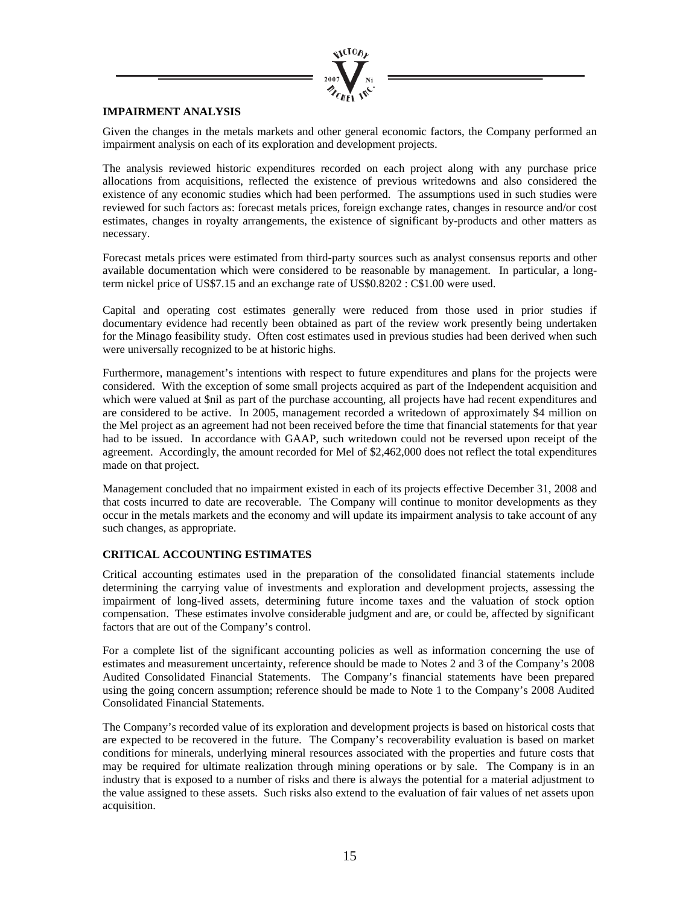

# **IMPAIRMENT ANALYSIS**

Given the changes in the metals markets and other general economic factors, the Company performed an impairment analysis on each of its exploration and development projects.

The analysis reviewed historic expenditures recorded on each project along with any purchase price allocations from acquisitions, reflected the existence of previous writedowns and also considered the existence of any economic studies which had been performed. The assumptions used in such studies were reviewed for such factors as: forecast metals prices, foreign exchange rates, changes in resource and/or cost estimates, changes in royalty arrangements, the existence of significant by-products and other matters as necessary.

Forecast metals prices were estimated from third-party sources such as analyst consensus reports and other available documentation which were considered to be reasonable by management. In particular, a longterm nickel price of US\$7.15 and an exchange rate of US\$0.8202 : C\$1.00 were used.

Capital and operating cost estimates generally were reduced from those used in prior studies if documentary evidence had recently been obtained as part of the review work presently being undertaken for the Minago feasibility study. Often cost estimates used in previous studies had been derived when such were universally recognized to be at historic highs.

Furthermore, management's intentions with respect to future expenditures and plans for the projects were considered. With the exception of some small projects acquired as part of the Independent acquisition and which were valued at \$nil as part of the purchase accounting, all projects have had recent expenditures and are considered to be active. In 2005, management recorded a writedown of approximately \$4 million on the Mel project as an agreement had not been received before the time that financial statements for that year had to be issued. In accordance with GAAP, such writedown could not be reversed upon receipt of the agreement. Accordingly, the amount recorded for Mel of \$2,462,000 does not reflect the total expenditures made on that project.

Management concluded that no impairment existed in each of its projects effective December 31, 2008 and that costs incurred to date are recoverable. The Company will continue to monitor developments as they occur in the metals markets and the economy and will update its impairment analysis to take account of any such changes, as appropriate.

### **CRITICAL ACCOUNTING ESTIMATES**

Critical accounting estimates used in the preparation of the consolidated financial statements include determining the carrying value of investments and exploration and development projects, assessing the impairment of long-lived assets, determining future income taxes and the valuation of stock option compensation. These estimates involve considerable judgment and are, or could be, affected by significant factors that are out of the Company's control.

For a complete list of the significant accounting policies as well as information concerning the use of estimates and measurement uncertainty, reference should be made to Notes 2 and 3 of the Company's 2008 Audited Consolidated Financial Statements. The Company's financial statements have been prepared using the going concern assumption; reference should be made to Note 1 to the Company's 2008 Audited Consolidated Financial Statements.

The Company's recorded value of its exploration and development projects is based on historical costs that are expected to be recovered in the future. The Company's recoverability evaluation is based on market conditions for minerals, underlying mineral resources associated with the properties and future costs that may be required for ultimate realization through mining operations or by sale. The Company is in an industry that is exposed to a number of risks and there is always the potential for a material adjustment to the value assigned to these assets. Such risks also extend to the evaluation of fair values of net assets upon acquisition.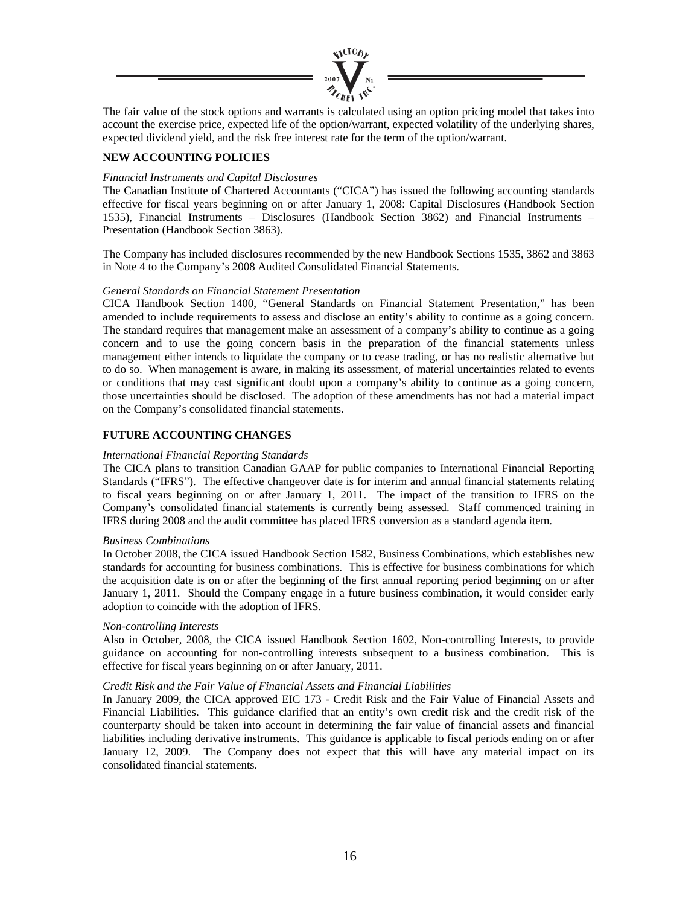

The fair value of the stock options and warrants is calculated using an option pricing model that takes into account the exercise price, expected life of the option/warrant, expected volatility of the underlying shares, expected dividend yield, and the risk free interest rate for the term of the option/warrant.

## **NEW ACCOUNTING POLICIES**

### *Financial Instruments and Capital Disclosures*

The Canadian Institute of Chartered Accountants ("CICA") has issued the following accounting standards effective for fiscal years beginning on or after January 1, 2008: Capital Disclosures (Handbook Section 1535), Financial Instruments – Disclosures (Handbook Section 3862) and Financial Instruments – Presentation (Handbook Section 3863).

The Company has included disclosures recommended by the new Handbook Sections 1535, 3862 and 3863 in Note 4 to the Company's 2008 Audited Consolidated Financial Statements.

### *General Standards on Financial Statement Presentation*

CICA Handbook Section 1400, "General Standards on Financial Statement Presentation," has been amended to include requirements to assess and disclose an entity's ability to continue as a going concern. The standard requires that management make an assessment of a company's ability to continue as a going concern and to use the going concern basis in the preparation of the financial statements unless management either intends to liquidate the company or to cease trading, or has no realistic alternative but to do so. When management is aware, in making its assessment, of material uncertainties related to events or conditions that may cast significant doubt upon a company's ability to continue as a going concern, those uncertainties should be disclosed. The adoption of these amendments has not had a material impact on the Company's consolidated financial statements.

### **FUTURE ACCOUNTING CHANGES**

### *International Financial Reporting Standards*

The CICA plans to transition Canadian GAAP for public companies to International Financial Reporting Standards ("IFRS"). The effective changeover date is for interim and annual financial statements relating to fiscal years beginning on or after January 1, 2011. The impact of the transition to IFRS on the Company's consolidated financial statements is currently being assessed. Staff commenced training in IFRS during 2008 and the audit committee has placed IFRS conversion as a standard agenda item.

### *Business Combinations*

In October 2008, the CICA issued Handbook Section 1582, Business Combinations, which establishes new standards for accounting for business combinations. This is effective for business combinations for which the acquisition date is on or after the beginning of the first annual reporting period beginning on or after January 1, 2011. Should the Company engage in a future business combination, it would consider early adoption to coincide with the adoption of IFRS.

### *Non-controlling Interests*

Also in October, 2008, the CICA issued Handbook Section 1602, Non-controlling Interests, to provide guidance on accounting for non-controlling interests subsequent to a business combination. This is effective for fiscal years beginning on or after January, 2011.

### *Credit Risk and the Fair Value of Financial Assets and Financial Liabilities*

In January 2009, the CICA approved EIC 173 - Credit Risk and the Fair Value of Financial Assets and Financial Liabilities. This guidance clarified that an entity's own credit risk and the credit risk of the counterparty should be taken into account in determining the fair value of financial assets and financial liabilities including derivative instruments. This guidance is applicable to fiscal periods ending on or after January 12, 2009. The Company does not expect that this will have any material impact on its consolidated financial statements.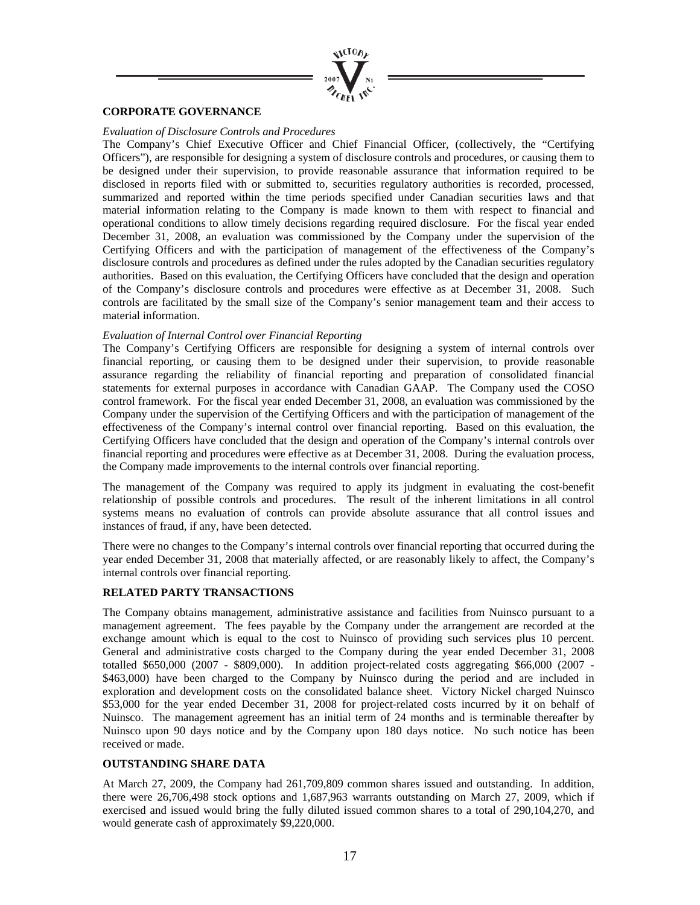

## **CORPORATE GOVERNANCE**

### *Evaluation of Disclosure Controls and Procedures*

The Company's Chief Executive Officer and Chief Financial Officer, (collectively, the "Certifying Officers"), are responsible for designing a system of disclosure controls and procedures, or causing them to be designed under their supervision, to provide reasonable assurance that information required to be disclosed in reports filed with or submitted to, securities regulatory authorities is recorded, processed, summarized and reported within the time periods specified under Canadian securities laws and that material information relating to the Company is made known to them with respect to financial and operational conditions to allow timely decisions regarding required disclosure. For the fiscal year ended December 31, 2008, an evaluation was commissioned by the Company under the supervision of the Certifying Officers and with the participation of management of the effectiveness of the Company's disclosure controls and procedures as defined under the rules adopted by the Canadian securities regulatory authorities. Based on this evaluation, the Certifying Officers have concluded that the design and operation of the Company's disclosure controls and procedures were effective as at December 31, 2008. Such controls are facilitated by the small size of the Company's senior management team and their access to material information.

### *Evaluation of Internal Control over Financial Reporting*

The Company's Certifying Officers are responsible for designing a system of internal controls over financial reporting, or causing them to be designed under their supervision, to provide reasonable assurance regarding the reliability of financial reporting and preparation of consolidated financial statements for external purposes in accordance with Canadian GAAP. The Company used the COSO control framework. For the fiscal year ended December 31, 2008, an evaluation was commissioned by the Company under the supervision of the Certifying Officers and with the participation of management of the effectiveness of the Company's internal control over financial reporting. Based on this evaluation, the Certifying Officers have concluded that the design and operation of the Company's internal controls over financial reporting and procedures were effective as at December 31, 2008. During the evaluation process, the Company made improvements to the internal controls over financial reporting.

The management of the Company was required to apply its judgment in evaluating the cost-benefit relationship of possible controls and procedures. The result of the inherent limitations in all control systems means no evaluation of controls can provide absolute assurance that all control issues and instances of fraud, if any, have been detected.

There were no changes to the Company's internal controls over financial reporting that occurred during the year ended December 31, 2008 that materially affected, or are reasonably likely to affect, the Company's internal controls over financial reporting.

### **RELATED PARTY TRANSACTIONS**

The Company obtains management, administrative assistance and facilities from Nuinsco pursuant to a management agreement. The fees payable by the Company under the arrangement are recorded at the exchange amount which is equal to the cost to Nuinsco of providing such services plus 10 percent. General and administrative costs charged to the Company during the year ended December 31, 2008 totalled \$650,000 (2007 - \$809,000). In addition project-related costs aggregating \$66,000 (2007 - \$463,000) have been charged to the Company by Nuinsco during the period and are included in exploration and development costs on the consolidated balance sheet. Victory Nickel charged Nuinsco \$53,000 for the year ended December 31, 2008 for project-related costs incurred by it on behalf of Nuinsco. The management agreement has an initial term of 24 months and is terminable thereafter by Nuinsco upon 90 days notice and by the Company upon 180 days notice. No such notice has been received or made.

### **OUTSTANDING SHARE DATA**

At March 27, 2009, the Company had 261,709,809 common shares issued and outstanding. In addition, there were 26,706,498 stock options and 1,687,963 warrants outstanding on March 27, 2009, which if exercised and issued would bring the fully diluted issued common shares to a total of 290,104,270, and would generate cash of approximately \$9,220,000.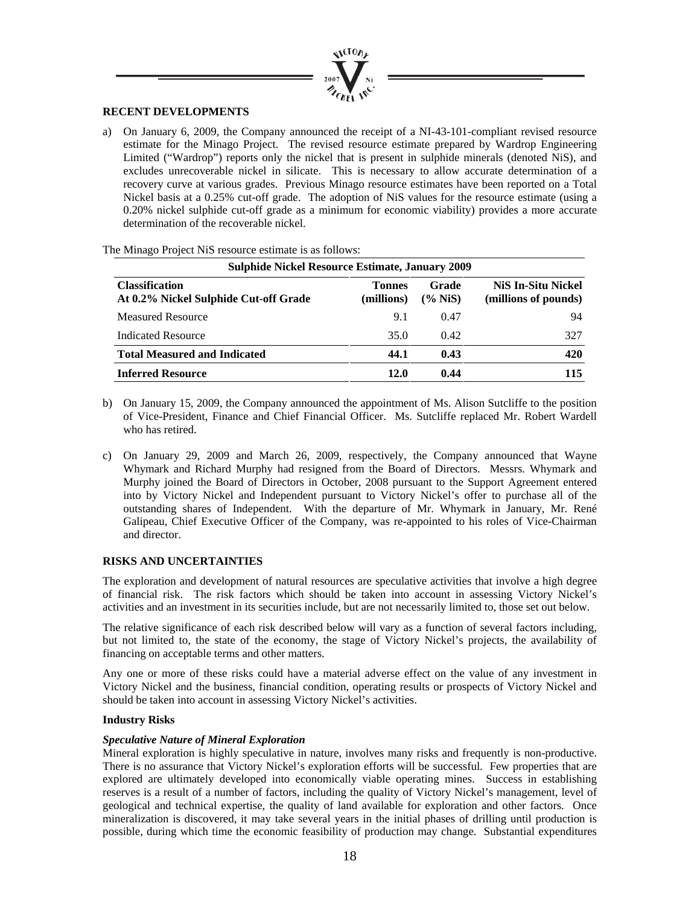

### **RECENT DEVELOPMENTS**

a) On January 6, 2009, the Company announced the receipt of a NI-43-101-compliant revised resource estimate for the Minago Project. The revised resource estimate prepared by Wardrop Engineering Limited ("Wardrop") reports only the nickel that is present in sulphide minerals (denoted NiS), and excludes unrecoverable nickel in silicate. This is necessary to allow accurate determination of a recovery curve at various grades. Previous Minago resource estimates have been reported on a Total Nickel basis at a 0.25% cut-off grade. The adoption of NiS values for the resource estimate (using a 0.20% nickel sulphide cut-off grade as a minimum for economic viability) provides a more accurate determination of the recoverable nickel.

| <b>Sulphide Nickel Resource Estimate, January 2009</b>         |                             |                     |                                                   |
|----------------------------------------------------------------|-----------------------------|---------------------|---------------------------------------------------|
| <b>Classification</b><br>At 0.2% Nickel Sulphide Cut-off Grade | <b>Tonnes</b><br>(millions) | Grade<br>$(\%$ NiS) | <b>NiS In-Situ Nickel</b><br>(millions of pounds) |
| <b>Measured Resource</b>                                       | 9.1                         | 0.47                | 94                                                |
| <b>Indicated Resource</b>                                      | 35.0                        | 0.42                | 327                                               |
| <b>Total Measured and Indicated</b>                            | 44.1                        | 0.43                | 420                                               |
| <b>Inferred Resource</b>                                       | 12.0                        | 0.44                | 115                                               |

The Minago Project NiS resource estimate is as follows:

- b) On January 15, 2009, the Company announced the appointment of Ms. Alison Sutcliffe to the position of Vice-President, Finance and Chief Financial Officer. Ms. Sutcliffe replaced Mr. Robert Wardell who has retired.
- c) On January 29, 2009 and March 26, 2009, respectively, the Company announced that Wayne Whymark and Richard Murphy had resigned from the Board of Directors. Messrs. Whymark and Murphy joined the Board of Directors in October, 2008 pursuant to the Support Agreement entered into by Victory Nickel and Independent pursuant to Victory Nickel's offer to purchase all of the outstanding shares of Independent. With the departure of Mr. Whymark in January, Mr. René Galipeau, Chief Executive Officer of the Company, was re-appointed to his roles of Vice-Chairman and director.

### **RISKS AND UNCERTAINTIES**

The exploration and development of natural resources are speculative activities that involve a high degree of financial risk. The risk factors which should be taken into account in assessing Victory Nickel's activities and an investment in its securities include, but are not necessarily limited to, those set out below.

The relative significance of each risk described below will vary as a function of several factors including, but not limited to, the state of the economy, the stage of Victory Nickel's projects, the availability of financing on acceptable terms and other matters.

Any one or more of these risks could have a material adverse effect on the value of any investment in Victory Nickel and the business, financial condition, operating results or prospects of Victory Nickel and should be taken into account in assessing Victory Nickel's activities.

### **Industry Risks**

### *Speculative Nature of Mineral Exploration*

Mineral exploration is highly speculative in nature, involves many risks and frequently is non-productive. There is no assurance that Victory Nickel's exploration efforts will be successful. Few properties that are explored are ultimately developed into economically viable operating mines. Success in establishing reserves is a result of a number of factors, including the quality of Victory Nickel's management, level of geological and technical expertise, the quality of land available for exploration and other factors. Once mineralization is discovered, it may take several years in the initial phases of drilling until production is possible, during which time the economic feasibility of production may change. Substantial expenditures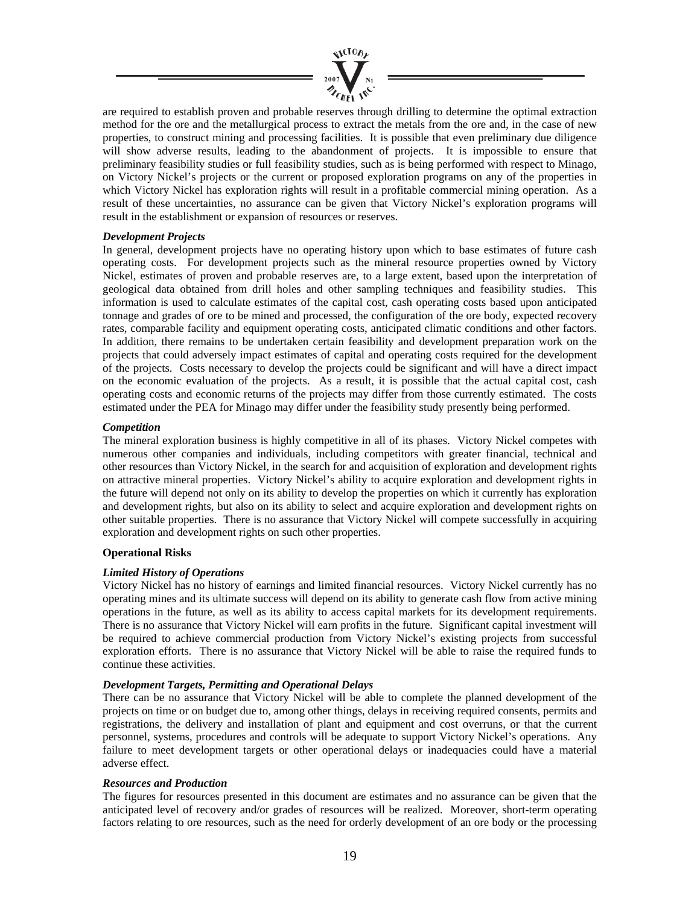

are required to establish proven and probable reserves through drilling to determine the optimal extraction method for the ore and the metallurgical process to extract the metals from the ore and, in the case of new properties, to construct mining and processing facilities. It is possible that even preliminary due diligence will show adverse results, leading to the abandonment of projects. It is impossible to ensure that preliminary feasibility studies or full feasibility studies, such as is being performed with respect to Minago, on Victory Nickel's projects or the current or proposed exploration programs on any of the properties in which Victory Nickel has exploration rights will result in a profitable commercial mining operation. As a result of these uncertainties, no assurance can be given that Victory Nickel's exploration programs will result in the establishment or expansion of resources or reserves.

## *Development Projects*

In general, development projects have no operating history upon which to base estimates of future cash operating costs. For development projects such as the mineral resource properties owned by Victory Nickel, estimates of proven and probable reserves are, to a large extent, based upon the interpretation of geological data obtained from drill holes and other sampling techniques and feasibility studies. This information is used to calculate estimates of the capital cost, cash operating costs based upon anticipated tonnage and grades of ore to be mined and processed, the configuration of the ore body, expected recovery rates, comparable facility and equipment operating costs, anticipated climatic conditions and other factors. In addition, there remains to be undertaken certain feasibility and development preparation work on the projects that could adversely impact estimates of capital and operating costs required for the development of the projects. Costs necessary to develop the projects could be significant and will have a direct impact on the economic evaluation of the projects. As a result, it is possible that the actual capital cost, cash operating costs and economic returns of the projects may differ from those currently estimated. The costs estimated under the PEA for Minago may differ under the feasibility study presently being performed.

## *Competition*

The mineral exploration business is highly competitive in all of its phases. Victory Nickel competes with numerous other companies and individuals, including competitors with greater financial, technical and other resources than Victory Nickel, in the search for and acquisition of exploration and development rights on attractive mineral properties. Victory Nickel's ability to acquire exploration and development rights in the future will depend not only on its ability to develop the properties on which it currently has exploration and development rights, but also on its ability to select and acquire exploration and development rights on other suitable properties. There is no assurance that Victory Nickel will compete successfully in acquiring exploration and development rights on such other properties.

### **Operational Risks**

# *Limited History of Operations*

Victory Nickel has no history of earnings and limited financial resources. Victory Nickel currently has no operating mines and its ultimate success will depend on its ability to generate cash flow from active mining operations in the future, as well as its ability to access capital markets for its development requirements. There is no assurance that Victory Nickel will earn profits in the future. Significant capital investment will be required to achieve commercial production from Victory Nickel's existing projects from successful exploration efforts. There is no assurance that Victory Nickel will be able to raise the required funds to continue these activities.

## *Development Targets, Permitting and Operational Delays*

There can be no assurance that Victory Nickel will be able to complete the planned development of the projects on time or on budget due to, among other things, delays in receiving required consents, permits and registrations, the delivery and installation of plant and equipment and cost overruns, or that the current personnel, systems, procedures and controls will be adequate to support Victory Nickel's operations. Any failure to meet development targets or other operational delays or inadequacies could have a material adverse effect.

### *Resources and Production*

The figures for resources presented in this document are estimates and no assurance can be given that the anticipated level of recovery and/or grades of resources will be realized. Moreover, short-term operating factors relating to ore resources, such as the need for orderly development of an ore body or the processing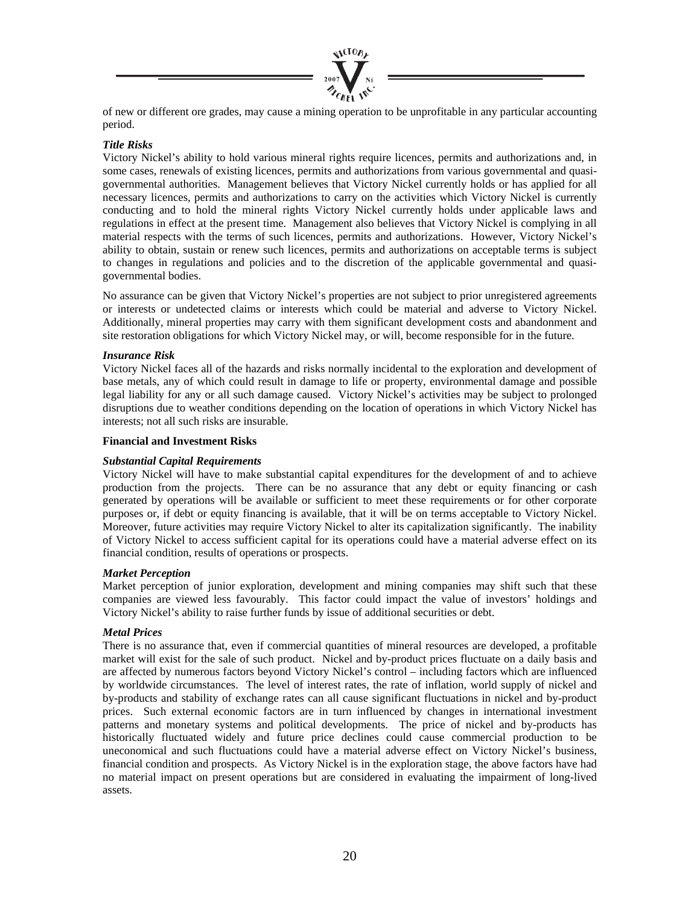

of new or different ore grades, may cause a mining operation to be unprofitable in any particular accounting period.

# *Title Risks*

Victory Nickel's ability to hold various mineral rights require licences, permits and authorizations and, in some cases, renewals of existing licences, permits and authorizations from various governmental and quasigovernmental authorities. Management believes that Victory Nickel currently holds or has applied for all necessary licences, permits and authorizations to carry on the activities which Victory Nickel is currently conducting and to hold the mineral rights Victory Nickel currently holds under applicable laws and regulations in effect at the present time. Management also believes that Victory Nickel is complying in all material respects with the terms of such licences, permits and authorizations. However, Victory Nickel's ability to obtain, sustain or renew such licences, permits and authorizations on acceptable terms is subject to changes in regulations and policies and to the discretion of the applicable governmental and quasigovernmental bodies.

No assurance can be given that Victory Nickel's properties are not subject to prior unregistered agreements or interests or undetected claims or interests which could be material and adverse to Victory Nickel. Additionally, mineral properties may carry with them significant development costs and abandonment and site restoration obligations for which Victory Nickel may, or will, become responsible for in the future.

## *Insurance Risk*

Victory Nickel faces all of the hazards and risks normally incidental to the exploration and development of base metals, any of which could result in damage to life or property, environmental damage and possible legal liability for any or all such damage caused. Victory Nickel's activities may be subject to prolonged disruptions due to weather conditions depending on the location of operations in which Victory Nickel has interests; not all such risks are insurable.

### **Financial and Investment Risks**

### *Substantial Capital Requirements*

Victory Nickel will have to make substantial capital expenditures for the development of and to achieve production from the projects. There can be no assurance that any debt or equity financing or cash generated by operations will be available or sufficient to meet these requirements or for other corporate purposes or, if debt or equity financing is available, that it will be on terms acceptable to Victory Nickel. Moreover, future activities may require Victory Nickel to alter its capitalization significantly. The inability of Victory Nickel to access sufficient capital for its operations could have a material adverse effect on its financial condition, results of operations or prospects.

### *Market Perception*

Market perception of junior exploration, development and mining companies may shift such that these companies are viewed less favourably. This factor could impact the value of investors' holdings and Victory Nickel's ability to raise further funds by issue of additional securities or debt.

### *Metal Prices*

There is no assurance that, even if commercial quantities of mineral resources are developed, a profitable market will exist for the sale of such product. Nickel and by-product prices fluctuate on a daily basis and are affected by numerous factors beyond Victory Nickel's control – including factors which are influenced by worldwide circumstances. The level of interest rates, the rate of inflation, world supply of nickel and by-products and stability of exchange rates can all cause significant fluctuations in nickel and by-product prices. Such external economic factors are in turn influenced by changes in international investment patterns and monetary systems and political developments. The price of nickel and by-products has historically fluctuated widely and future price declines could cause commercial production to be uneconomical and such fluctuations could have a material adverse effect on Victory Nickel's business, financial condition and prospects. As Victory Nickel is in the exploration stage, the above factors have had no material impact on present operations but are considered in evaluating the impairment of long-lived assets.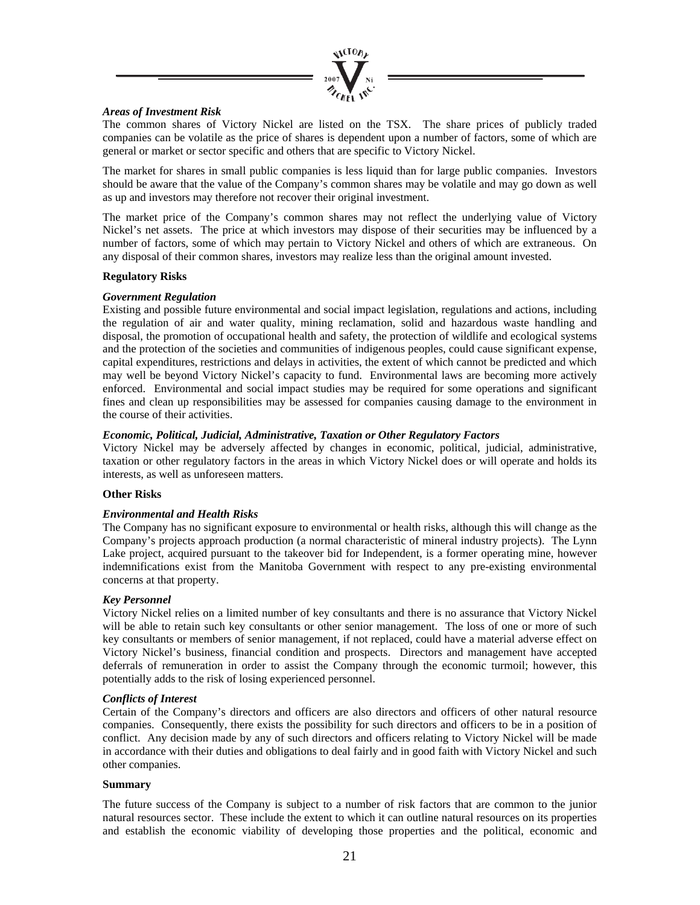

## *Areas of Investment Risk*

The common shares of Victory Nickel are listed on the TSX. The share prices of publicly traded companies can be volatile as the price of shares is dependent upon a number of factors, some of which are general or market or sector specific and others that are specific to Victory Nickel.

The market for shares in small public companies is less liquid than for large public companies. Investors should be aware that the value of the Company's common shares may be volatile and may go down as well as up and investors may therefore not recover their original investment.

The market price of the Company's common shares may not reflect the underlying value of Victory Nickel's net assets. The price at which investors may dispose of their securities may be influenced by a number of factors, some of which may pertain to Victory Nickel and others of which are extraneous. On any disposal of their common shares, investors may realize less than the original amount invested.

### **Regulatory Risks**

## *Government Regulation*

Existing and possible future environmental and social impact legislation, regulations and actions, including the regulation of air and water quality, mining reclamation, solid and hazardous waste handling and disposal, the promotion of occupational health and safety, the protection of wildlife and ecological systems and the protection of the societies and communities of indigenous peoples, could cause significant expense, capital expenditures, restrictions and delays in activities, the extent of which cannot be predicted and which may well be beyond Victory Nickel's capacity to fund. Environmental laws are becoming more actively enforced. Environmental and social impact studies may be required for some operations and significant fines and clean up responsibilities may be assessed for companies causing damage to the environment in the course of their activities.

## *Economic, Political, Judicial, Administrative, Taxation or Other Regulatory Factors*

Victory Nickel may be adversely affected by changes in economic, political, judicial, administrative, taxation or other regulatory factors in the areas in which Victory Nickel does or will operate and holds its interests, as well as unforeseen matters.

### **Other Risks**

# *Environmental and Health Risks*

The Company has no significant exposure to environmental or health risks, although this will change as the Company's projects approach production (a normal characteristic of mineral industry projects). The Lynn Lake project, acquired pursuant to the takeover bid for Independent, is a former operating mine, however indemnifications exist from the Manitoba Government with respect to any pre-existing environmental concerns at that property.

# *Key Personnel*

Victory Nickel relies on a limited number of key consultants and there is no assurance that Victory Nickel will be able to retain such key consultants or other senior management. The loss of one or more of such key consultants or members of senior management, if not replaced, could have a material adverse effect on Victory Nickel's business, financial condition and prospects. Directors and management have accepted deferrals of remuneration in order to assist the Company through the economic turmoil; however, this potentially adds to the risk of losing experienced personnel.

### *Conflicts of Interest*

Certain of the Company's directors and officers are also directors and officers of other natural resource companies. Consequently, there exists the possibility for such directors and officers to be in a position of conflict. Any decision made by any of such directors and officers relating to Victory Nickel will be made in accordance with their duties and obligations to deal fairly and in good faith with Victory Nickel and such other companies.

### **Summary**

The future success of the Company is subject to a number of risk factors that are common to the junior natural resources sector. These include the extent to which it can outline natural resources on its properties and establish the economic viability of developing those properties and the political, economic and